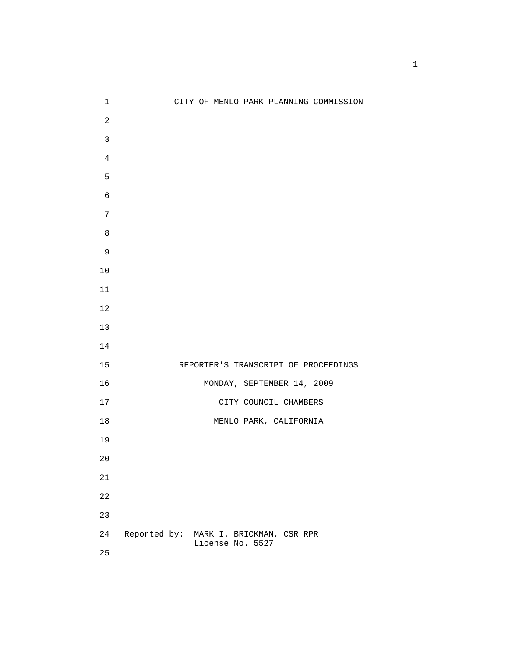| $\mathbf 1$    |                                        |                  |                            | CITY OF MENLO PARK PLANNING COMMISSION |
|----------------|----------------------------------------|------------------|----------------------------|----------------------------------------|
| $\sqrt{2}$     |                                        |                  |                            |                                        |
| $\mathbf{3}$   |                                        |                  |                            |                                        |
| $\overline{4}$ |                                        |                  |                            |                                        |
| 5              |                                        |                  |                            |                                        |
| $\sqrt{6}$     |                                        |                  |                            |                                        |
| $\sqrt{ }$     |                                        |                  |                            |                                        |
| $\,8\,$        |                                        |                  |                            |                                        |
| 9              |                                        |                  |                            |                                        |
| $10$           |                                        |                  |                            |                                        |
| $11\,$         |                                        |                  |                            |                                        |
| $12\,$         |                                        |                  |                            |                                        |
| 13             |                                        |                  |                            |                                        |
| 14             |                                        |                  |                            |                                        |
| 15             |                                        |                  |                            | REPORTER'S TRANSCRIPT OF PROCEEDINGS   |
| 16             |                                        |                  | MONDAY, SEPTEMBER 14, 2009 |                                        |
| $17$           |                                        |                  | CITY COUNCIL CHAMBERS      |                                        |
| 18             |                                        |                  | MENLO PARK, CALIFORNIA     |                                        |
| 19             |                                        |                  |                            |                                        |
| $20\,$         |                                        |                  |                            |                                        |
| $21\,$         |                                        |                  |                            |                                        |
| 22             |                                        |                  |                            |                                        |
| 23             |                                        |                  |                            |                                        |
| 24             | Reported by: MARK I. BRICKMAN, CSR RPR |                  |                            |                                        |
| 25             |                                        | License No. 5527 |                            |                                        |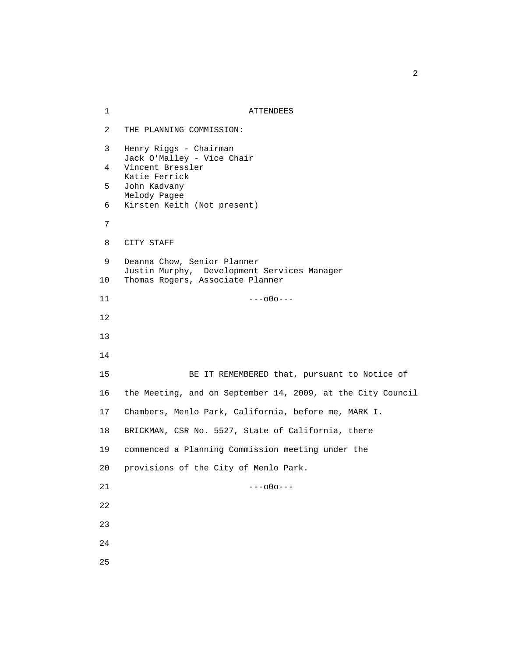1 ATTENDEES 2 THE PLANNING COMMISSION: 3 Henry Riggs - Chairman Jack O'Malley - Vice Chair 4 Vincent Bressler Katie Ferrick 5 John Kadvany Melody Pagee 6 Kirsten Keith (Not present) 7 8 CITY STAFF 9 Deanna Chow, Senior Planner Justin Murphy, Development Services Manager 10 Thomas Rogers, Associate Planner  $11$  ---000--- 12 13 14 15 BE IT REMEMBERED that, pursuant to Notice of 16 the Meeting, and on September 14, 2009, at the City Council 17 Chambers, Menlo Park, California, before me, MARK I. 18 BRICKMAN, CSR No. 5527, State of California, there 19 commenced a Planning Commission meeting under the 20 provisions of the City of Menlo Park.  $21$  ---000--- 22 23 24 25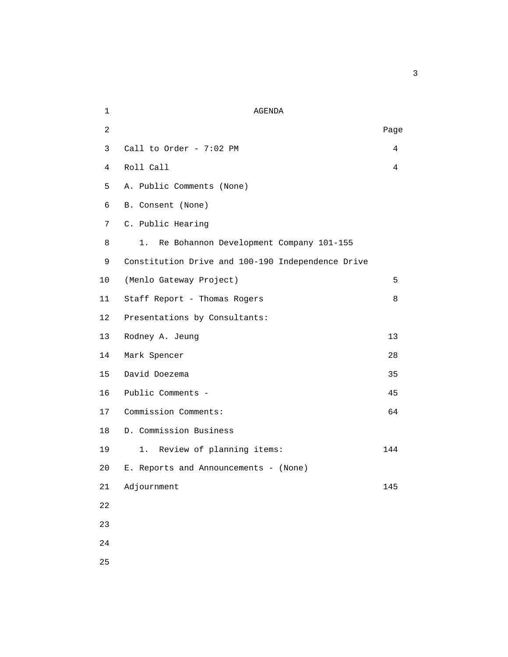| $\mathbf 1$    | <b>AGENDA</b>                                     |      |  |  |  |
|----------------|---------------------------------------------------|------|--|--|--|
| $\overline{2}$ |                                                   | Page |  |  |  |
| 3              | Call to Order - 7:02 PM                           | 4    |  |  |  |
| 4              | Roll Call                                         | 4    |  |  |  |
| 5              | A. Public Comments (None)                         |      |  |  |  |
| 6              | B. Consent (None)                                 |      |  |  |  |
| 7              | C. Public Hearing                                 |      |  |  |  |
| 8              | 1.<br>Re Bohannon Development Company 101-155     |      |  |  |  |
| 9              | Constitution Drive and 100-190 Independence Drive |      |  |  |  |
| 10             | (Menlo Gateway Project)                           | 5    |  |  |  |
| 11             | Staff Report - Thomas Rogers                      | 8    |  |  |  |
| 12             | Presentations by Consultants:                     |      |  |  |  |
| 13             | Rodney A. Jeung                                   | 13   |  |  |  |
| 14             | Mark Spencer                                      | 28   |  |  |  |
| 15             | David Doezema                                     | 35   |  |  |  |
| 16             | Public Comments -                                 | 45   |  |  |  |
| 17             | Commission Comments:                              | 64   |  |  |  |
| 18             | D. Commission Business                            |      |  |  |  |
| 19             | Review of planning items:<br>1.                   | 144  |  |  |  |
| 20             | E. Reports and Announcements - (None)             |      |  |  |  |
| 21             | Adjournment                                       | 145  |  |  |  |
| 22             |                                                   |      |  |  |  |
| 23             |                                                   |      |  |  |  |
| 24             |                                                   |      |  |  |  |
|                |                                                   |      |  |  |  |

 $\sim$  3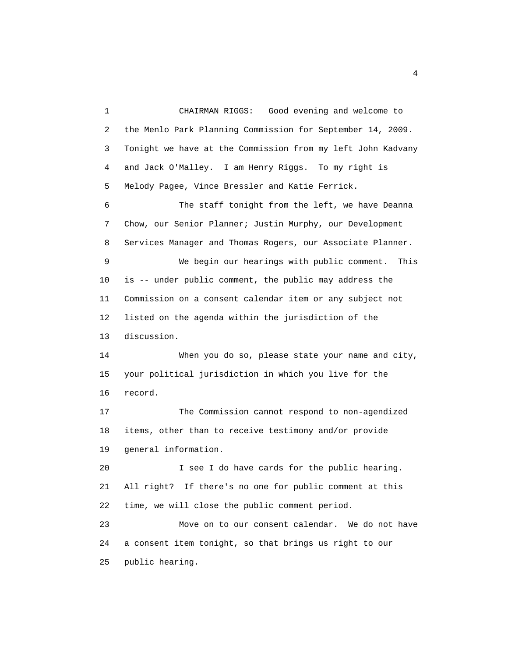1 CHAIRMAN RIGGS: Good evening and welcome to 2 the Menlo Park Planning Commission for September 14, 2009. 3 Tonight we have at the Commission from my left John Kadvany 4 and Jack O'Malley. I am Henry Riggs. To my right is 5 Melody Pagee, Vince Bressler and Katie Ferrick. 6 The staff tonight from the left, we have Deanna 7 Chow, our Senior Planner; Justin Murphy, our Development 8 Services Manager and Thomas Rogers, our Associate Planner. 9 We begin our hearings with public comment. This 10 is -- under public comment, the public may address the 11 Commission on a consent calendar item or any subject not 12 listed on the agenda within the jurisdiction of the 13 discussion. 14 When you do so, please state your name and city, 15 your political jurisdiction in which you live for the 16 record. 17 The Commission cannot respond to non-agendized 18 items, other than to receive testimony and/or provide 19 general information. 20 I see I do have cards for the public hearing. 21 All right? If there's no one for public comment at this 22 time, we will close the public comment period. 23 Move on to our consent calendar. We do not have 24 a consent item tonight, so that brings us right to our 25 public hearing.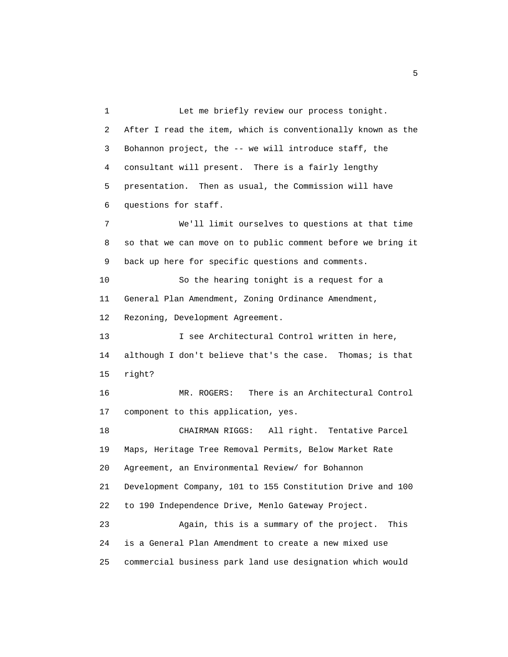1 Let me briefly review our process tonight. 2 After I read the item, which is conventionally known as the 3 Bohannon project, the -- we will introduce staff, the 4 consultant will present. There is a fairly lengthy 5 presentation. Then as usual, the Commission will have 6 questions for staff. 7 We'll limit ourselves to questions at that time 8 so that we can move on to public comment before we bring it 9 back up here for specific questions and comments. 10 So the hearing tonight is a request for a 11 General Plan Amendment, Zoning Ordinance Amendment, 12 Rezoning, Development Agreement. 13 I see Architectural Control written in here, 14 although I don't believe that's the case. Thomas; is that 15 right? 16 MR. ROGERS: There is an Architectural Control 17 component to this application, yes. 18 CHAIRMAN RIGGS: All right. Tentative Parcel 19 Maps, Heritage Tree Removal Permits, Below Market Rate 20 Agreement, an Environmental Review/ for Bohannon 21 Development Company, 101 to 155 Constitution Drive and 100 22 to 190 Independence Drive, Menlo Gateway Project. 23 Again, this is a summary of the project. This 24 is a General Plan Amendment to create a new mixed use 25 commercial business park land use designation which would

 $\sim$  5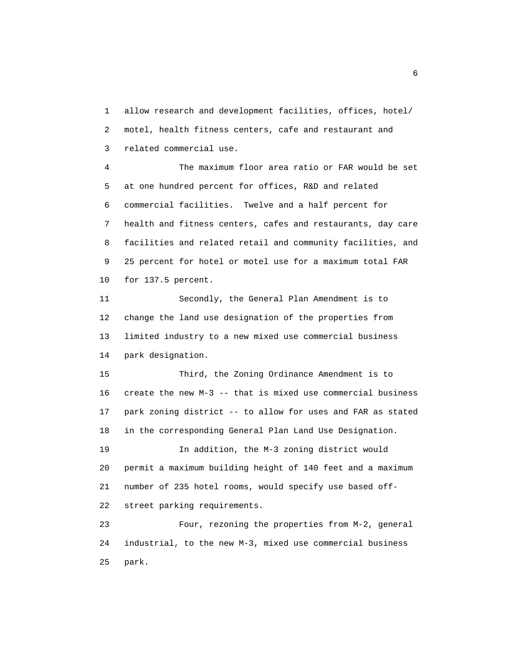1 allow research and development facilities, offices, hotel/ 2 motel, health fitness centers, cafe and restaurant and 3 related commercial use.

 4 The maximum floor area ratio or FAR would be set 5 at one hundred percent for offices, R&D and related 6 commercial facilities. Twelve and a half percent for 7 health and fitness centers, cafes and restaurants, day care 8 facilities and related retail and community facilities, and 9 25 percent for hotel or motel use for a maximum total FAR 10 for 137.5 percent.

 11 Secondly, the General Plan Amendment is to 12 change the land use designation of the properties from 13 limited industry to a new mixed use commercial business 14 park designation.

 15 Third, the Zoning Ordinance Amendment is to 16 create the new M-3 -- that is mixed use commercial business 17 park zoning district -- to allow for uses and FAR as stated 18 in the corresponding General Plan Land Use Designation.

 19 In addition, the M-3 zoning district would 20 permit a maximum building height of 140 feet and a maximum 21 number of 235 hotel rooms, would specify use based off- 22 street parking requirements.

 23 Four, rezoning the properties from M-2, general 24 industrial, to the new M-3, mixed use commercial business 25 park.

 $\sim$  6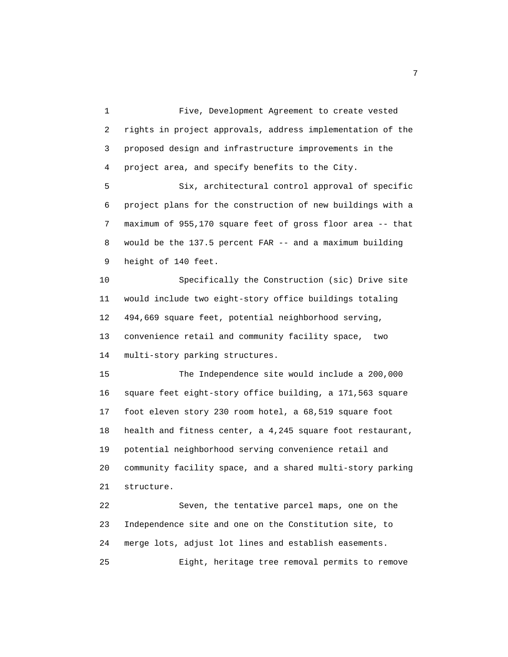1 Five, Development Agreement to create vested 2 rights in project approvals, address implementation of the 3 proposed design and infrastructure improvements in the 4 project area, and specify benefits to the City. 5 Six, architectural control approval of specific 6 project plans for the construction of new buildings with a

 7 maximum of 955,170 square feet of gross floor area -- that 8 would be the 137.5 percent FAR -- and a maximum building 9 height of 140 feet.

 10 Specifically the Construction (sic) Drive site 11 would include two eight-story office buildings totaling 12 494,669 square feet, potential neighborhood serving, 13 convenience retail and community facility space, two 14 multi-story parking structures.

 15 The Independence site would include a 200,000 16 square feet eight-story office building, a 171,563 square 17 foot eleven story 230 room hotel, a 68,519 square foot 18 health and fitness center, a 4,245 square foot restaurant, 19 potential neighborhood serving convenience retail and 20 community facility space, and a shared multi-story parking 21 structure.

 22 Seven, the tentative parcel maps, one on the 23 Independence site and one on the Constitution site, to 24 merge lots, adjust lot lines and establish easements. 25 Eight, heritage tree removal permits to remove

<u>2</u>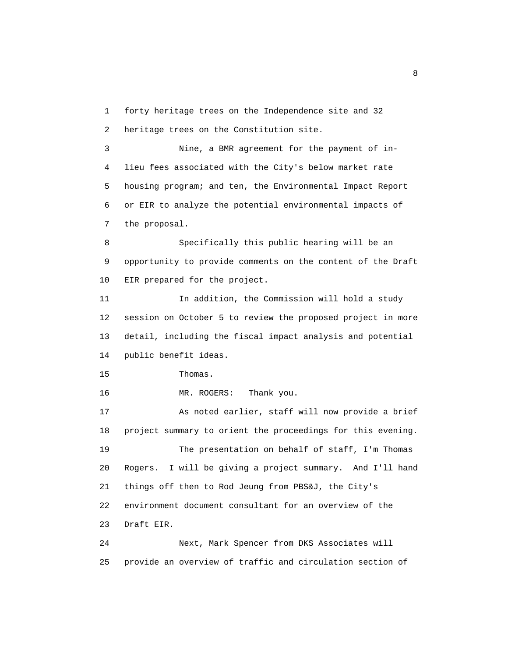1 forty heritage trees on the Independence site and 32 2 heritage trees on the Constitution site.

 3 Nine, a BMR agreement for the payment of in- 4 lieu fees associated with the City's below market rate 5 housing program; and ten, the Environmental Impact Report 6 or EIR to analyze the potential environmental impacts of 7 the proposal.

 8 Specifically this public hearing will be an 9 opportunity to provide comments on the content of the Draft 10 EIR prepared for the project.

 11 In addition, the Commission will hold a study 12 session on October 5 to review the proposed project in more 13 detail, including the fiscal impact analysis and potential 14 public benefit ideas.

15 Thomas.

16 MR. ROGERS: Thank you.

 17 As noted earlier, staff will now provide a brief 18 project summary to orient the proceedings for this evening. 19 The presentation on behalf of staff, I'm Thomas 20 Rogers. I will be giving a project summary. And I'll hand 21 things off then to Rod Jeung from PBS&J, the City's 22 environment document consultant for an overview of the 23 Draft EIR.

 24 Next, Mark Spencer from DKS Associates will 25 provide an overview of traffic and circulation section of

experience of the state of the state of the state of the state of the state of the state of the state of the s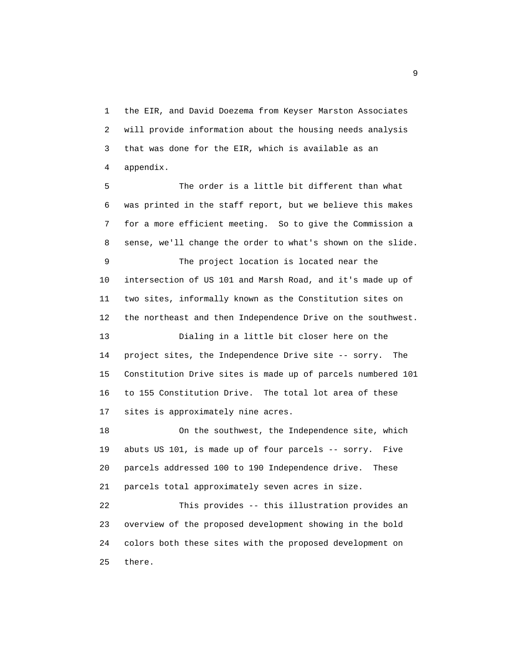1 the EIR, and David Doezema from Keyser Marston Associates 2 will provide information about the housing needs analysis 3 that was done for the EIR, which is available as an 4 appendix.

 5 The order is a little bit different than what 6 was printed in the staff report, but we believe this makes 7 for a more efficient meeting. So to give the Commission a 8 sense, we'll change the order to what's shown on the slide.

 9 The project location is located near the 10 intersection of US 101 and Marsh Road, and it's made up of 11 two sites, informally known as the Constitution sites on 12 the northeast and then Independence Drive on the southwest.

 13 Dialing in a little bit closer here on the 14 project sites, the Independence Drive site -- sorry. The 15 Constitution Drive sites is made up of parcels numbered 101 16 to 155 Constitution Drive. The total lot area of these 17 sites is approximately nine acres.

 18 On the southwest, the Independence site, which 19 abuts US 101, is made up of four parcels -- sorry. Five 20 parcels addressed 100 to 190 Independence drive. These 21 parcels total approximately seven acres in size.

 22 This provides -- this illustration provides an 23 overview of the proposed development showing in the bold 24 colors both these sites with the proposed development on 25 there.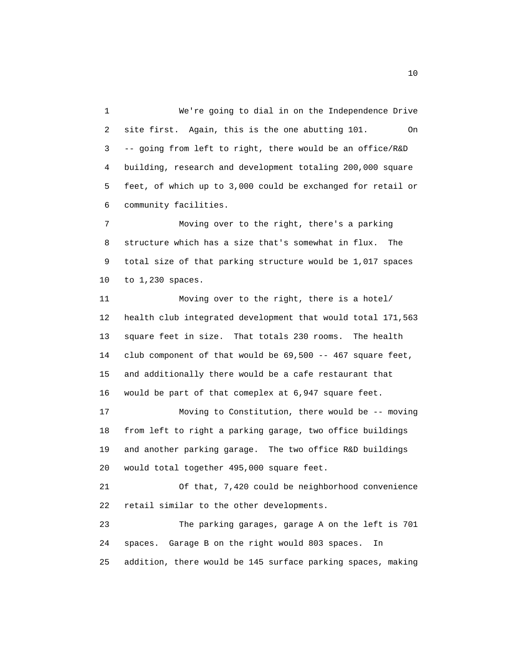1 We're going to dial in on the Independence Drive 2 site first. Again, this is the one abutting 101. On 3 -- going from left to right, there would be an office/R&D 4 building, research and development totaling 200,000 square 5 feet, of which up to 3,000 could be exchanged for retail or 6 community facilities.

 7 Moving over to the right, there's a parking 8 structure which has a size that's somewhat in flux. The 9 total size of that parking structure would be 1,017 spaces 10 to 1,230 spaces.

 11 Moving over to the right, there is a hotel/ 12 health club integrated development that would total 171,563 13 square feet in size. That totals 230 rooms. The health 14 club component of that would be 69,500 -- 467 square feet, 15 and additionally there would be a cafe restaurant that 16 would be part of that comeplex at 6,947 square feet.

 17 Moving to Constitution, there would be -- moving 18 from left to right a parking garage, two office buildings 19 and another parking garage. The two office R&D buildings 20 would total together 495,000 square feet.

 21 Of that, 7,420 could be neighborhood convenience 22 retail similar to the other developments.

 23 The parking garages, garage A on the left is 701 24 spaces. Garage B on the right would 803 spaces. In 25 addition, there would be 145 surface parking spaces, making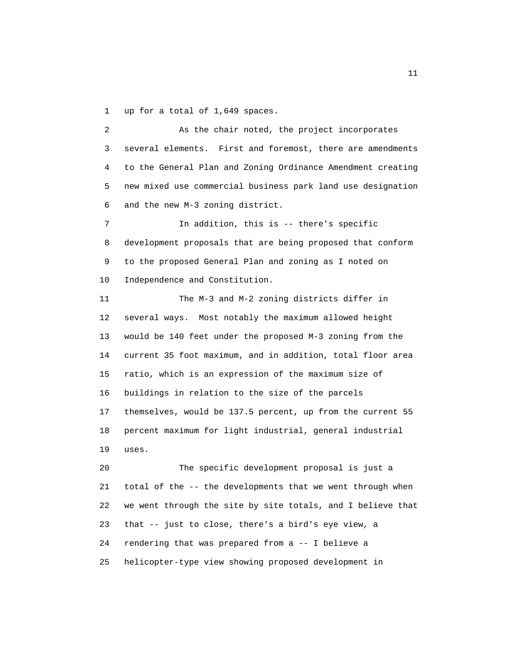1 up for a total of 1,649 spaces.

 2 As the chair noted, the project incorporates 3 several elements. First and foremost, there are amendments 4 to the General Plan and Zoning Ordinance Amendment creating 5 new mixed use commercial business park land use designation 6 and the new M-3 zoning district.

 7 In addition, this is -- there's specific 8 development proposals that are being proposed that conform 9 to the proposed General Plan and zoning as I noted on 10 Independence and Constitution.

 11 The M-3 and M-2 zoning districts differ in 12 several ways. Most notably the maximum allowed height 13 would be 140 feet under the proposed M-3 zoning from the 14 current 35 foot maximum, and in addition, total floor area 15 ratio, which is an expression of the maximum size of 16 buildings in relation to the size of the parcels 17 themselves, would be 137.5 percent, up from the current 55 18 percent maximum for light industrial, general industrial 19 uses.

 20 The specific development proposal is just a 21 total of the -- the developments that we went through when 22 we went through the site by site totals, and I believe that 23 that -- just to close, there's a bird's eye view, a 24 rendering that was prepared from a -- I believe a 25 helicopter-type view showing proposed development in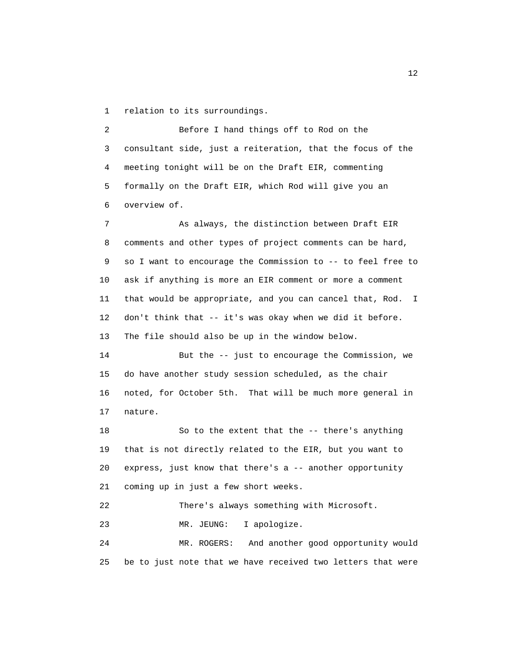1 relation to its surroundings.

 2 Before I hand things off to Rod on the 3 consultant side, just a reiteration, that the focus of the 4 meeting tonight will be on the Draft EIR, commenting 5 formally on the Draft EIR, which Rod will give you an 6 overview of.

 7 As always, the distinction between Draft EIR 8 comments and other types of project comments can be hard, 9 so I want to encourage the Commission to -- to feel free to 10 ask if anything is more an EIR comment or more a comment 11 that would be appropriate, and you can cancel that, Rod. I 12 don't think that -- it's was okay when we did it before. 13 The file should also be up in the window below.

 14 But the -- just to encourage the Commission, we 15 do have another study session scheduled, as the chair 16 noted, for October 5th. That will be much more general in 17 nature.

 18 So to the extent that the -- there's anything 19 that is not directly related to the EIR, but you want to 20 express, just know that there's a -- another opportunity 21 coming up in just a few short weeks.

22 There's always something with Microsoft.

23 MR. JEUNG: I apologize.

 24 MR. ROGERS: And another good opportunity would 25 be to just note that we have received two letters that were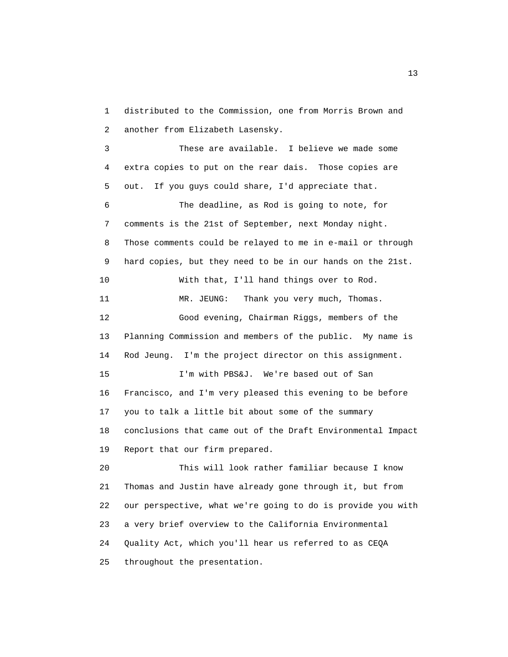1 distributed to the Commission, one from Morris Brown and 2 another from Elizabeth Lasensky.

 3 These are available. I believe we made some 4 extra copies to put on the rear dais. Those copies are 5 out. If you guys could share, I'd appreciate that. 6 The deadline, as Rod is going to note, for 7 comments is the 21st of September, next Monday night. 8 Those comments could be relayed to me in e-mail or through 9 hard copies, but they need to be in our hands on the 21st. 10 With that, I'll hand things over to Rod. 11 MR. JEUNG: Thank you very much, Thomas. 12 Good evening, Chairman Riggs, members of the 13 Planning Commission and members of the public. My name is 14 Rod Jeung. I'm the project director on this assignment. 15 I'm with PBS&J. We're based out of San 16 Francisco, and I'm very pleased this evening to be before 17 you to talk a little bit about some of the summary 18 conclusions that came out of the Draft Environmental Impact 19 Report that our firm prepared.

 20 This will look rather familiar because I know 21 Thomas and Justin have already gone through it, but from 22 our perspective, what we're going to do is provide you with 23 a very brief overview to the California Environmental 24 Quality Act, which you'll hear us referred to as CEQA 25 throughout the presentation.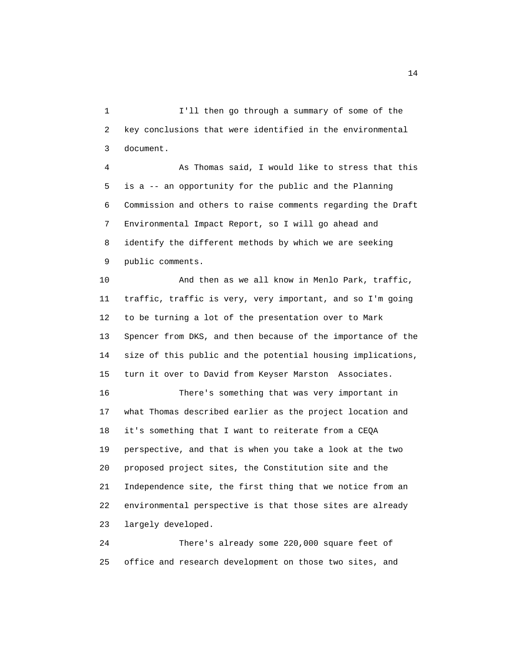1 I'll then go through a summary of some of the 2 key conclusions that were identified in the environmental 3 document.

 4 As Thomas said, I would like to stress that this 5 is a -- an opportunity for the public and the Planning 6 Commission and others to raise comments regarding the Draft 7 Environmental Impact Report, so I will go ahead and 8 identify the different methods by which we are seeking 9 public comments.

 10 And then as we all know in Menlo Park, traffic, 11 traffic, traffic is very, very important, and so I'm going 12 to be turning a lot of the presentation over to Mark 13 Spencer from DKS, and then because of the importance of the 14 size of this public and the potential housing implications, 15 turn it over to David from Keyser Marston Associates. 16 There's something that was very important in 17 what Thomas described earlier as the project location and 18 it's something that I want to reiterate from a CEQA 19 perspective, and that is when you take a look at the two 20 proposed project sites, the Constitution site and the 21 Independence site, the first thing that we notice from an 22 environmental perspective is that those sites are already 23 largely developed.

 24 There's already some 220,000 square feet of 25 office and research development on those two sites, and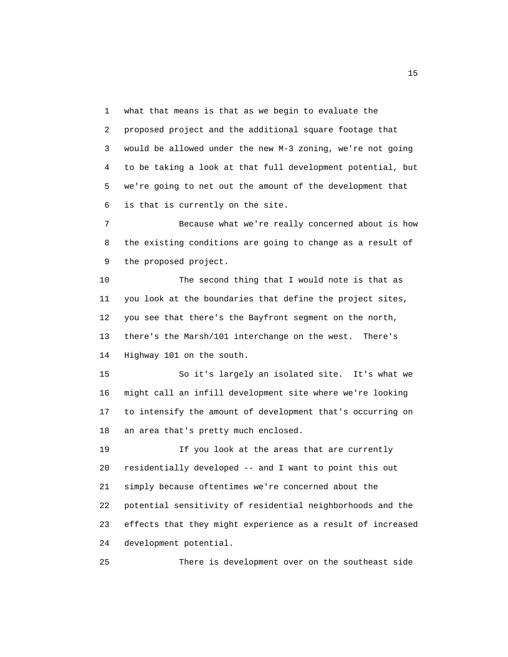1 what that means is that as we begin to evaluate the 2 proposed project and the additional square footage that 3 would be allowed under the new M-3 zoning, we're not going 4 to be taking a look at that full development potential, but 5 we're going to net out the amount of the development that 6 is that is currently on the site.

 7 Because what we're really concerned about is how 8 the existing conditions are going to change as a result of 9 the proposed project.

 10 The second thing that I would note is that as 11 you look at the boundaries that define the project sites, 12 you see that there's the Bayfront segment on the north, 13 there's the Marsh/101 interchange on the west. There's 14 Highway 101 on the south.

 15 So it's largely an isolated site. It's what we 16 might call an infill development site where we're looking 17 to intensify the amount of development that's occurring on 18 an area that's pretty much enclosed.

 19 If you look at the areas that are currently 20 residentially developed -- and I want to point this out 21 simply because oftentimes we're concerned about the 22 potential sensitivity of residential neighborhoods and the 23 effects that they might experience as a result of increased 24 development potential.

25 There is development over on the southeast side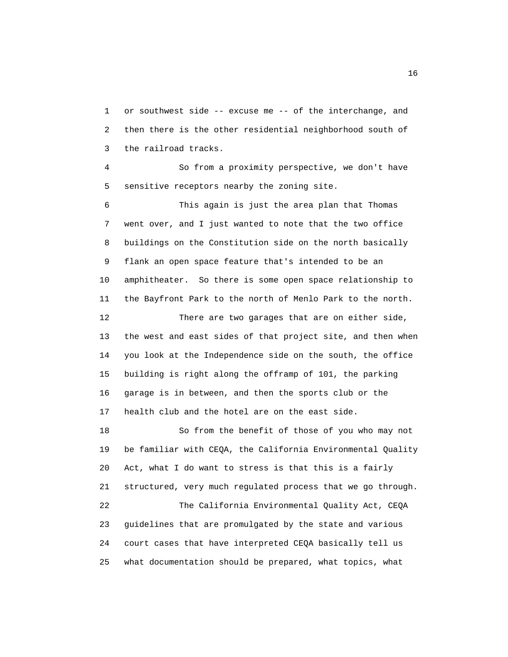1 or southwest side -- excuse me -- of the interchange, and 2 then there is the other residential neighborhood south of 3 the railroad tracks.

 4 So from a proximity perspective, we don't have 5 sensitive receptors nearby the zoning site.

 6 This again is just the area plan that Thomas 7 went over, and I just wanted to note that the two office 8 buildings on the Constitution side on the north basically 9 flank an open space feature that's intended to be an 10 amphitheater. So there is some open space relationship to 11 the Bayfront Park to the north of Menlo Park to the north. 12 There are two garages that are on either side, 13 the west and east sides of that project site, and then when 14 you look at the Independence side on the south, the office 15 building is right along the offramp of 101, the parking 16 garage is in between, and then the sports club or the 17 health club and the hotel are on the east side.

 18 So from the benefit of those of you who may not 19 be familiar with CEQA, the California Environmental Quality 20 Act, what I do want to stress is that this is a fairly 21 structured, very much regulated process that we go through. 22 The California Environmental Quality Act, CEQA 23 guidelines that are promulgated by the state and various 24 court cases that have interpreted CEQA basically tell us 25 what documentation should be prepared, what topics, what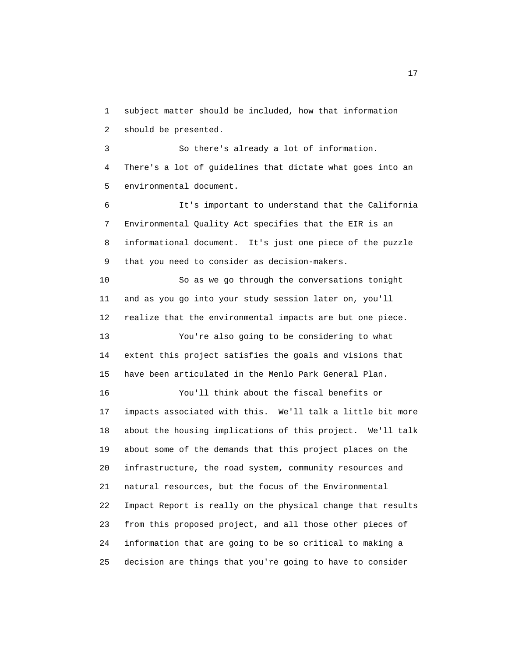1 subject matter should be included, how that information 2 should be presented.

 3 So there's already a lot of information. 4 There's a lot of guidelines that dictate what goes into an 5 environmental document.

 6 It's important to understand that the California 7 Environmental Quality Act specifies that the EIR is an 8 informational document. It's just one piece of the puzzle 9 that you need to consider as decision-makers.

 10 So as we go through the conversations tonight 11 and as you go into your study session later on, you'll 12 realize that the environmental impacts are but one piece. 13 You're also going to be considering to what

 14 extent this project satisfies the goals and visions that 15 have been articulated in the Menlo Park General Plan.

 16 You'll think about the fiscal benefits or 17 impacts associated with this. We'll talk a little bit more 18 about the housing implications of this project. We'll talk 19 about some of the demands that this project places on the 20 infrastructure, the road system, community resources and 21 natural resources, but the focus of the Environmental 22 Impact Report is really on the physical change that results 23 from this proposed project, and all those other pieces of 24 information that are going to be so critical to making a 25 decision are things that you're going to have to consider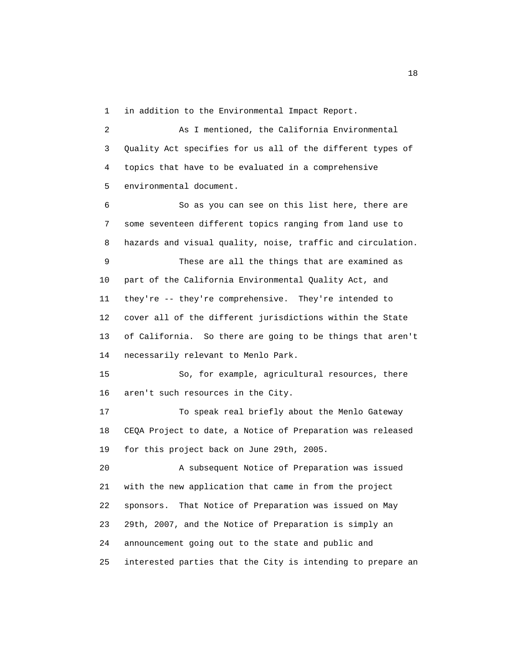1 in addition to the Environmental Impact Report.

 2 As I mentioned, the California Environmental 3 Quality Act specifies for us all of the different types of 4 topics that have to be evaluated in a comprehensive 5 environmental document.

 6 So as you can see on this list here, there are 7 some seventeen different topics ranging from land use to 8 hazards and visual quality, noise, traffic and circulation.

 9 These are all the things that are examined as 10 part of the California Environmental Quality Act, and 11 they're -- they're comprehensive. They're intended to 12 cover all of the different jurisdictions within the State 13 of California. So there are going to be things that aren't 14 necessarily relevant to Menlo Park.

 15 So, for example, agricultural resources, there 16 aren't such resources in the City.

 17 To speak real briefly about the Menlo Gateway 18 CEQA Project to date, a Notice of Preparation was released 19 for this project back on June 29th, 2005.

 20 A subsequent Notice of Preparation was issued 21 with the new application that came in from the project 22 sponsors. That Notice of Preparation was issued on May 23 29th, 2007, and the Notice of Preparation is simply an 24 announcement going out to the state and public and 25 interested parties that the City is intending to prepare an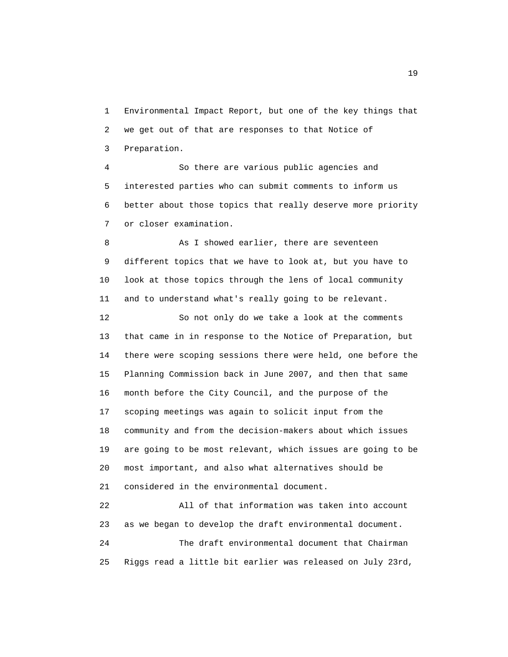1 Environmental Impact Report, but one of the key things that 2 we get out of that are responses to that Notice of 3 Preparation.

 4 So there are various public agencies and 5 interested parties who can submit comments to inform us 6 better about those topics that really deserve more priority 7 or closer examination.

8 As I showed earlier, there are seventeen 9 different topics that we have to look at, but you have to 10 look at those topics through the lens of local community 11 and to understand what's really going to be relevant.

 12 So not only do we take a look at the comments 13 that came in in response to the Notice of Preparation, but 14 there were scoping sessions there were held, one before the 15 Planning Commission back in June 2007, and then that same 16 month before the City Council, and the purpose of the 17 scoping meetings was again to solicit input from the 18 community and from the decision-makers about which issues 19 are going to be most relevant, which issues are going to be 20 most important, and also what alternatives should be 21 considered in the environmental document.

 22 All of that information was taken into account 23 as we began to develop the draft environmental document. 24 The draft environmental document that Chairman 25 Riggs read a little bit earlier was released on July 23rd,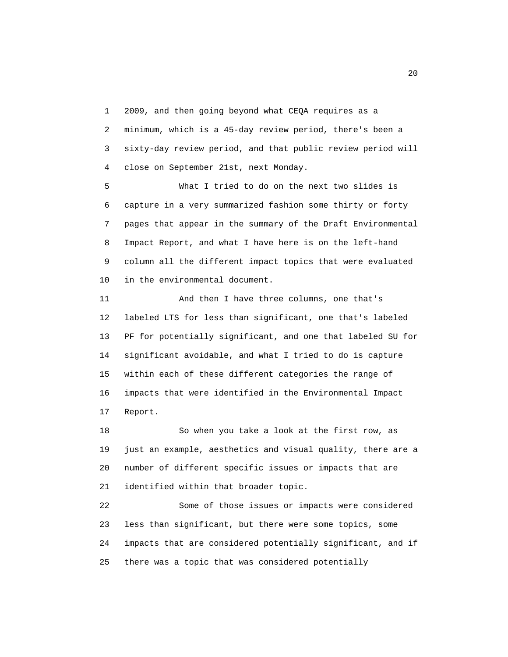1 2009, and then going beyond what CEQA requires as a 2 minimum, which is a 45-day review period, there's been a 3 sixty-day review period, and that public review period will 4 close on September 21st, next Monday.

 5 What I tried to do on the next two slides is 6 capture in a very summarized fashion some thirty or forty 7 pages that appear in the summary of the Draft Environmental 8 Impact Report, and what I have here is on the left-hand 9 column all the different impact topics that were evaluated 10 in the environmental document.

 11 And then I have three columns, one that's 12 labeled LTS for less than significant, one that's labeled 13 PF for potentially significant, and one that labeled SU for 14 significant avoidable, and what I tried to do is capture 15 within each of these different categories the range of 16 impacts that were identified in the Environmental Impact 17 Report.

 18 So when you take a look at the first row, as 19 just an example, aesthetics and visual quality, there are a 20 number of different specific issues or impacts that are 21 identified within that broader topic.

 22 Some of those issues or impacts were considered 23 less than significant, but there were some topics, some 24 impacts that are considered potentially significant, and if 25 there was a topic that was considered potentially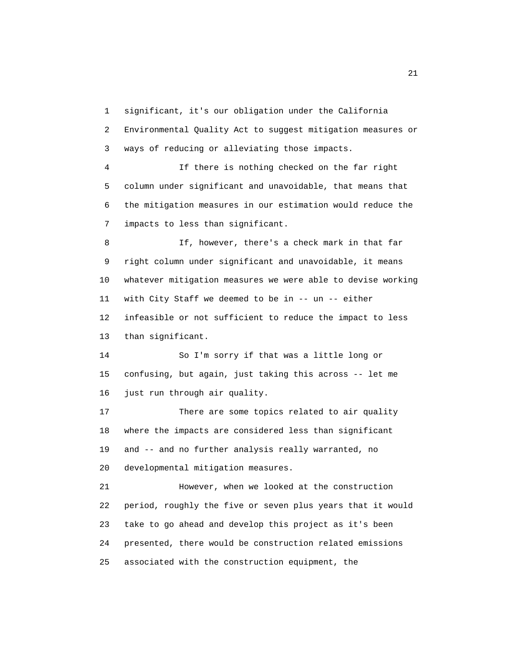1 significant, it's our obligation under the California

 2 Environmental Quality Act to suggest mitigation measures or 3 ways of reducing or alleviating those impacts.

 4 If there is nothing checked on the far right 5 column under significant and unavoidable, that means that 6 the mitigation measures in our estimation would reduce the 7 impacts to less than significant.

 8 If, however, there's a check mark in that far 9 right column under significant and unavoidable, it means 10 whatever mitigation measures we were able to devise working 11 with City Staff we deemed to be in -- un -- either 12 infeasible or not sufficient to reduce the impact to less 13 than significant.

 14 So I'm sorry if that was a little long or 15 confusing, but again, just taking this across -- let me 16 just run through air quality.

 17 There are some topics related to air quality 18 where the impacts are considered less than significant 19 and -- and no further analysis really warranted, no 20 developmental mitigation measures.

 21 However, when we looked at the construction 22 period, roughly the five or seven plus years that it would 23 take to go ahead and develop this project as it's been 24 presented, there would be construction related emissions 25 associated with the construction equipment, the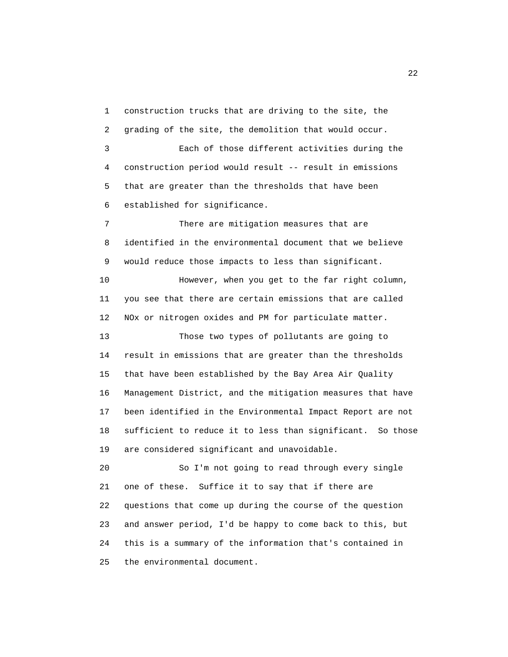1 construction trucks that are driving to the site, the 2 grading of the site, the demolition that would occur.

 3 Each of those different activities during the 4 construction period would result -- result in emissions 5 that are greater than the thresholds that have been 6 established for significance.

 7 There are mitigation measures that are 8 identified in the environmental document that we believe 9 would reduce those impacts to less than significant.

 10 However, when you get to the far right column, 11 you see that there are certain emissions that are called 12 NOx or nitrogen oxides and PM for particulate matter.

 13 Those two types of pollutants are going to 14 result in emissions that are greater than the thresholds 15 that have been established by the Bay Area Air Quality 16 Management District, and the mitigation measures that have 17 been identified in the Environmental Impact Report are not 18 sufficient to reduce it to less than significant. So those 19 are considered significant and unavoidable.

 20 So I'm not going to read through every single 21 one of these. Suffice it to say that if there are 22 questions that come up during the course of the question 23 and answer period, I'd be happy to come back to this, but 24 this is a summary of the information that's contained in 25 the environmental document.

22 and 23 and 23 and 23 and 23 and 23 and 23 and 23 and 23 and 23 and 23 and 23 and 23 and 23 and 23 and 23 and 23 and 24 and 25 and 26 and 26 and 26 and 26 and 26 and 26 and 26 and 26 and 26 and 26 and 26 and 26 and 26 an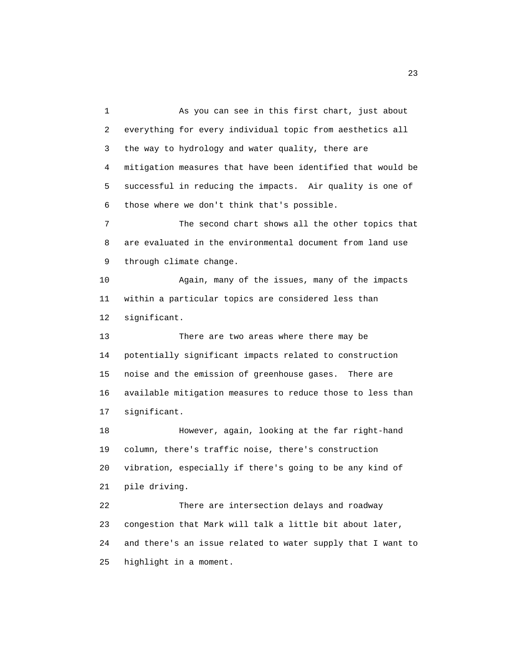1 As you can see in this first chart, just about 2 everything for every individual topic from aesthetics all 3 the way to hydrology and water quality, there are 4 mitigation measures that have been identified that would be 5 successful in reducing the impacts. Air quality is one of 6 those where we don't think that's possible. 7 The second chart shows all the other topics that 8 are evaluated in the environmental document from land use 9 through climate change. 10 Again, many of the issues, many of the impacts 11 within a particular topics are considered less than 12 significant. 13 There are two areas where there may be 14 potentially significant impacts related to construction 15 noise and the emission of greenhouse gases. There are 16 available mitigation measures to reduce those to less than 17 significant. 18 However, again, looking at the far right-hand 19 column, there's traffic noise, there's construction 20 vibration, especially if there's going to be any kind of 21 pile driving. 22 There are intersection delays and roadway 23 congestion that Mark will talk a little bit about later, 24 and there's an issue related to water supply that I want to 25 highlight in a moment.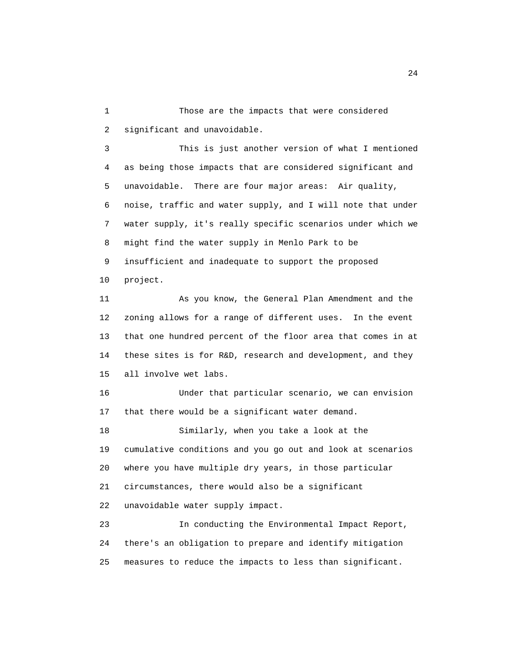1 Those are the impacts that were considered 2 significant and unavoidable.

 3 This is just another version of what I mentioned 4 as being those impacts that are considered significant and 5 unavoidable. There are four major areas: Air quality, 6 noise, traffic and water supply, and I will note that under 7 water supply, it's really specific scenarios under which we 8 might find the water supply in Menlo Park to be 9 insufficient and inadequate to support the proposed 10 project.

 11 As you know, the General Plan Amendment and the 12 zoning allows for a range of different uses. In the event 13 that one hundred percent of the floor area that comes in at 14 these sites is for R&D, research and development, and they 15 all involve wet labs.

 16 Under that particular scenario, we can envision 17 that there would be a significant water demand.

 18 Similarly, when you take a look at the 19 cumulative conditions and you go out and look at scenarios 20 where you have multiple dry years, in those particular 21 circumstances, there would also be a significant 22 unavoidable water supply impact.

 23 In conducting the Environmental Impact Report, 24 there's an obligation to prepare and identify mitigation 25 measures to reduce the impacts to less than significant.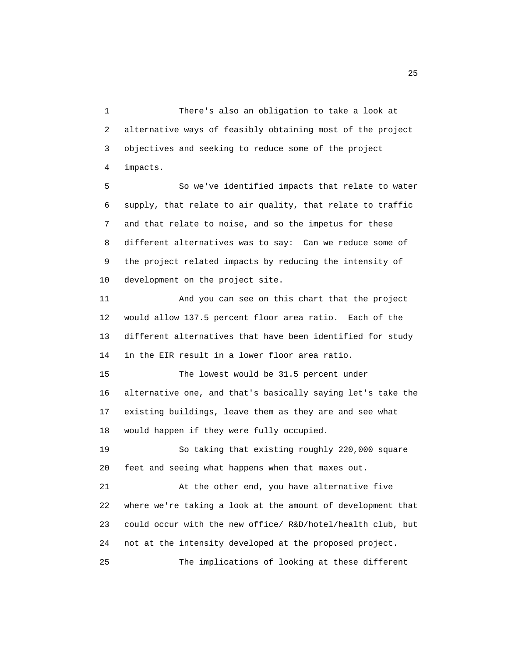1 There's also an obligation to take a look at 2 alternative ways of feasibly obtaining most of the project 3 objectives and seeking to reduce some of the project 4 impacts.

 5 So we've identified impacts that relate to water 6 supply, that relate to air quality, that relate to traffic 7 and that relate to noise, and so the impetus for these 8 different alternatives was to say: Can we reduce some of 9 the project related impacts by reducing the intensity of 10 development on the project site.

 11 And you can see on this chart that the project 12 would allow 137.5 percent floor area ratio. Each of the 13 different alternatives that have been identified for study 14 in the EIR result in a lower floor area ratio.

 15 The lowest would be 31.5 percent under 16 alternative one, and that's basically saying let's take the 17 existing buildings, leave them as they are and see what 18 would happen if they were fully occupied.

 19 So taking that existing roughly 220,000 square 20 feet and seeing what happens when that maxes out.

 21 At the other end, you have alternative five 22 where we're taking a look at the amount of development that 23 could occur with the new office/ R&D/hotel/health club, but 24 not at the intensity developed at the proposed project. 25 The implications of looking at these different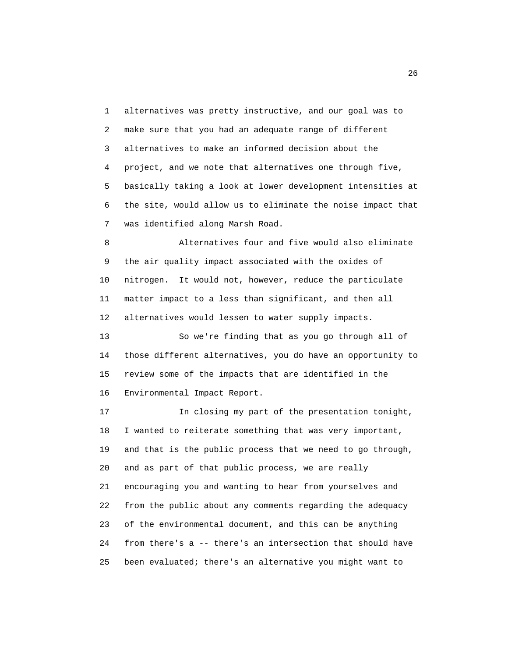1 alternatives was pretty instructive, and our goal was to 2 make sure that you had an adequate range of different 3 alternatives to make an informed decision about the 4 project, and we note that alternatives one through five, 5 basically taking a look at lower development intensities at 6 the site, would allow us to eliminate the noise impact that 7 was identified along Marsh Road.

 8 Alternatives four and five would also eliminate 9 the air quality impact associated with the oxides of 10 nitrogen. It would not, however, reduce the particulate 11 matter impact to a less than significant, and then all 12 alternatives would lessen to water supply impacts.

 13 So we're finding that as you go through all of 14 those different alternatives, you do have an opportunity to 15 review some of the impacts that are identified in the 16 Environmental Impact Report.

 17 In closing my part of the presentation tonight, 18 I wanted to reiterate something that was very important, 19 and that is the public process that we need to go through, 20 and as part of that public process, we are really 21 encouraging you and wanting to hear from yourselves and 22 from the public about any comments regarding the adequacy 23 of the environmental document, and this can be anything 24 from there's a -- there's an intersection that should have 25 been evaluated; there's an alternative you might want to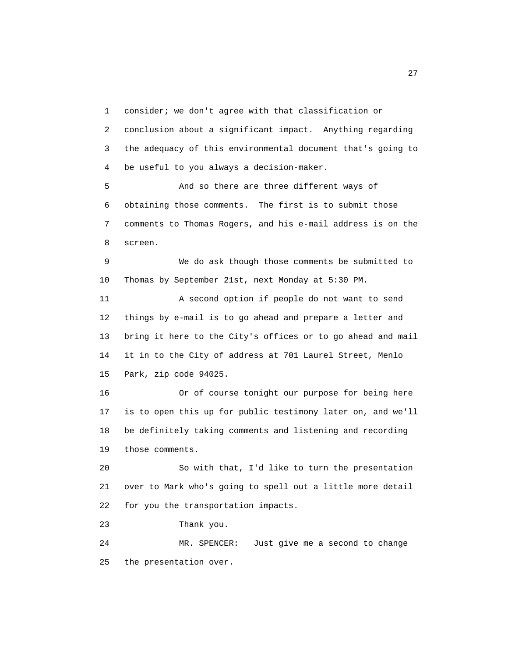1 consider; we don't agree with that classification or 2 conclusion about a significant impact. Anything regarding 3 the adequacy of this environmental document that's going to 4 be useful to you always a decision-maker.

 5 And so there are three different ways of 6 obtaining those comments. The first is to submit those 7 comments to Thomas Rogers, and his e-mail address is on the 8 screen.

 9 We do ask though those comments be submitted to 10 Thomas by September 21st, next Monday at 5:30 PM.

 11 A second option if people do not want to send 12 things by e-mail is to go ahead and prepare a letter and 13 bring it here to the City's offices or to go ahead and mail 14 it in to the City of address at 701 Laurel Street, Menlo 15 Park, zip code 94025.

 16 Or of course tonight our purpose for being here 17 is to open this up for public testimony later on, and we'll 18 be definitely taking comments and listening and recording 19 those comments.

 20 So with that, I'd like to turn the presentation 21 over to Mark who's going to spell out a little more detail 22 for you the transportation impacts.

23 Thank you.

 24 MR. SPENCER: Just give me a second to change 25 the presentation over.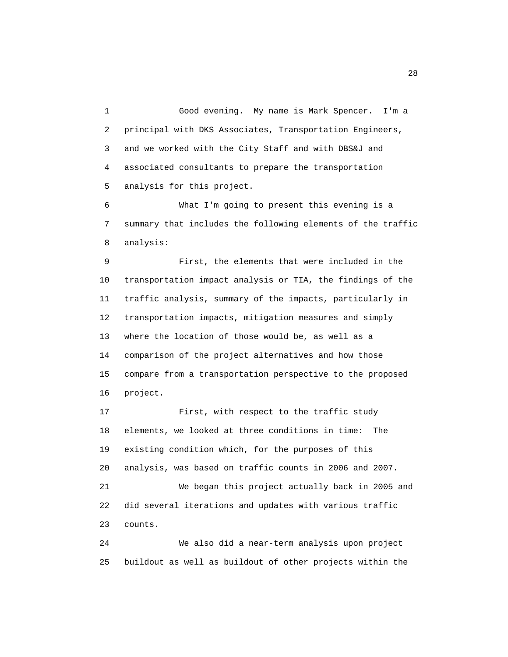1 Good evening. My name is Mark Spencer. I'm a 2 principal with DKS Associates, Transportation Engineers, 3 and we worked with the City Staff and with DBS&J and 4 associated consultants to prepare the transportation 5 analysis for this project.

 6 What I'm going to present this evening is a 7 summary that includes the following elements of the traffic 8 analysis:

 9 First, the elements that were included in the 10 transportation impact analysis or TIA, the findings of the 11 traffic analysis, summary of the impacts, particularly in 12 transportation impacts, mitigation measures and simply 13 where the location of those would be, as well as a 14 comparison of the project alternatives and how those 15 compare from a transportation perspective to the proposed 16 project.

 17 First, with respect to the traffic study 18 elements, we looked at three conditions in time: The 19 existing condition which, for the purposes of this 20 analysis, was based on traffic counts in 2006 and 2007. 21 We began this project actually back in 2005 and 22 did several iterations and updates with various traffic 23 counts.

 24 We also did a near-term analysis upon project 25 buildout as well as buildout of other projects within the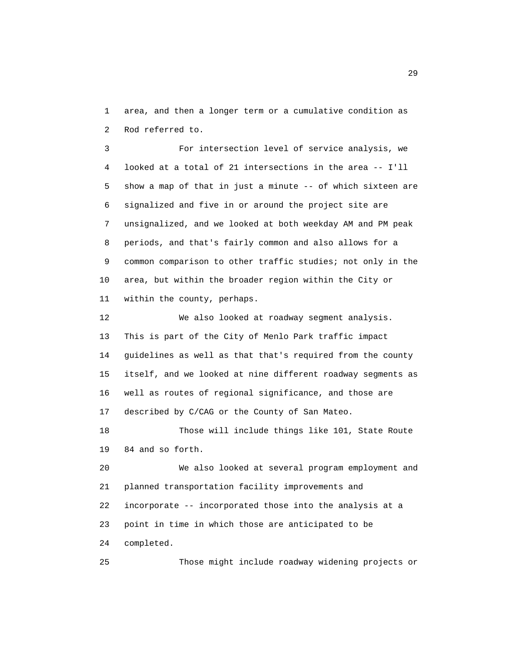1 area, and then a longer term or a cumulative condition as 2 Rod referred to.

 3 For intersection level of service analysis, we 4 looked at a total of 21 intersections in the area -- I'll 5 show a map of that in just a minute -- of which sixteen are 6 signalized and five in or around the project site are 7 unsignalized, and we looked at both weekday AM and PM peak 8 periods, and that's fairly common and also allows for a 9 common comparison to other traffic studies; not only in the 10 area, but within the broader region within the City or 11 within the county, perhaps.

 12 We also looked at roadway segment analysis. 13 This is part of the City of Menlo Park traffic impact 14 guidelines as well as that that's required from the county 15 itself, and we looked at nine different roadway segments as 16 well as routes of regional significance, and those are 17 described by C/CAG or the County of San Mateo.

 18 Those will include things like 101, State Route 19 84 and so forth.

 20 We also looked at several program employment and 21 planned transportation facility improvements and 22 incorporate -- incorporated those into the analysis at a 23 point in time in which those are anticipated to be 24 completed.

25 Those might include roadway widening projects or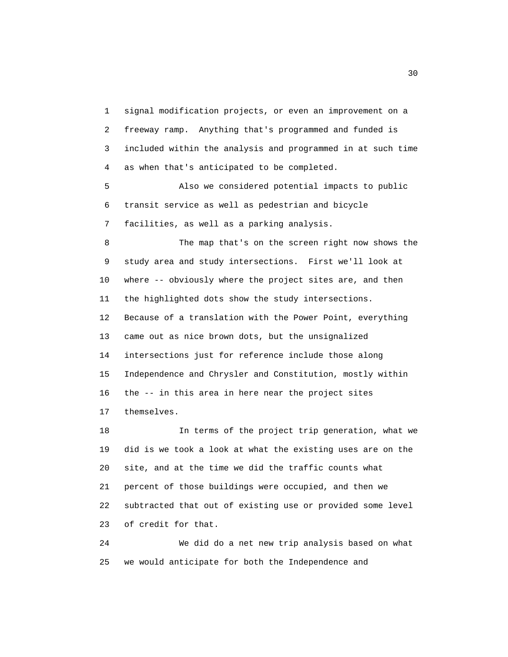1 signal modification projects, or even an improvement on a 2 freeway ramp. Anything that's programmed and funded is 3 included within the analysis and programmed in at such time 4 as when that's anticipated to be completed.

 5 Also we considered potential impacts to public 6 transit service as well as pedestrian and bicycle 7 facilities, as well as a parking analysis.

 8 The map that's on the screen right now shows the 9 study area and study intersections. First we'll look at 10 where -- obviously where the project sites are, and then 11 the highlighted dots show the study intersections. 12 Because of a translation with the Power Point, everything 13 came out as nice brown dots, but the unsignalized 14 intersections just for reference include those along 15 Independence and Chrysler and Constitution, mostly within 16 the -- in this area in here near the project sites 17 themselves.

 18 In terms of the project trip generation, what we 19 did is we took a look at what the existing uses are on the 20 site, and at the time we did the traffic counts what 21 percent of those buildings were occupied, and then we 22 subtracted that out of existing use or provided some level 23 of credit for that.

 24 We did do a net new trip analysis based on what 25 we would anticipate for both the Independence and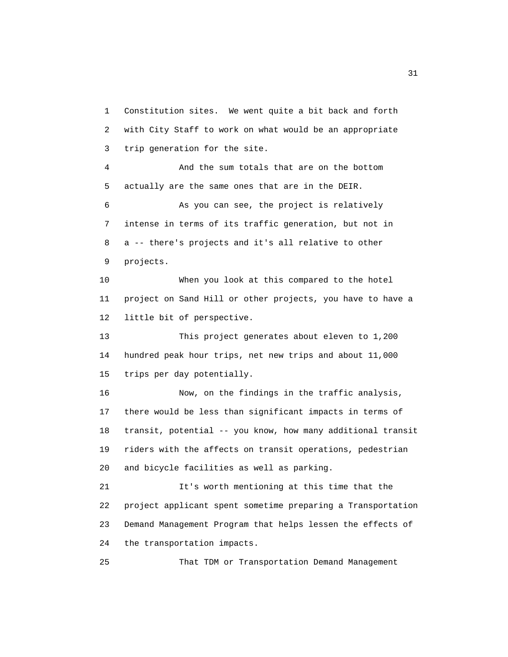1 Constitution sites. We went quite a bit back and forth 2 with City Staff to work on what would be an appropriate 3 trip generation for the site.

 4 And the sum totals that are on the bottom 5 actually are the same ones that are in the DEIR.

 6 As you can see, the project is relatively 7 intense in terms of its traffic generation, but not in 8 a -- there's projects and it's all relative to other 9 projects.

 10 When you look at this compared to the hotel 11 project on Sand Hill or other projects, you have to have a 12 little bit of perspective.

 13 This project generates about eleven to 1,200 14 hundred peak hour trips, net new trips and about 11,000 15 trips per day potentially.

 16 Now, on the findings in the traffic analysis, 17 there would be less than significant impacts in terms of 18 transit, potential -- you know, how many additional transit 19 riders with the affects on transit operations, pedestrian 20 and bicycle facilities as well as parking.

 21 It's worth mentioning at this time that the 22 project applicant spent sometime preparing a Transportation 23 Demand Management Program that helps lessen the effects of 24 the transportation impacts.

25 That TDM or Transportation Demand Management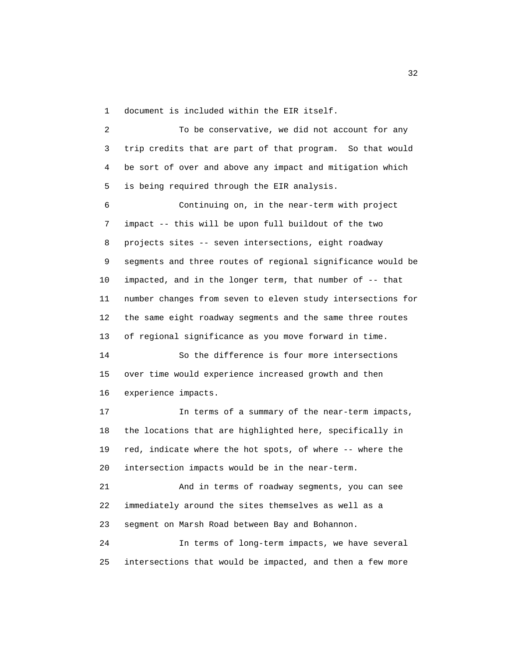1 document is included within the EIR itself.

 2 To be conservative, we did not account for any 3 trip credits that are part of that program. So that would 4 be sort of over and above any impact and mitigation which 5 is being required through the EIR analysis.

 6 Continuing on, in the near-term with project 7 impact -- this will be upon full buildout of the two 8 projects sites -- seven intersections, eight roadway 9 segments and three routes of regional significance would be 10 impacted, and in the longer term, that number of -- that 11 number changes from seven to eleven study intersections for 12 the same eight roadway segments and the same three routes 13 of regional significance as you move forward in time.

 14 So the difference is four more intersections 15 over time would experience increased growth and then 16 experience impacts.

 17 In terms of a summary of the near-term impacts, 18 the locations that are highlighted here, specifically in 19 red, indicate where the hot spots, of where -- where the 20 intersection impacts would be in the near-term.

 21 And in terms of roadway segments, you can see 22 immediately around the sites themselves as well as a 23 segment on Marsh Road between Bay and Bohannon.

 24 In terms of long-term impacts, we have several 25 intersections that would be impacted, and then a few more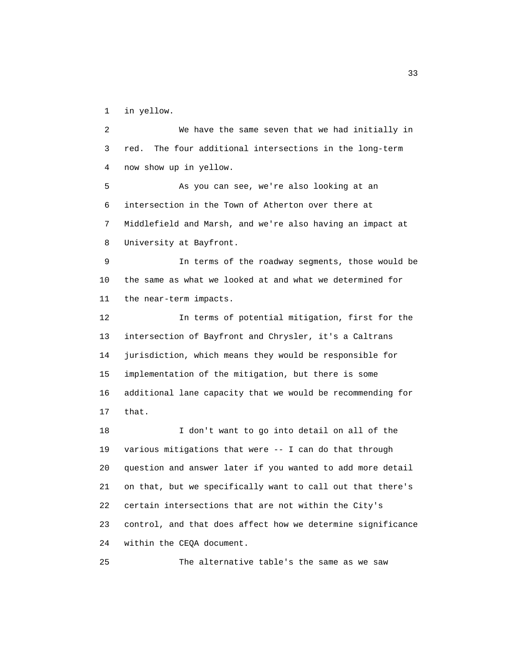1 in yellow.

 2 We have the same seven that we had initially in 3 red. The four additional intersections in the long-term 4 now show up in yellow.

 5 As you can see, we're also looking at an 6 intersection in the Town of Atherton over there at 7 Middlefield and Marsh, and we're also having an impact at 8 University at Bayfront.

 9 In terms of the roadway segments, those would be 10 the same as what we looked at and what we determined for 11 the near-term impacts.

 12 In terms of potential mitigation, first for the 13 intersection of Bayfront and Chrysler, it's a Caltrans 14 jurisdiction, which means they would be responsible for 15 implementation of the mitigation, but there is some 16 additional lane capacity that we would be recommending for 17 that.

 18 I don't want to go into detail on all of the 19 various mitigations that were -- I can do that through 20 question and answer later if you wanted to add more detail 21 on that, but we specifically want to call out that there's 22 certain intersections that are not within the City's 23 control, and that does affect how we determine significance 24 within the CEQA document.

25 The alternative table's the same as we saw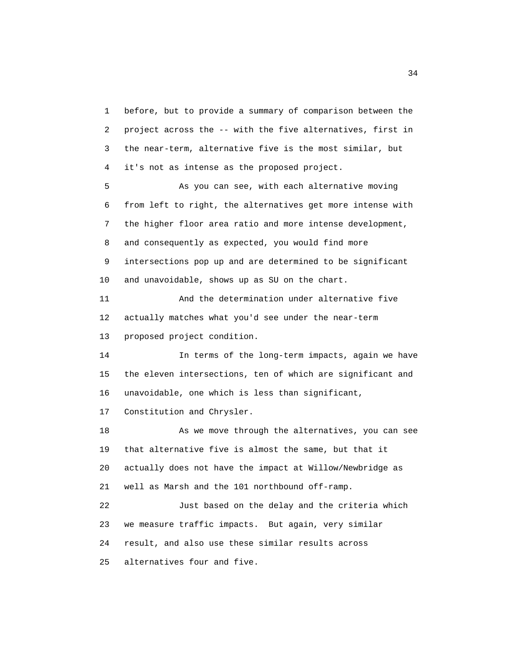1 before, but to provide a summary of comparison between the 2 project across the -- with the five alternatives, first in 3 the near-term, alternative five is the most similar, but 4 it's not as intense as the proposed project.

 5 As you can see, with each alternative moving 6 from left to right, the alternatives get more intense with 7 the higher floor area ratio and more intense development, 8 and consequently as expected, you would find more 9 intersections pop up and are determined to be significant 10 and unavoidable, shows up as SU on the chart.

 11 And the determination under alternative five 12 actually matches what you'd see under the near-term 13 proposed project condition.

 14 In terms of the long-term impacts, again we have 15 the eleven intersections, ten of which are significant and 16 unavoidable, one which is less than significant,

17 Constitution and Chrysler.

18 As we move through the alternatives, you can see 19 that alternative five is almost the same, but that it 20 actually does not have the impact at Willow/Newbridge as 21 well as Marsh and the 101 northbound off-ramp. 22 Just based on the delay and the criteria which 23 we measure traffic impacts. But again, very similar

24 result, and also use these similar results across

25 alternatives four and five.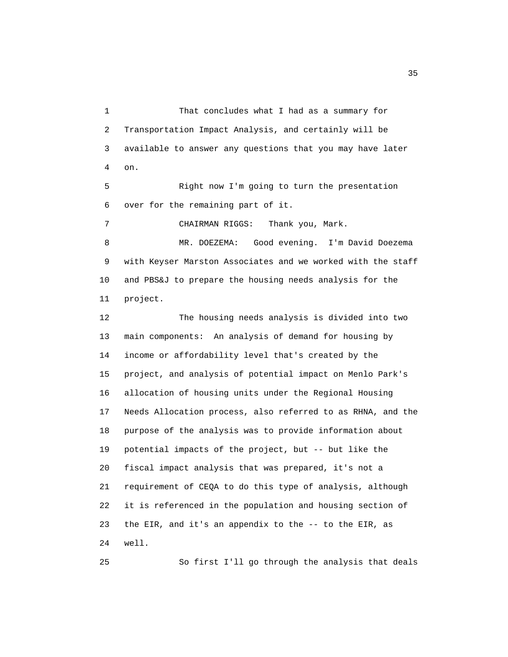1 That concludes what I had as a summary for 2 Transportation Impact Analysis, and certainly will be 3 available to answer any questions that you may have later 4 on. 5 Right now I'm going to turn the presentation 6 over for the remaining part of it. 7 CHAIRMAN RIGGS: Thank you, Mark. 8 MR. DOEZEMA: Good evening. I'm David Doezema 9 with Keyser Marston Associates and we worked with the staff 10 and PBS&J to prepare the housing needs analysis for the 11 project. 12 The housing needs analysis is divided into two 13 main components: An analysis of demand for housing by 14 income or affordability level that's created by the 15 project, and analysis of potential impact on Menlo Park's 16 allocation of housing units under the Regional Housing 17 Needs Allocation process, also referred to as RHNA, and the 18 purpose of the analysis was to provide information about 19 potential impacts of the project, but -- but like the 20 fiscal impact analysis that was prepared, it's not a 21 requirement of CEQA to do this type of analysis, although 22 it is referenced in the population and housing section of 23 the EIR, and it's an appendix to the -- to the EIR, as 24 well.

25 So first I'll go through the analysis that deals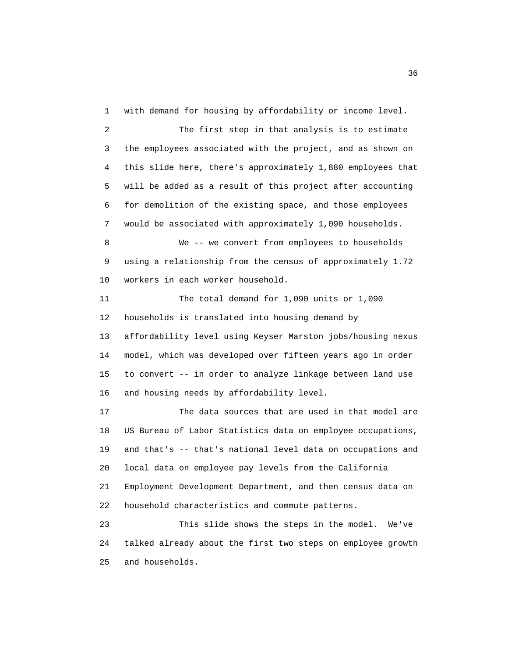1 with demand for housing by affordability or income level. 2 The first step in that analysis is to estimate 3 the employees associated with the project, and as shown on 4 this slide here, there's approximately 1,880 employees that 5 will be added as a result of this project after accounting 6 for demolition of the existing space, and those employees 7 would be associated with approximately 1,090 households. 8 We -- we convert from employees to households 9 using a relationship from the census of approximately 1.72 10 workers in each worker household. 11 The total demand for 1,090 units or 1,090 12 households is translated into housing demand by 13 affordability level using Keyser Marston jobs/housing nexus 14 model, which was developed over fifteen years ago in order 15 to convert -- in order to analyze linkage between land use 16 and housing needs by affordability level. 17 The data sources that are used in that model are 18 US Bureau of Labor Statistics data on employee occupations, 19 and that's -- that's national level data on occupations and

 21 Employment Development Department, and then census data on 22 household characteristics and commute patterns.

20 local data on employee pay levels from the California

 23 This slide shows the steps in the model. We've 24 talked already about the first two steps on employee growth 25 and households.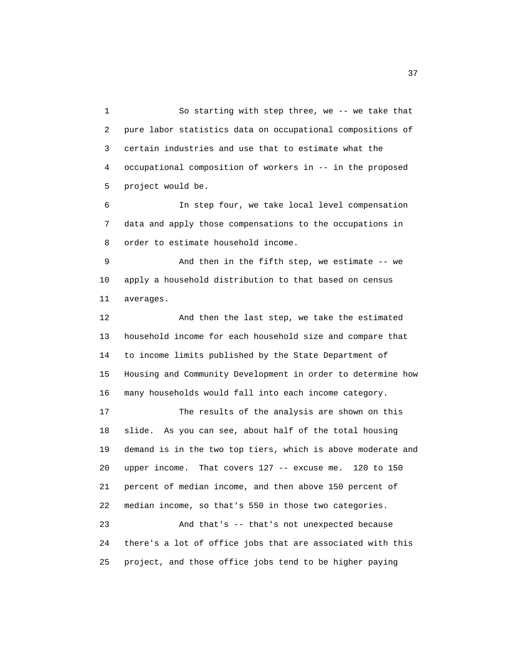1 So starting with step three, we -- we take that 2 pure labor statistics data on occupational compositions of 3 certain industries and use that to estimate what the 4 occupational composition of workers in -- in the proposed 5 project would be.

 6 In step four, we take local level compensation 7 data and apply those compensations to the occupations in 8 order to estimate household income.

 9 And then in the fifth step, we estimate -- we 10 apply a household distribution to that based on census 11 averages.

 12 And then the last step, we take the estimated 13 household income for each household size and compare that 14 to income limits published by the State Department of 15 Housing and Community Development in order to determine how 16 many households would fall into each income category.

 17 The results of the analysis are shown on this 18 slide. As you can see, about half of the total housing 19 demand is in the two top tiers, which is above moderate and 20 upper income. That covers 127 -- excuse me. 120 to 150 21 percent of median income, and then above 150 percent of 22 median income, so that's 550 in those two categories. 23 And that's -- that's not unexpected because 24 there's a lot of office jobs that are associated with this

25 project, and those office jobs tend to be higher paying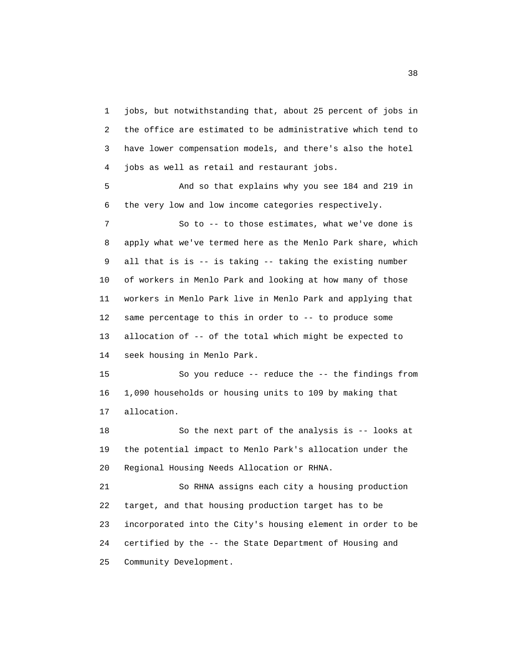1 jobs, but notwithstanding that, about 25 percent of jobs in 2 the office are estimated to be administrative which tend to 3 have lower compensation models, and there's also the hotel 4 jobs as well as retail and restaurant jobs.

 5 And so that explains why you see 184 and 219 in 6 the very low and low income categories respectively.

 7 So to -- to those estimates, what we've done is 8 apply what we've termed here as the Menlo Park share, which 9 all that is is -- is taking -- taking the existing number 10 of workers in Menlo Park and looking at how many of those 11 workers in Menlo Park live in Menlo Park and applying that 12 same percentage to this in order to -- to produce some 13 allocation of -- of the total which might be expected to 14 seek housing in Menlo Park.

 15 So you reduce -- reduce the -- the findings from 16 1,090 households or housing units to 109 by making that 17 allocation.

 18 So the next part of the analysis is -- looks at 19 the potential impact to Menlo Park's allocation under the 20 Regional Housing Needs Allocation or RHNA.

 21 So RHNA assigns each city a housing production 22 target, and that housing production target has to be 23 incorporated into the City's housing element in order to be 24 certified by the -- the State Department of Housing and 25 Community Development.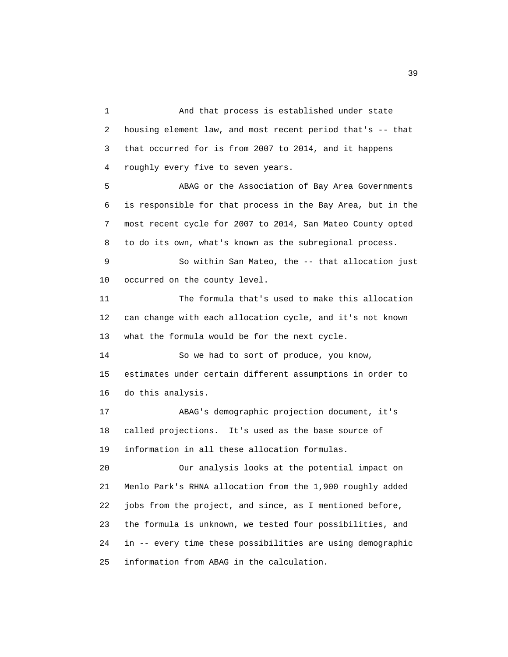1 And that process is established under state 2 housing element law, and most recent period that's -- that 3 that occurred for is from 2007 to 2014, and it happens 4 roughly every five to seven years.

 5 ABAG or the Association of Bay Area Governments 6 is responsible for that process in the Bay Area, but in the 7 most recent cycle for 2007 to 2014, San Mateo County opted 8 to do its own, what's known as the subregional process.

 9 So within San Mateo, the -- that allocation just 10 occurred on the county level.

 11 The formula that's used to make this allocation 12 can change with each allocation cycle, and it's not known 13 what the formula would be for the next cycle.

 14 So we had to sort of produce, you know, 15 estimates under certain different assumptions in order to 16 do this analysis.

 17 ABAG's demographic projection document, it's 18 called projections. It's used as the base source of 19 information in all these allocation formulas.

 20 Our analysis looks at the potential impact on 21 Menlo Park's RHNA allocation from the 1,900 roughly added 22 jobs from the project, and since, as I mentioned before, 23 the formula is unknown, we tested four possibilities, and 24 in -- every time these possibilities are using demographic 25 information from ABAG in the calculation.

39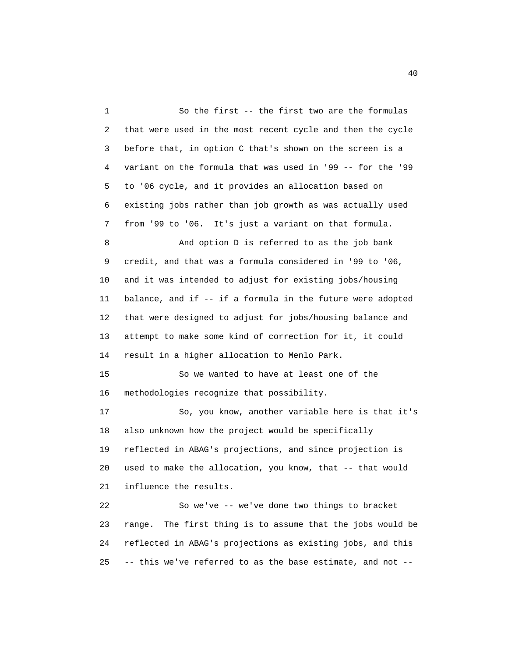1 So the first -- the first two are the formulas 2 that were used in the most recent cycle and then the cycle 3 before that, in option C that's shown on the screen is a 4 variant on the formula that was used in '99 -- for the '99 5 to '06 cycle, and it provides an allocation based on 6 existing jobs rather than job growth as was actually used 7 from '99 to '06. It's just a variant on that formula. 8 And option D is referred to as the job bank 9 credit, and that was a formula considered in '99 to '06, 10 and it was intended to adjust for existing jobs/housing 11 balance, and if -- if a formula in the future were adopted 12 that were designed to adjust for jobs/housing balance and 13 attempt to make some kind of correction for it, it could 14 result in a higher allocation to Menlo Park. 15 So we wanted to have at least one of the 16 methodologies recognize that possibility. 17 So, you know, another variable here is that it's 18 also unknown how the project would be specifically 19 reflected in ABAG's projections, and since projection is 20 used to make the allocation, you know, that -- that would 21 influence the results. 22 So we've -- we've done two things to bracket 23 range. The first thing is to assume that the jobs would be 24 reflected in ABAG's projections as existing jobs, and this 25 -- this we've referred to as the base estimate, and not --

40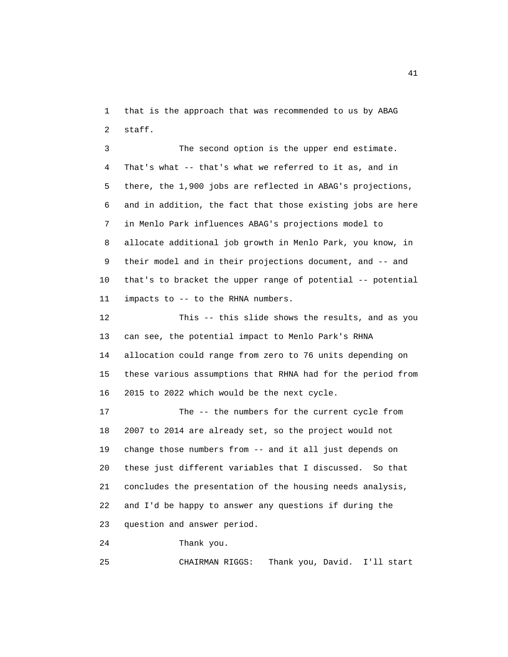1 that is the approach that was recommended to us by ABAG 2 staff.

 3 The second option is the upper end estimate. 4 That's what -- that's what we referred to it as, and in 5 there, the 1,900 jobs are reflected in ABAG's projections, 6 and in addition, the fact that those existing jobs are here 7 in Menlo Park influences ABAG's projections model to 8 allocate additional job growth in Menlo Park, you know, in 9 their model and in their projections document, and -- and 10 that's to bracket the upper range of potential -- potential 11 impacts to -- to the RHNA numbers.

 12 This -- this slide shows the results, and as you 13 can see, the potential impact to Menlo Park's RHNA 14 allocation could range from zero to 76 units depending on 15 these various assumptions that RHNA had for the period from 16 2015 to 2022 which would be the next cycle.

 17 The -- the numbers for the current cycle from 18 2007 to 2014 are already set, so the project would not 19 change those numbers from -- and it all just depends on 20 these just different variables that I discussed. So that 21 concludes the presentation of the housing needs analysis, 22 and I'd be happy to answer any questions if during the 23 question and answer period.

24 Thank you.

25 CHAIRMAN RIGGS: Thank you, David. I'll start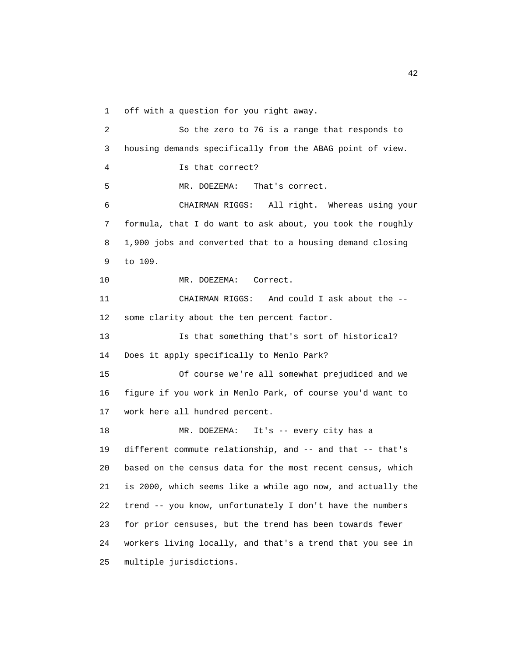1 off with a question for you right away.

 2 So the zero to 76 is a range that responds to 3 housing demands specifically from the ABAG point of view. 4 Is that correct? 5 MR. DOEZEMA: That's correct. 6 CHAIRMAN RIGGS: All right. Whereas using your 7 formula, that I do want to ask about, you took the roughly 8 1,900 jobs and converted that to a housing demand closing 9 to 109. 10 MR. DOEZEMA: Correct. 11 CHAIRMAN RIGGS: And could I ask about the -- 12 some clarity about the ten percent factor. 13 Is that something that's sort of historical? 14 Does it apply specifically to Menlo Park? 15 Of course we're all somewhat prejudiced and we 16 figure if you work in Menlo Park, of course you'd want to 17 work here all hundred percent. 18 MR. DOEZEMA: It's -- every city has a 19 different commute relationship, and -- and that -- that's 20 based on the census data for the most recent census, which 21 is 2000, which seems like a while ago now, and actually the 22 trend -- you know, unfortunately I don't have the numbers 23 for prior censuses, but the trend has been towards fewer 24 workers living locally, and that's a trend that you see in 25 multiple jurisdictions.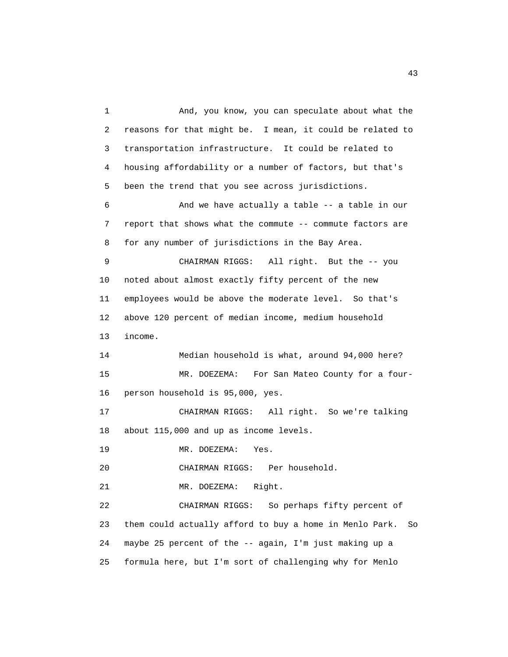1 And, you know, you can speculate about what the 2 reasons for that might be. I mean, it could be related to 3 transportation infrastructure. It could be related to 4 housing affordability or a number of factors, but that's 5 been the trend that you see across jurisdictions. 6 And we have actually a table -- a table in our 7 report that shows what the commute -- commute factors are 8 for any number of jurisdictions in the Bay Area. 9 CHAIRMAN RIGGS: All right. But the -- you 10 noted about almost exactly fifty percent of the new 11 employees would be above the moderate level. So that's 12 above 120 percent of median income, medium household 13 income. 14 Median household is what, around 94,000 here? 15 MR. DOEZEMA: For San Mateo County for a four- 16 person household is 95,000, yes. 17 CHAIRMAN RIGGS: All right. So we're talking 18 about 115,000 and up as income levels. 19 MR. DOEZEMA: Yes. 20 CHAIRMAN RIGGS: Per household. 21 MR. DOEZEMA: Right. 22 CHAIRMAN RIGGS: So perhaps fifty percent of 23 them could actually afford to buy a home in Menlo Park. So 24 maybe 25 percent of the -- again, I'm just making up a 25 formula here, but I'm sort of challenging why for Menlo

43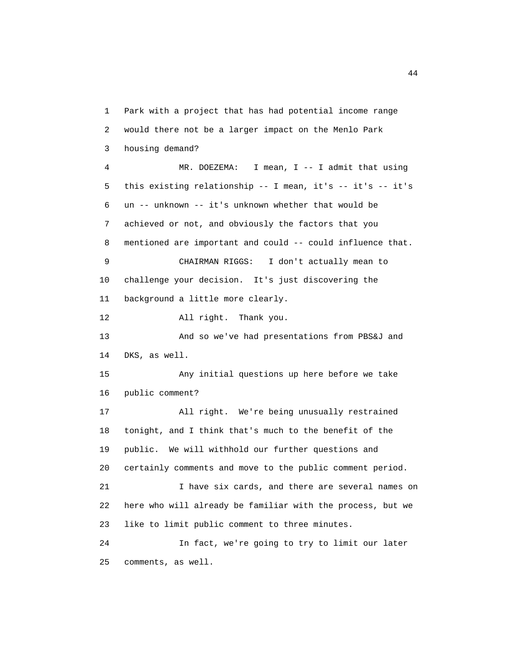1 Park with a project that has had potential income range 2 would there not be a larger impact on the Menlo Park 3 housing demand? 4 MR. DOEZEMA: I mean, I -- I admit that using 5 this existing relationship -- I mean, it's -- it's -- it's 6 un -- unknown -- it's unknown whether that would be 7 achieved or not, and obviously the factors that you 8 mentioned are important and could -- could influence that. 9 CHAIRMAN RIGGS: I don't actually mean to 10 challenge your decision. It's just discovering the 11 background a little more clearly. 12 All right. Thank you. 13 And so we've had presentations from PBS&J and 14 DKS, as well. 15 Any initial questions up here before we take 16 public comment? 17 All right. We're being unusually restrained 18 tonight, and I think that's much to the benefit of the 19 public. We will withhold our further questions and 20 certainly comments and move to the public comment period. 21 I have six cards, and there are several names on 22 here who will already be familiar with the process, but we 23 like to limit public comment to three minutes. 24 In fact, we're going to try to limit our later 25 comments, as well.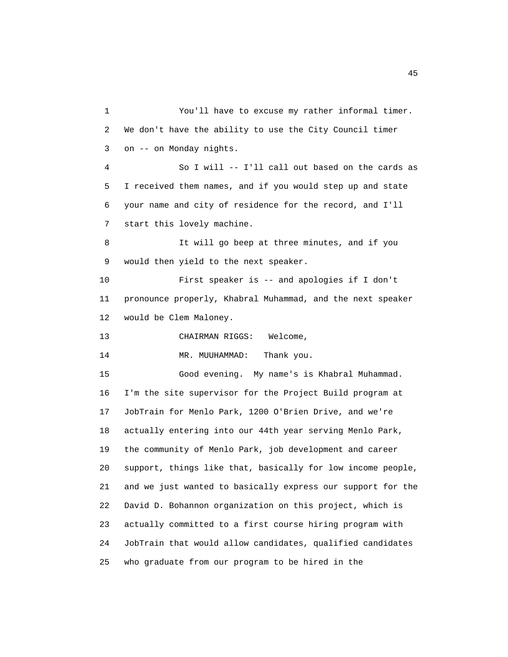1 You'll have to excuse my rather informal timer. 2 We don't have the ability to use the City Council timer 3 on -- on Monday nights. 4 So I will -- I'll call out based on the cards as 5 I received them names, and if you would step up and state 6 your name and city of residence for the record, and I'll 7 start this lovely machine. 8 It will go beep at three minutes, and if you 9 would then yield to the next speaker. 10 First speaker is -- and apologies if I don't 11 pronounce properly, Khabral Muhammad, and the next speaker 12 would be Clem Maloney. 13 CHAIRMAN RIGGS: Welcome, 14 MR. MUUHAMMAD: Thank you. 15 Good evening. My name's is Khabral Muhammad. 16 I'm the site supervisor for the Project Build program at 17 JobTrain for Menlo Park, 1200 O'Brien Drive, and we're 18 actually entering into our 44th year serving Menlo Park, 19 the community of Menlo Park, job development and career 20 support, things like that, basically for low income people, 21 and we just wanted to basically express our support for the 22 David D. Bohannon organization on this project, which is 23 actually committed to a first course hiring program with 24 JobTrain that would allow candidates, qualified candidates 25 who graduate from our program to be hired in the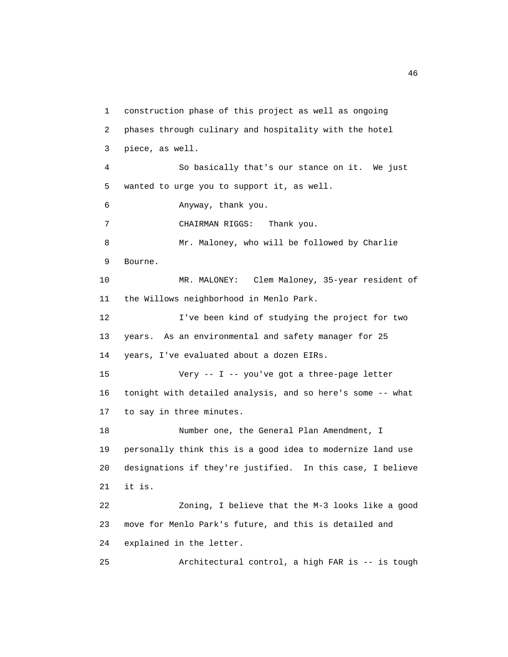1 construction phase of this project as well as ongoing 2 phases through culinary and hospitality with the hotel 3 piece, as well. 4 So basically that's our stance on it. We just 5 wanted to urge you to support it, as well. 6 Anyway, thank you. 7 CHAIRMAN RIGGS: Thank you. 8 Mr. Maloney, who will be followed by Charlie 9 Bourne. 10 MR. MALONEY: Clem Maloney, 35-year resident of 11 the Willows neighborhood in Menlo Park. 12 I've been kind of studying the project for two 13 years. As an environmental and safety manager for 25 14 years, I've evaluated about a dozen EIRs. 15 Very -- I -- you've got a three-page letter 16 tonight with detailed analysis, and so here's some -- what 17 to say in three minutes. 18 Number one, the General Plan Amendment, I 19 personally think this is a good idea to modernize land use 20 designations if they're justified. In this case, I believe 21 it is. 22 Zoning, I believe that the M-3 looks like a good 23 move for Menlo Park's future, and this is detailed and 24 explained in the letter. 25 Architectural control, a high FAR is -- is tough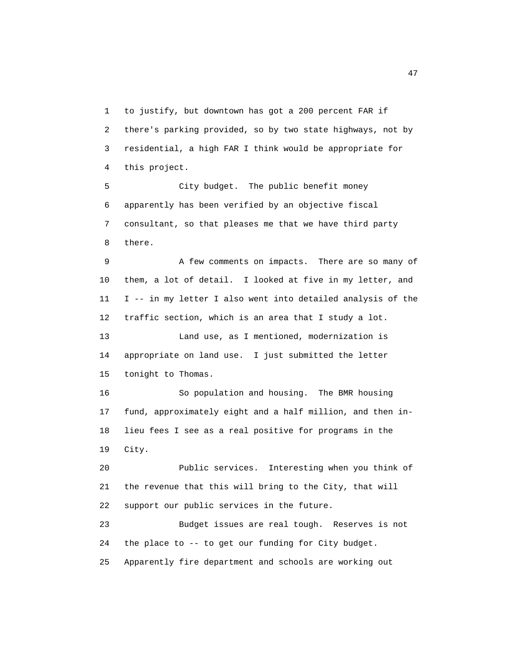1 to justify, but downtown has got a 200 percent FAR if 2 there's parking provided, so by two state highways, not by 3 residential, a high FAR I think would be appropriate for 4 this project.

 5 City budget. The public benefit money 6 apparently has been verified by an objective fiscal 7 consultant, so that pleases me that we have third party 8 there.

 9 A few comments on impacts. There are so many of 10 them, a lot of detail. I looked at five in my letter, and 11 I -- in my letter I also went into detailed analysis of the 12 traffic section, which is an area that I study a lot. 13 Land use, as I mentioned, modernization is 14 appropriate on land use. I just submitted the letter

15 tonight to Thomas.

 16 So population and housing. The BMR housing 17 fund, approximately eight and a half million, and then in- 18 lieu fees I see as a real positive for programs in the 19 City.

 20 Public services. Interesting when you think of 21 the revenue that this will bring to the City, that will 22 support our public services in the future.

 23 Budget issues are real tough. Reserves is not 24 the place to -- to get our funding for City budget. 25 Apparently fire department and schools are working out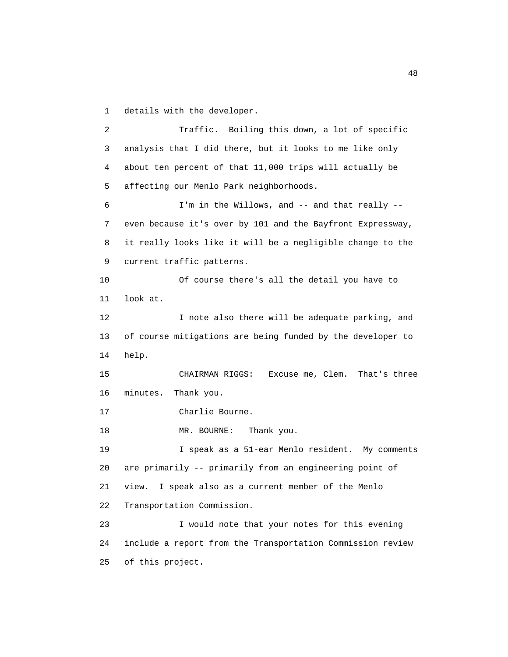1 details with the developer.

 2 Traffic. Boiling this down, a lot of specific 3 analysis that I did there, but it looks to me like only 4 about ten percent of that 11,000 trips will actually be 5 affecting our Menlo Park neighborhoods. 6 I'm in the Willows, and -- and that really -- 7 even because it's over by 101 and the Bayfront Expressway, 8 it really looks like it will be a negligible change to the 9 current traffic patterns. 10 Of course there's all the detail you have to 11 look at. 12 I note also there will be adequate parking, and 13 of course mitigations are being funded by the developer to 14 help. 15 CHAIRMAN RIGGS: Excuse me, Clem. That's three 16 minutes. Thank you. 17 Charlie Bourne. 18 MR. BOURNE: Thank you. 19 I speak as a 51-ear Menlo resident. My comments 20 are primarily -- primarily from an engineering point of 21 view. I speak also as a current member of the Menlo 22 Transportation Commission. 23 I would note that your notes for this evening 24 include a report from the Transportation Commission review 25 of this project.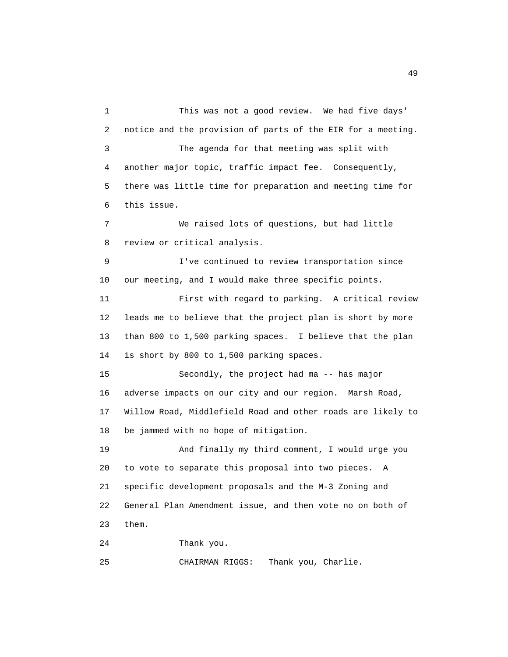1 This was not a good review. We had five days' 2 notice and the provision of parts of the EIR for a meeting. 3 The agenda for that meeting was split with 4 another major topic, traffic impact fee. Consequently, 5 there was little time for preparation and meeting time for 6 this issue. 7 We raised lots of questions, but had little 8 review or critical analysis. 9 I've continued to review transportation since 10 our meeting, and I would make three specific points. 11 First with regard to parking. A critical review 12 leads me to believe that the project plan is short by more 13 than 800 to 1,500 parking spaces. I believe that the plan 14 is short by 800 to 1,500 parking spaces. 15 Secondly, the project had ma -- has major 16 adverse impacts on our city and our region. Marsh Road, 17 Willow Road, Middlefield Road and other roads are likely to 18 be jammed with no hope of mitigation. 19 And finally my third comment, I would urge you 20 to vote to separate this proposal into two pieces. A 21 specific development proposals and the M-3 Zoning and 22 General Plan Amendment issue, and then vote no on both of 23 them. 24 Thank you. 25 CHAIRMAN RIGGS: Thank you, Charlie.

49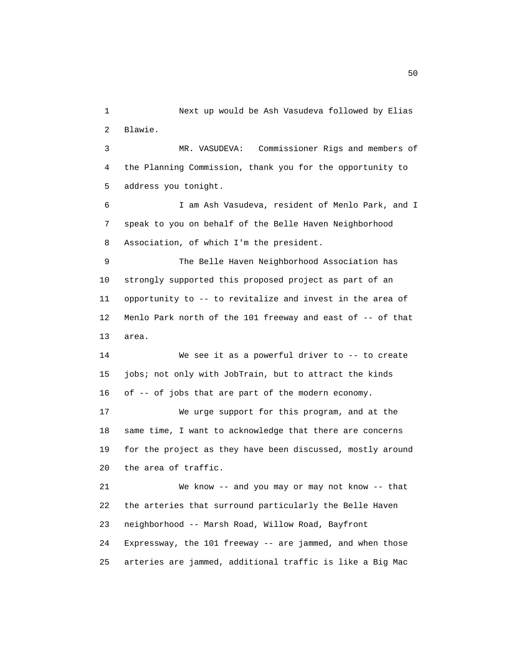1 Next up would be Ash Vasudeva followed by Elias 2 Blawie. 3 MR. VASUDEVA: Commissioner Rigs and members of 4 the Planning Commission, thank you for the opportunity to 5 address you tonight. 6 I am Ash Vasudeva, resident of Menlo Park, and I 7 speak to you on behalf of the Belle Haven Neighborhood 8 Association, of which I'm the president. 9 The Belle Haven Neighborhood Association has 10 strongly supported this proposed project as part of an 11 opportunity to -- to revitalize and invest in the area of 12 Menlo Park north of the 101 freeway and east of -- of that 13 area. 14 We see it as a powerful driver to -- to create 15 jobs; not only with JobTrain, but to attract the kinds 16 of -- of jobs that are part of the modern economy. 17 We urge support for this program, and at the 18 same time, I want to acknowledge that there are concerns 19 for the project as they have been discussed, mostly around 20 the area of traffic. 21 We know -- and you may or may not know -- that 22 the arteries that surround particularly the Belle Haven 23 neighborhood -- Marsh Road, Willow Road, Bayfront 24 Expressway, the 101 freeway -- are jammed, and when those

25 arteries are jammed, additional traffic is like a Big Mac

50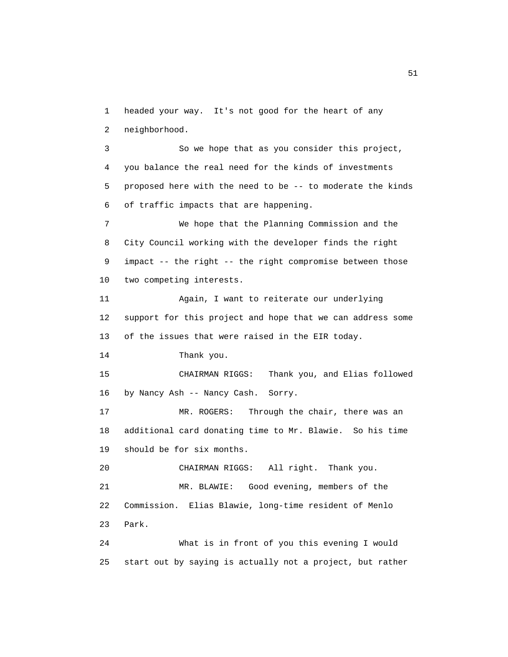1 headed your way. It's not good for the heart of any 2 neighborhood.

 3 So we hope that as you consider this project, 4 you balance the real need for the kinds of investments 5 proposed here with the need to be -- to moderate the kinds 6 of traffic impacts that are happening.

 7 We hope that the Planning Commission and the 8 City Council working with the developer finds the right 9 impact -- the right -- the right compromise between those 10 two competing interests.

 11 Again, I want to reiterate our underlying 12 support for this project and hope that we can address some 13 of the issues that were raised in the EIR today.

14 Thank you.

 15 CHAIRMAN RIGGS: Thank you, and Elias followed 16 by Nancy Ash -- Nancy Cash. Sorry.

 17 MR. ROGERS: Through the chair, there was an 18 additional card donating time to Mr. Blawie. So his time 19 should be for six months.

 20 CHAIRMAN RIGGS: All right. Thank you. 21 MR. BLAWIE: Good evening, members of the 22 Commission. Elias Blawie, long-time resident of Menlo 23 Park.

 24 What is in front of you this evening I would 25 start out by saying is actually not a project, but rather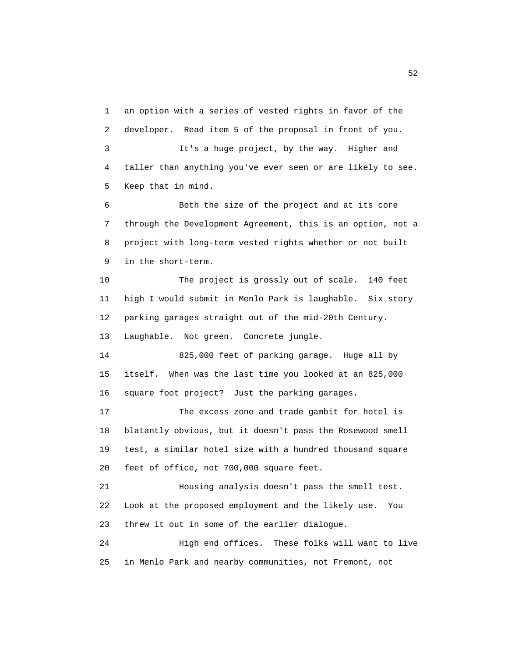1 an option with a series of vested rights in favor of the 2 developer. Read item 5 of the proposal in front of you. 3 It's a huge project, by the way. Higher and 4 taller than anything you've ever seen or are likely to see. 5 Keep that in mind.

 6 Both the size of the project and at its core 7 through the Development Agreement, this is an option, not a 8 project with long-term vested rights whether or not built 9 in the short-term.

 10 The project is grossly out of scale. 140 feet 11 high I would submit in Menlo Park is laughable. Six story 12 parking garages straight out of the mid-20th Century. 13 Laughable. Not green. Concrete jungle.

 14 825,000 feet of parking garage. Huge all by 15 itself. When was the last time you looked at an 825,000 16 square foot project? Just the parking garages.

 17 The excess zone and trade gambit for hotel is 18 blatantly obvious, but it doesn't pass the Rosewood smell 19 test, a similar hotel size with a hundred thousand square 20 feet of office, not 700,000 square feet.

 21 Housing analysis doesn't pass the smell test. 22 Look at the proposed employment and the likely use. You 23 threw it out in some of the earlier dialogue.

 24 High end offices. These folks will want to live 25 in Menlo Park and nearby communities, not Fremont, not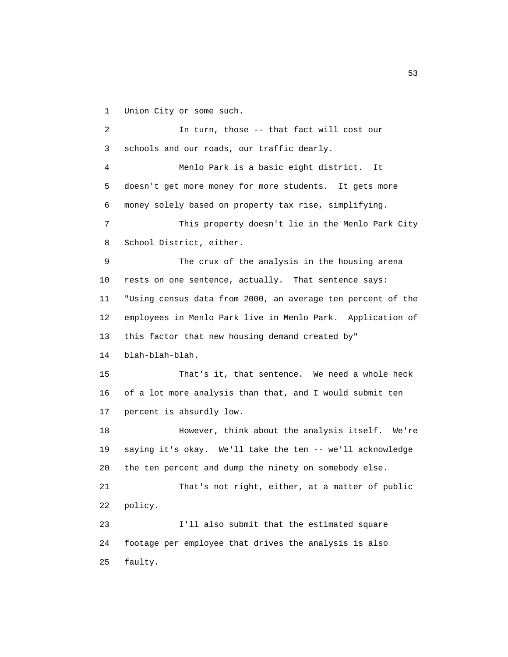1 Union City or some such.

 2 In turn, those -- that fact will cost our 3 schools and our roads, our traffic dearly. 4 Menlo Park is a basic eight district. It 5 doesn't get more money for more students. It gets more 6 money solely based on property tax rise, simplifying. 7 This property doesn't lie in the Menlo Park City 8 School District, either. 9 The crux of the analysis in the housing arena 10 rests on one sentence, actually. That sentence says: 11 "Using census data from 2000, an average ten percent of the 12 employees in Menlo Park live in Menlo Park. Application of 13 this factor that new housing demand created by" 14 blah-blah-blah. 15 That's it, that sentence. We need a whole heck 16 of a lot more analysis than that, and I would submit ten 17 percent is absurdly low. 18 However, think about the analysis itself. We're 19 saying it's okay. We'll take the ten -- we'll acknowledge 20 the ten percent and dump the ninety on somebody else. 21 That's not right, either, at a matter of public 22 policy. 23 I'll also submit that the estimated square 24 footage per employee that drives the analysis is also 25 faulty.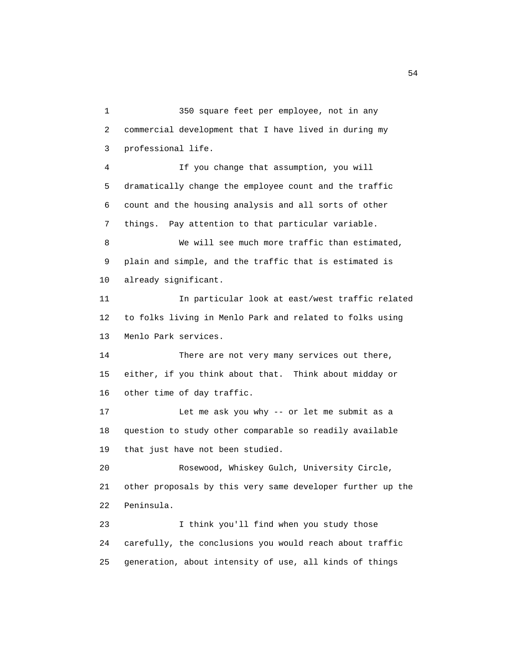1 350 square feet per employee, not in any 2 commercial development that I have lived in during my 3 professional life. 4 If you change that assumption, you will 5 dramatically change the employee count and the traffic 6 count and the housing analysis and all sorts of other 7 things. Pay attention to that particular variable. 8 We will see much more traffic than estimated, 9 plain and simple, and the traffic that is estimated is 10 already significant. 11 In particular look at east/west traffic related 12 to folks living in Menlo Park and related to folks using 13 Menlo Park services. 14 There are not very many services out there, 15 either, if you think about that. Think about midday or 16 other time of day traffic. 17 Let me ask you why -- or let me submit as a 18 question to study other comparable so readily available 19 that just have not been studied. 20 Rosewood, Whiskey Gulch, University Circle, 21 other proposals by this very same developer further up the 22 Peninsula. 23 I think you'll find when you study those 24 carefully, the conclusions you would reach about traffic 25 generation, about intensity of use, all kinds of things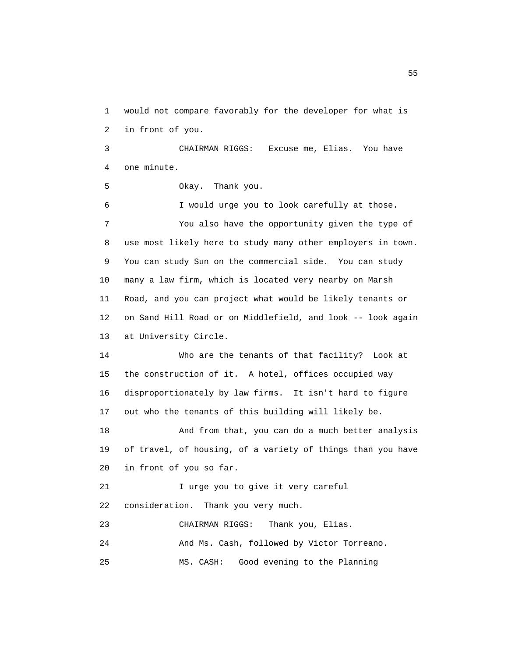1 would not compare favorably for the developer for what is 2 in front of you.

 3 CHAIRMAN RIGGS: Excuse me, Elias. You have 4 one minute.

5 Okay. Thank you.

 6 I would urge you to look carefully at those. 7 You also have the opportunity given the type of 8 use most likely here to study many other employers in town. 9 You can study Sun on the commercial side. You can study 10 many a law firm, which is located very nearby on Marsh 11 Road, and you can project what would be likely tenants or 12 on Sand Hill Road or on Middlefield, and look -- look again 13 at University Circle.

 14 Who are the tenants of that facility? Look at 15 the construction of it. A hotel, offices occupied way 16 disproportionately by law firms. It isn't hard to figure 17 out who the tenants of this building will likely be.

 18 And from that, you can do a much better analysis 19 of travel, of housing, of a variety of things than you have 20 in front of you so far.

21 I urge you to give it very careful 22 consideration. Thank you very much.

 23 CHAIRMAN RIGGS: Thank you, Elias. 24 And Ms. Cash, followed by Victor Torreano. 25 MS. CASH: Good evening to the Planning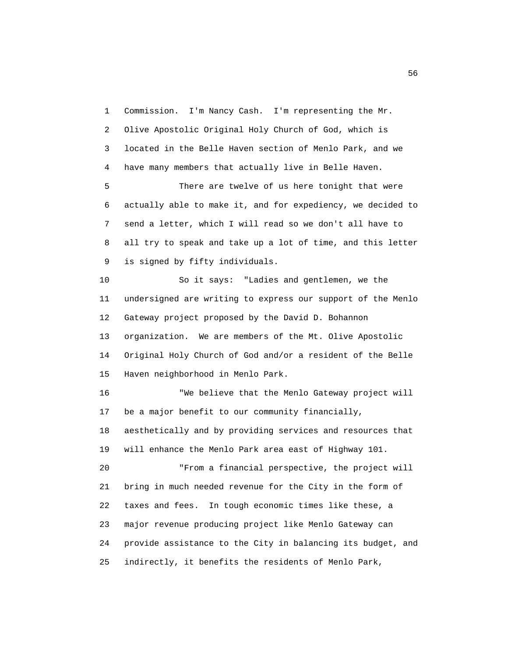1 Commission. I'm Nancy Cash. I'm representing the Mr. 2 Olive Apostolic Original Holy Church of God, which is 3 located in the Belle Haven section of Menlo Park, and we 4 have many members that actually live in Belle Haven.

 5 There are twelve of us here tonight that were 6 actually able to make it, and for expediency, we decided to 7 send a letter, which I will read so we don't all have to 8 all try to speak and take up a lot of time, and this letter 9 is signed by fifty individuals.

 10 So it says: "Ladies and gentlemen, we the 11 undersigned are writing to express our support of the Menlo 12 Gateway project proposed by the David D. Bohannon 13 organization. We are members of the Mt. Olive Apostolic 14 Original Holy Church of God and/or a resident of the Belle 15 Haven neighborhood in Menlo Park.

 16 "We believe that the Menlo Gateway project will 17 be a major benefit to our community financially, 18 aesthetically and by providing services and resources that 19 will enhance the Menlo Park area east of Highway 101. 20 "From a financial perspective, the project will 21 bring in much needed revenue for the City in the form of 22 taxes and fees. In tough economic times like these, a 23 major revenue producing project like Menlo Gateway can

25 indirectly, it benefits the residents of Menlo Park,

24 provide assistance to the City in balancing its budget, and

 $\sim$  56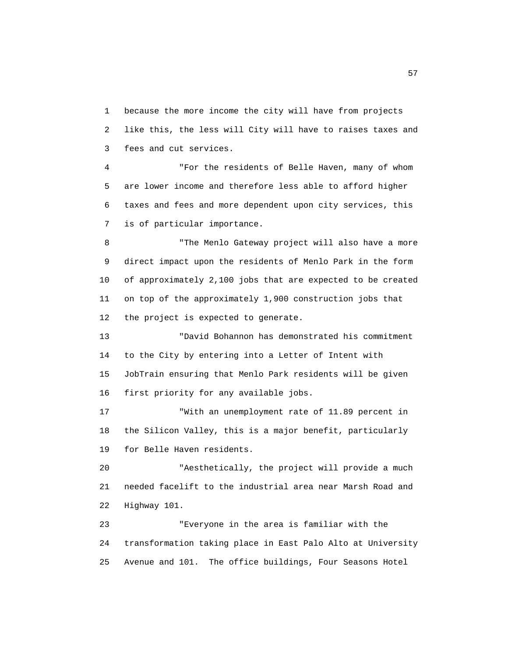1 because the more income the city will have from projects 2 like this, the less will City will have to raises taxes and 3 fees and cut services.

 4 "For the residents of Belle Haven, many of whom 5 are lower income and therefore less able to afford higher 6 taxes and fees and more dependent upon city services, this 7 is of particular importance.

 8 "The Menlo Gateway project will also have a more 9 direct impact upon the residents of Menlo Park in the form 10 of approximately 2,100 jobs that are expected to be created 11 on top of the approximately 1,900 construction jobs that 12 the project is expected to generate.

 13 "David Bohannon has demonstrated his commitment 14 to the City by entering into a Letter of Intent with 15 JobTrain ensuring that Menlo Park residents will be given 16 first priority for any available jobs.

 17 "With an unemployment rate of 11.89 percent in 18 the Silicon Valley, this is a major benefit, particularly 19 for Belle Haven residents.

 20 "Aesthetically, the project will provide a much 21 needed facelift to the industrial area near Marsh Road and 22 Highway 101.

 23 "Everyone in the area is familiar with the 24 transformation taking place in East Palo Alto at University 25 Avenue and 101. The office buildings, Four Seasons Hotel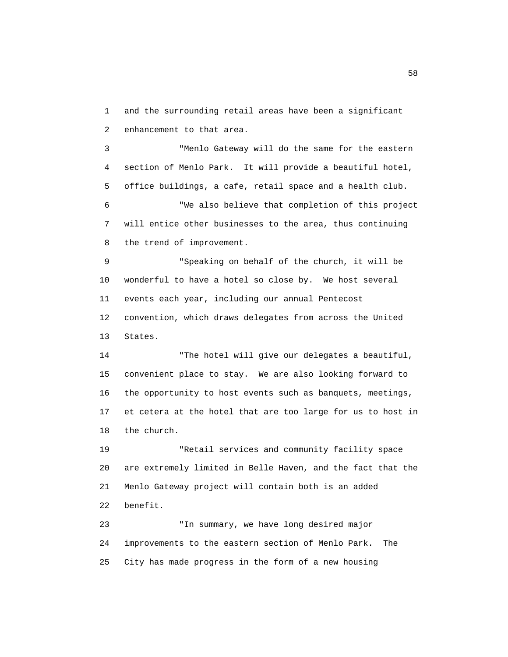1 and the surrounding retail areas have been a significant 2 enhancement to that area.

 3 "Menlo Gateway will do the same for the eastern 4 section of Menlo Park. It will provide a beautiful hotel, 5 office buildings, a cafe, retail space and a health club.

 6 "We also believe that completion of this project 7 will entice other businesses to the area, thus continuing 8 the trend of improvement.

 9 "Speaking on behalf of the church, it will be 10 wonderful to have a hotel so close by. We host several 11 events each year, including our annual Pentecost 12 convention, which draws delegates from across the United 13 States.

 14 "The hotel will give our delegates a beautiful, 15 convenient place to stay. We are also looking forward to 16 the opportunity to host events such as banquets, meetings, 17 et cetera at the hotel that are too large for us to host in 18 the church.

 19 "Retail services and community facility space 20 are extremely limited in Belle Haven, and the fact that the 21 Menlo Gateway project will contain both is an added 22 benefit.

 23 "In summary, we have long desired major 24 improvements to the eastern section of Menlo Park. The 25 City has made progress in the form of a new housing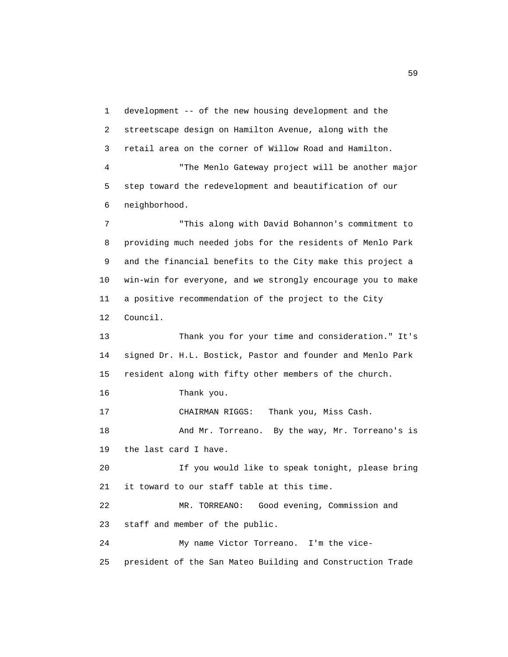1 development -- of the new housing development and the 2 streetscape design on Hamilton Avenue, along with the 3 retail area on the corner of Willow Road and Hamilton. 4 "The Menlo Gateway project will be another major 5 step toward the redevelopment and beautification of our 6 neighborhood. 7 "This along with David Bohannon's commitment to 8 providing much needed jobs for the residents of Menlo Park 9 and the financial benefits to the City make this project a 10 win-win for everyone, and we strongly encourage you to make 11 a positive recommendation of the project to the City 12 Council. 13 Thank you for your time and consideration." It's 14 signed Dr. H.L. Bostick, Pastor and founder and Menlo Park 15 resident along with fifty other members of the church. 16 Thank you. 17 CHAIRMAN RIGGS: Thank you, Miss Cash. 18 And Mr. Torreano. By the way, Mr. Torreano's is 19 the last card I have. 20 If you would like to speak tonight, please bring 21 it toward to our staff table at this time. 22 MR. TORREANO: Good evening, Commission and 23 staff and member of the public. 24 My name Victor Torreano. I'm the vice- 25 president of the San Mateo Building and Construction Trade

 $\sim$  59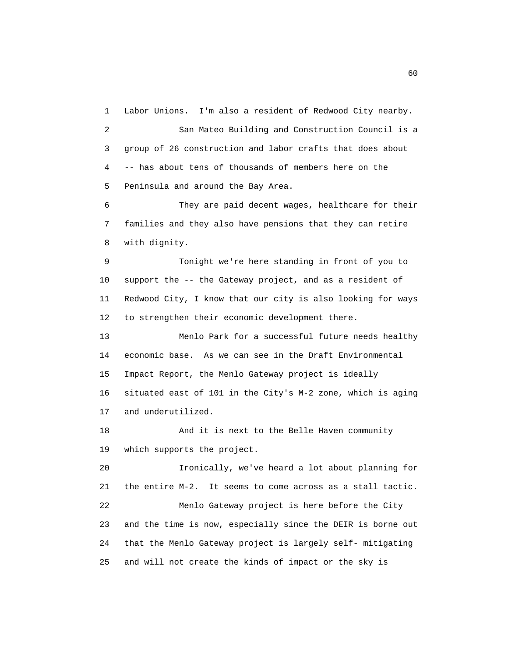1 Labor Unions. I'm also a resident of Redwood City nearby.

 2 San Mateo Building and Construction Council is a 3 group of 26 construction and labor crafts that does about 4 -- has about tens of thousands of members here on the 5 Peninsula and around the Bay Area.

 6 They are paid decent wages, healthcare for their 7 families and they also have pensions that they can retire 8 with dignity.

 9 Tonight we're here standing in front of you to 10 support the -- the Gateway project, and as a resident of 11 Redwood City, I know that our city is also looking for ways 12 to strengthen their economic development there.

 13 Menlo Park for a successful future needs healthy 14 economic base. As we can see in the Draft Environmental 15 Impact Report, the Menlo Gateway project is ideally 16 situated east of 101 in the City's M-2 zone, which is aging 17 and underutilized.

 18 And it is next to the Belle Haven community 19 which supports the project.

 20 Ironically, we've heard a lot about planning for 21 the entire M-2. It seems to come across as a stall tactic. 22 Menlo Gateway project is here before the City 23 and the time is now, especially since the DEIR is borne out 24 that the Menlo Gateway project is largely self- mitigating 25 and will not create the kinds of impact or the sky is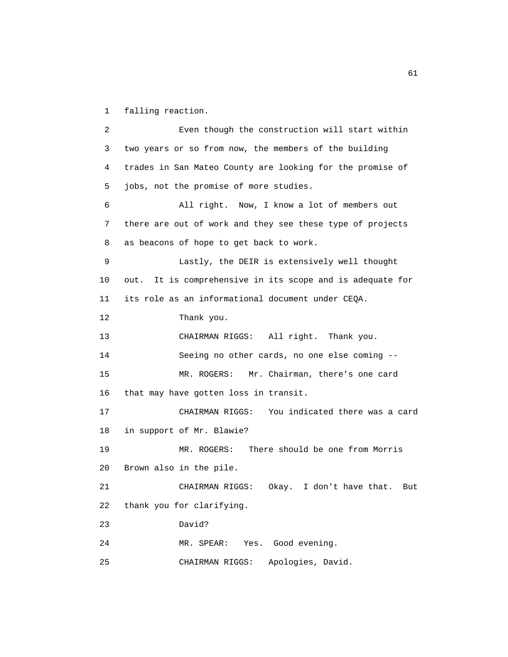1 falling reaction.

 2 Even though the construction will start within 3 two years or so from now, the members of the building 4 trades in San Mateo County are looking for the promise of 5 jobs, not the promise of more studies. 6 All right. Now, I know a lot of members out 7 there are out of work and they see these type of projects 8 as beacons of hope to get back to work. 9 Lastly, the DEIR is extensively well thought 10 out. It is comprehensive in its scope and is adequate for 11 its role as an informational document under CEQA. 12 Thank you. 13 CHAIRMAN RIGGS: All right. Thank you. 14 Seeing no other cards, no one else coming -- 15 MR. ROGERS: Mr. Chairman, there's one card 16 that may have gotten loss in transit. 17 CHAIRMAN RIGGS: You indicated there was a card 18 in support of Mr. Blawie? 19 MR. ROGERS: There should be one from Morris 20 Brown also in the pile. 21 CHAIRMAN RIGGS: Okay. I don't have that. But 22 thank you for clarifying. 23 David? 24 MR. SPEAR: Yes. Good evening. 25 CHAIRMAN RIGGS: Apologies, David.

61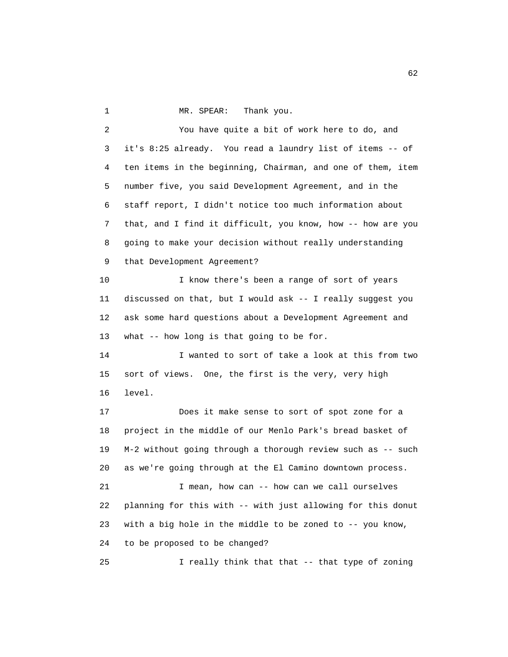1 MR. SPEAR: Thank you.

 2 You have quite a bit of work here to do, and 3 it's 8:25 already. You read a laundry list of items -- of 4 ten items in the beginning, Chairman, and one of them, item 5 number five, you said Development Agreement, and in the 6 staff report, I didn't notice too much information about 7 that, and I find it difficult, you know, how -- how are you 8 going to make your decision without really understanding 9 that Development Agreement? 10 I know there's been a range of sort of years 11 discussed on that, but I would ask -- I really suggest you 12 ask some hard questions about a Development Agreement and 13 what -- how long is that going to be for. 14 I wanted to sort of take a look at this from two 15 sort of views. One, the first is the very, very high 16 level. 17 Does it make sense to sort of spot zone for a 18 project in the middle of our Menlo Park's bread basket of 19 M-2 without going through a thorough review such as -- such 20 as we're going through at the El Camino downtown process. 21 I mean, how can -- how can we call ourselves 22 planning for this with -- with just allowing for this donut 23 with a big hole in the middle to be zoned to -- you know, 24 to be proposed to be changed? 25 I really think that that -- that type of zoning

 $\sim$  62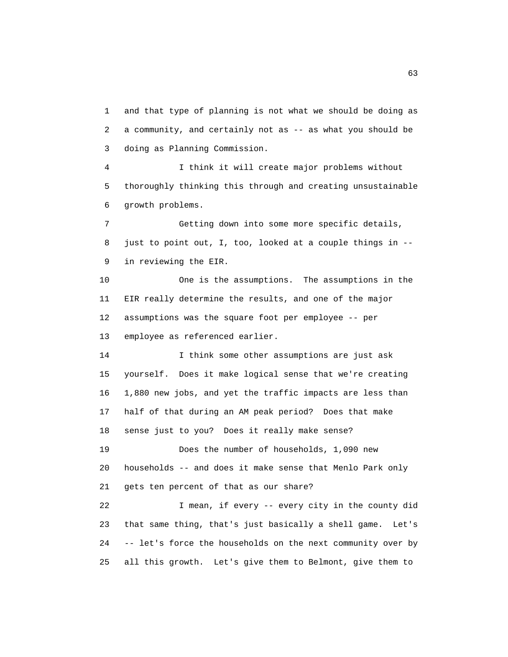1 and that type of planning is not what we should be doing as 2 a community, and certainly not as -- as what you should be 3 doing as Planning Commission.

 4 I think it will create major problems without 5 thoroughly thinking this through and creating unsustainable 6 growth problems.

 7 Getting down into some more specific details, 8 just to point out, I, too, looked at a couple things in -- 9 in reviewing the EIR.

 10 One is the assumptions. The assumptions in the 11 EIR really determine the results, and one of the major 12 assumptions was the square foot per employee -- per 13 employee as referenced earlier.

 14 I think some other assumptions are just ask 15 yourself. Does it make logical sense that we're creating 16 1,880 new jobs, and yet the traffic impacts are less than 17 half of that during an AM peak period? Does that make 18 sense just to you? Does it really make sense?

 19 Does the number of households, 1,090 new 20 households -- and does it make sense that Menlo Park only 21 gets ten percent of that as our share?

 22 I mean, if every -- every city in the county did 23 that same thing, that's just basically a shell game. Let's 24 -- let's force the households on the next community over by 25 all this growth. Let's give them to Belmont, give them to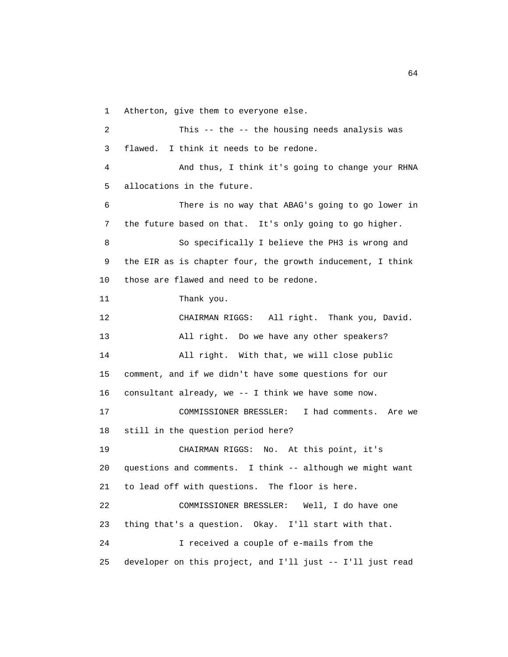1 Atherton, give them to everyone else.

 2 This -- the -- the housing needs analysis was 3 flawed. I think it needs to be redone. 4 And thus, I think it's going to change your RHNA 5 allocations in the future. 6 There is no way that ABAG's going to go lower in 7 the future based on that. It's only going to go higher. 8 So specifically I believe the PH3 is wrong and 9 the EIR as is chapter four, the growth inducement, I think 10 those are flawed and need to be redone. 11 Thank you. 12 CHAIRMAN RIGGS: All right. Thank you, David. 13 All right. Do we have any other speakers? 14 All right. With that, we will close public 15 comment, and if we didn't have some questions for our 16 consultant already, we -- I think we have some now. 17 COMMISSIONER BRESSLER: I had comments. Are we 18 still in the question period here? 19 CHAIRMAN RIGGS: No. At this point, it's 20 questions and comments. I think -- although we might want 21 to lead off with questions. The floor is here. 22 COMMISSIONER BRESSLER: Well, I do have one 23 thing that's a question. Okay. I'll start with that. 24 I received a couple of e-mails from the 25 developer on this project, and I'll just -- I'll just read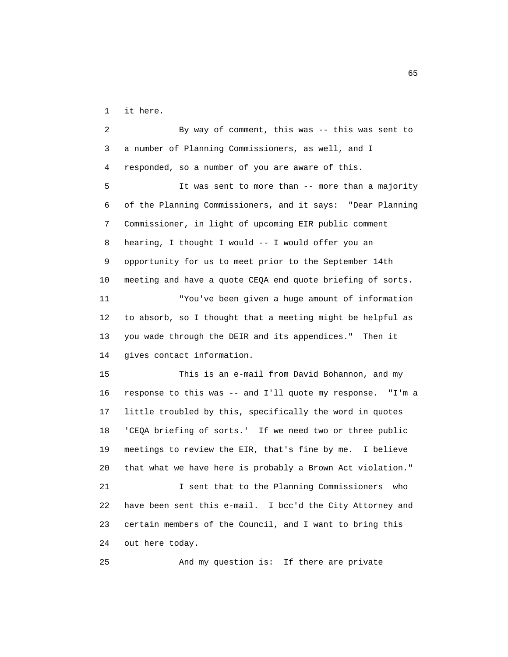1 it here.

 2 By way of comment, this was -- this was sent to 3 a number of Planning Commissioners, as well, and I 4 responded, so a number of you are aware of this. 5 It was sent to more than -- more than a majority 6 of the Planning Commissioners, and it says: "Dear Planning 7 Commissioner, in light of upcoming EIR public comment 8 hearing, I thought I would -- I would offer you an 9 opportunity for us to meet prior to the September 14th 10 meeting and have a quote CEQA end quote briefing of sorts. 11 "You've been given a huge amount of information 12 to absorb, so I thought that a meeting might be helpful as 13 you wade through the DEIR and its appendices." Then it 14 gives contact information. 15 This is an e-mail from David Bohannon, and my 16 response to this was -- and I'll quote my response. "I'm a 17 little troubled by this, specifically the word in quotes 18 'CEQA briefing of sorts.' If we need two or three public 19 meetings to review the EIR, that's fine by me. I believe 20 that what we have here is probably a Brown Act violation." 21 I sent that to the Planning Commissioners who 22 have been sent this e-mail. I bcc'd the City Attorney and 23 certain members of the Council, and I want to bring this 24 out here today. 25 And my question is: If there are private

 $\sim$  65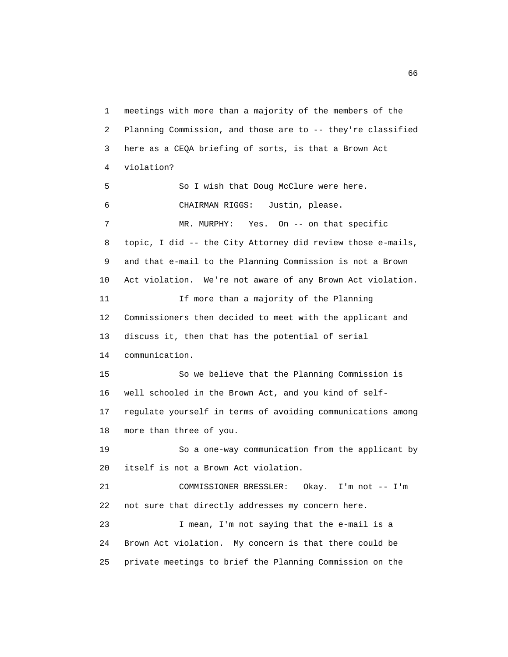1 meetings with more than a majority of the members of the 2 Planning Commission, and those are to -- they're classified 3 here as a CEQA briefing of sorts, is that a Brown Act 4 violation? 5 So I wish that Doug McClure were here. 6 CHAIRMAN RIGGS: Justin, please. 7 MR. MURPHY: Yes. On -- on that specific 8 topic, I did -- the City Attorney did review those e-mails, 9 and that e-mail to the Planning Commission is not a Brown 10 Act violation. We're not aware of any Brown Act violation. 11 If more than a majority of the Planning 12 Commissioners then decided to meet with the applicant and 13 discuss it, then that has the potential of serial 14 communication. 15 So we believe that the Planning Commission is 16 well schooled in the Brown Act, and you kind of self- 17 regulate yourself in terms of avoiding communications among 18 more than three of you. 19 So a one-way communication from the applicant by 20 itself is not a Brown Act violation. 21 COMMISSIONER BRESSLER: Okay. I'm not -- I'm 22 not sure that directly addresses my concern here. 23 I mean, I'm not saying that the e-mail is a 24 Brown Act violation. My concern is that there could be 25 private meetings to brief the Planning Commission on the

 $\sim$  66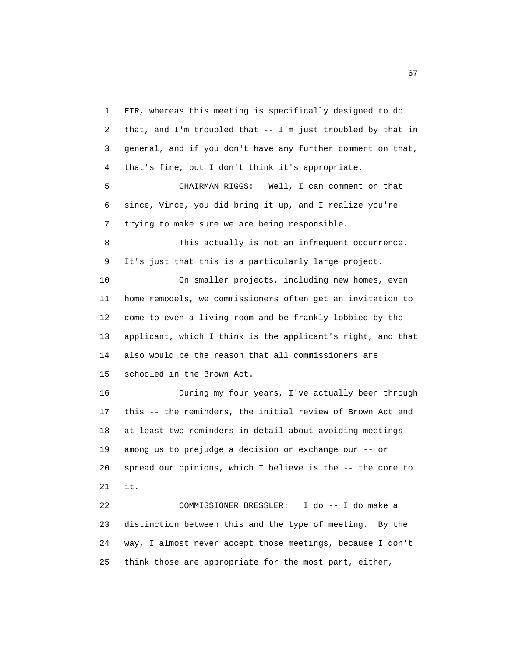1 EIR, whereas this meeting is specifically designed to do 2 that, and I'm troubled that -- I'm just troubled by that in 3 general, and if you don't have any further comment on that, 4 that's fine, but I don't think it's appropriate. 5 CHAIRMAN RIGGS: Well, I can comment on that 6 since, Vince, you did bring it up, and I realize you're 7 trying to make sure we are being responsible. 8 This actually is not an infrequent occurrence. 9 It's just that this is a particularly large project. 10 On smaller projects, including new homes, even 11 home remodels, we commissioners often get an invitation to 12 come to even a living room and be frankly lobbied by the 13 applicant, which I think is the applicant's right, and that 14 also would be the reason that all commissioners are 15 schooled in the Brown Act. 16 During my four years, I've actually been through 17 this -- the reminders, the initial review of Brown Act and 18 at least two reminders in detail about avoiding meetings 19 among us to prejudge a decision or exchange our -- or 20 spread our opinions, which I believe is the -- the core to 21 it. 22 COMMISSIONER BRESSLER: I do -- I do make a

 23 distinction between this and the type of meeting. By the 24 way, I almost never accept those meetings, because I don't 25 think those are appropriate for the most part, either,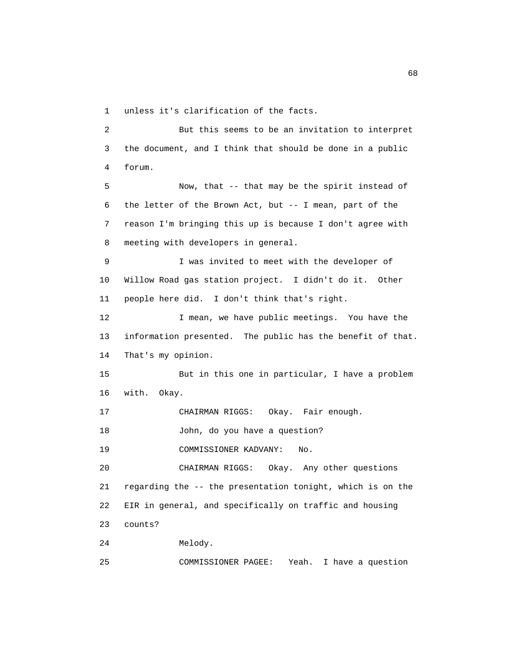1 unless it's clarification of the facts.

 2 But this seems to be an invitation to interpret 3 the document, and I think that should be done in a public 4 forum. 5 Now, that -- that may be the spirit instead of 6 the letter of the Brown Act, but -- I mean, part of the 7 reason I'm bringing this up is because I don't agree with 8 meeting with developers in general. 9 I was invited to meet with the developer of 10 Willow Road gas station project. I didn't do it. Other 11 people here did. I don't think that's right. 12 I mean, we have public meetings. You have the 13 information presented. The public has the benefit of that. 14 That's my opinion. 15 But in this one in particular, I have a problem 16 with. Okay. 17 CHAIRMAN RIGGS: Okay. Fair enough. 18 John, do you have a question? 19 COMMISSIONER KADVANY: No. 20 CHAIRMAN RIGGS: Okay. Any other questions 21 regarding the -- the presentation tonight, which is on the 22 EIR in general, and specifically on traffic and housing 23 counts? 24 Melody. 25 COMMISSIONER PAGEE: Yeah. I have a question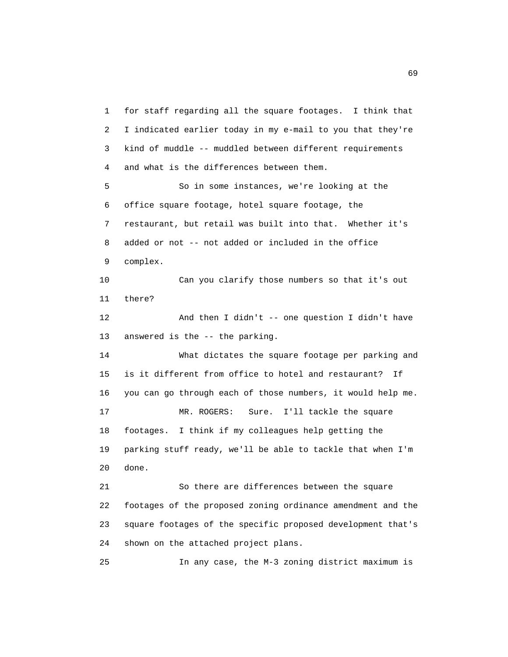1 for staff regarding all the square footages. I think that 2 I indicated earlier today in my e-mail to you that they're 3 kind of muddle -- muddled between different requirements 4 and what is the differences between them. 5 So in some instances, we're looking at the 6 office square footage, hotel square footage, the 7 restaurant, but retail was built into that. Whether it's 8 added or not -- not added or included in the office 9 complex. 10 Can you clarify those numbers so that it's out 11 there? 12 And then I didn't -- one question I didn't have 13 answered is the -- the parking. 14 What dictates the square footage per parking and 15 is it different from office to hotel and restaurant? If 16 you can go through each of those numbers, it would help me. 17 MR. ROGERS: Sure. I'll tackle the square 18 footages. I think if my colleagues help getting the 19 parking stuff ready, we'll be able to tackle that when I'm 20 done. 21 So there are differences between the square 22 footages of the proposed zoning ordinance amendment and the 23 square footages of the specific proposed development that's 24 shown on the attached project plans.

25 In any case, the M-3 zoning district maximum is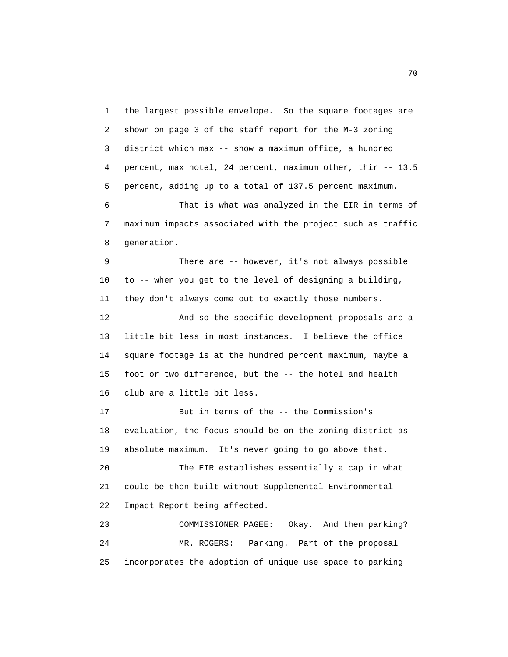1 the largest possible envelope. So the square footages are 2 shown on page 3 of the staff report for the M-3 zoning 3 district which max -- show a maximum office, a hundred 4 percent, max hotel, 24 percent, maximum other, thir -- 13.5 5 percent, adding up to a total of 137.5 percent maximum. 6 That is what was analyzed in the EIR in terms of 7 maximum impacts associated with the project such as traffic 8 generation.

 9 There are -- however, it's not always possible 10 to -- when you get to the level of designing a building, 11 they don't always come out to exactly those numbers. 12 And so the specific development proposals are a 13 little bit less in most instances. I believe the office 14 square footage is at the hundred percent maximum, maybe a 15 foot or two difference, but the -- the hotel and health 16 club are a little bit less.

 17 But in terms of the -- the Commission's 18 evaluation, the focus should be on the zoning district as 19 absolute maximum. It's never going to go above that.

 20 The EIR establishes essentially a cap in what 21 could be then built without Supplemental Environmental 22 Impact Report being affected.

 23 COMMISSIONER PAGEE: Okay. And then parking? 24 MR. ROGERS: Parking. Part of the proposal 25 incorporates the adoption of unique use space to parking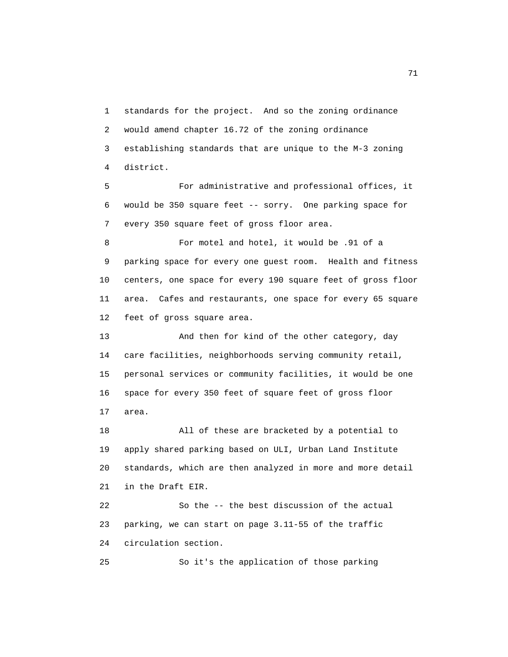1 standards for the project. And so the zoning ordinance 2 would amend chapter 16.72 of the zoning ordinance 3 establishing standards that are unique to the M-3 zoning 4 district.

 5 For administrative and professional offices, it 6 would be 350 square feet -- sorry. One parking space for 7 every 350 square feet of gross floor area.

 8 For motel and hotel, it would be .91 of a 9 parking space for every one guest room. Health and fitness 10 centers, one space for every 190 square feet of gross floor 11 area. Cafes and restaurants, one space for every 65 square 12 feet of gross square area.

 13 And then for kind of the other category, day 14 care facilities, neighborhoods serving community retail, 15 personal services or community facilities, it would be one 16 space for every 350 feet of square feet of gross floor 17 area.

 18 All of these are bracketed by a potential to 19 apply shared parking based on ULI, Urban Land Institute 20 standards, which are then analyzed in more and more detail 21 in the Draft EIR.

 22 So the -- the best discussion of the actual 23 parking, we can start on page 3.11-55 of the traffic 24 circulation section.

25 So it's the application of those parking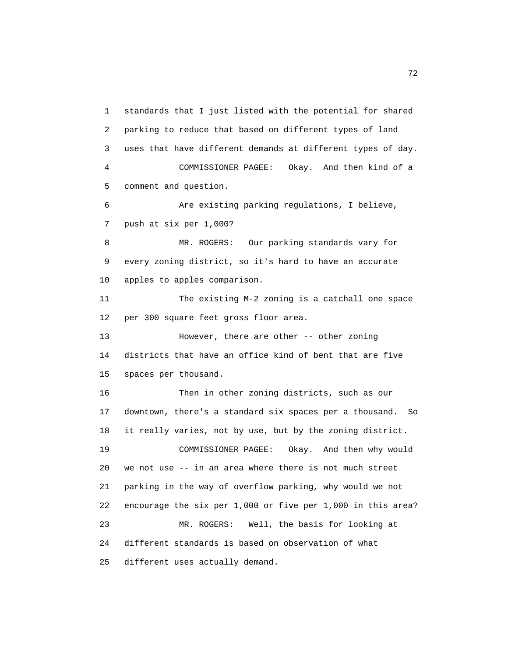1 standards that I just listed with the potential for shared 2 parking to reduce that based on different types of land 3 uses that have different demands at different types of day. 4 COMMISSIONER PAGEE: Okay. And then kind of a 5 comment and question. 6 Are existing parking regulations, I believe, 7 push at six per 1,000? 8 MR. ROGERS: Our parking standards vary for 9 every zoning district, so it's hard to have an accurate 10 apples to apples comparison. 11 The existing M-2 zoning is a catchall one space 12 per 300 square feet gross floor area. 13 However, there are other -- other zoning 14 districts that have an office kind of bent that are five 15 spaces per thousand. 16 Then in other zoning districts, such as our 17 downtown, there's a standard six spaces per a thousand. So 18 it really varies, not by use, but by the zoning district. 19 COMMISSIONER PAGEE: Okay. And then why would 20 we not use -- in an area where there is not much street 21 parking in the way of overflow parking, why would we not 22 encourage the six per 1,000 or five per 1,000 in this area? 23 MR. ROGERS: Well, the basis for looking at 24 different standards is based on observation of what 25 different uses actually demand.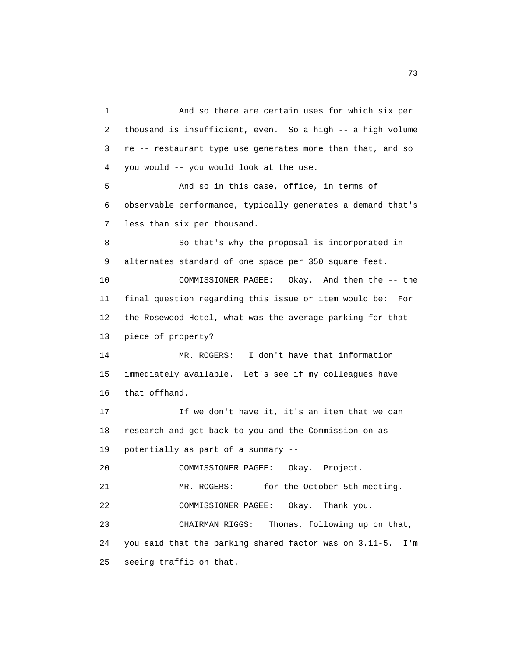1 And so there are certain uses for which six per 2 thousand is insufficient, even. So a high -- a high volume 3 re -- restaurant type use generates more than that, and so 4 you would -- you would look at the use. 5 And so in this case, office, in terms of 6 observable performance, typically generates a demand that's 7 less than six per thousand. 8 So that's why the proposal is incorporated in 9 alternates standard of one space per 350 square feet. 10 COMMISSIONER PAGEE: Okay. And then the -- the 11 final question regarding this issue or item would be: For 12 the Rosewood Hotel, what was the average parking for that 13 piece of property? 14 MR. ROGERS: I don't have that information 15 immediately available. Let's see if my colleagues have 16 that offhand. 17 If we don't have it, it's an item that we can 18 research and get back to you and the Commission on as 19 potentially as part of a summary -- 20 COMMISSIONER PAGEE: Okay. Project. 21 MR. ROGERS: -- for the October 5th meeting. 22 COMMISSIONER PAGEE: Okay. Thank you. 23 CHAIRMAN RIGGS: Thomas, following up on that, 24 you said that the parking shared factor was on 3.11-5. I'm 25 seeing traffic on that.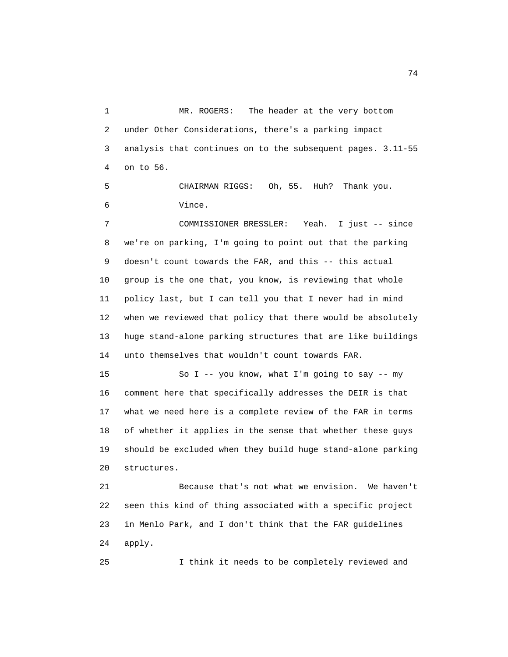1 MR. ROGERS: The header at the very bottom 2 under Other Considerations, there's a parking impact 3 analysis that continues on to the subsequent pages. 3.11-55 4 on to 56.

 5 CHAIRMAN RIGGS: Oh, 55. Huh? Thank you. 6 Vince.

 7 COMMISSIONER BRESSLER: Yeah. I just -- since 8 we're on parking, I'm going to point out that the parking 9 doesn't count towards the FAR, and this -- this actual 10 group is the one that, you know, is reviewing that whole 11 policy last, but I can tell you that I never had in mind 12 when we reviewed that policy that there would be absolutely 13 huge stand-alone parking structures that are like buildings 14 unto themselves that wouldn't count towards FAR.

 15 So I -- you know, what I'm going to say -- my 16 comment here that specifically addresses the DEIR is that 17 what we need here is a complete review of the FAR in terms 18 of whether it applies in the sense that whether these guys 19 should be excluded when they build huge stand-alone parking 20 structures.

 21 Because that's not what we envision. We haven't 22 seen this kind of thing associated with a specific project 23 in Menlo Park, and I don't think that the FAR guidelines 24 apply.

25 I think it needs to be completely reviewed and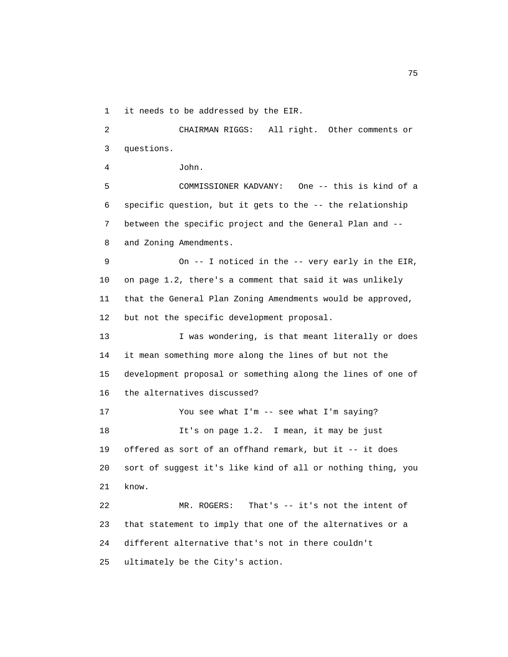1 it needs to be addressed by the EIR.

 2 CHAIRMAN RIGGS: All right. Other comments or 3 questions. 4 John. 5 COMMISSIONER KADVANY: One -- this is kind of a 6 specific question, but it gets to the -- the relationship 7 between the specific project and the General Plan and -- 8 and Zoning Amendments. 9 On -- I noticed in the -- very early in the EIR, 10 on page 1.2, there's a comment that said it was unlikely 11 that the General Plan Zoning Amendments would be approved, 12 but not the specific development proposal. 13 I was wondering, is that meant literally or does 14 it mean something more along the lines of but not the 15 development proposal or something along the lines of one of 16 the alternatives discussed? 17 You see what I'm -- see what I'm saying? 18 It's on page 1.2. I mean, it may be just 19 offered as sort of an offhand remark, but it -- it does 20 sort of suggest it's like kind of all or nothing thing, you 21 know. 22 MR. ROGERS: That's -- it's not the intent of 23 that statement to imply that one of the alternatives or a 24 different alternative that's not in there couldn't 25 ultimately be the City's action.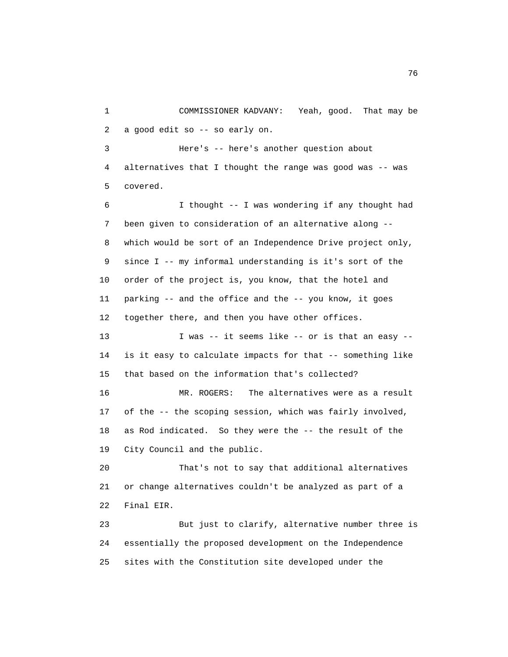1 COMMISSIONER KADVANY: Yeah, good. That may be 2 a good edit so -- so early on.

 3 Here's -- here's another question about 4 alternatives that I thought the range was good was -- was 5 covered.

 6 I thought -- I was wondering if any thought had 7 been given to consideration of an alternative along -- 8 which would be sort of an Independence Drive project only, 9 since I -- my informal understanding is it's sort of the 10 order of the project is, you know, that the hotel and 11 parking -- and the office and the -- you know, it goes 12 together there, and then you have other offices.

 13 I was -- it seems like -- or is that an easy -- 14 is it easy to calculate impacts for that -- something like 15 that based on the information that's collected?

 16 MR. ROGERS: The alternatives were as a result 17 of the -- the scoping session, which was fairly involved, 18 as Rod indicated. So they were the -- the result of the 19 City Council and the public.

 20 That's not to say that additional alternatives 21 or change alternatives couldn't be analyzed as part of a 22 Final EIR.

 23 But just to clarify, alternative number three is 24 essentially the proposed development on the Independence 25 sites with the Constitution site developed under the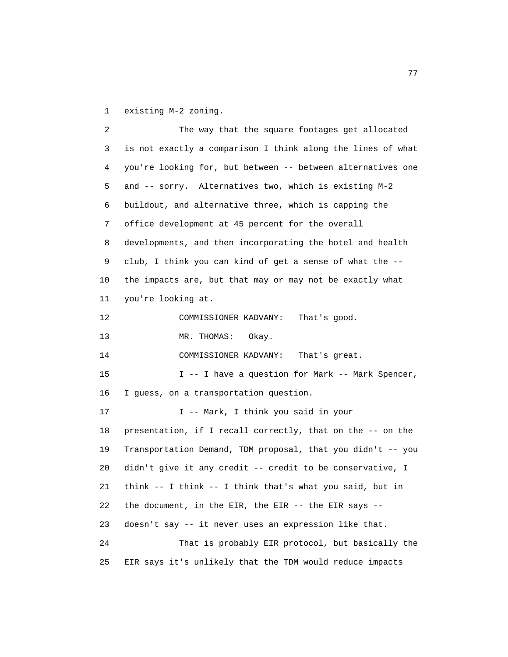1 existing M-2 zoning.

 2 The way that the square footages get allocated 3 is not exactly a comparison I think along the lines of what 4 you're looking for, but between -- between alternatives one 5 and -- sorry. Alternatives two, which is existing M-2 6 buildout, and alternative three, which is capping the 7 office development at 45 percent for the overall 8 developments, and then incorporating the hotel and health 9 club, I think you can kind of get a sense of what the -- 10 the impacts are, but that may or may not be exactly what 11 you're looking at. 12 COMMISSIONER KADVANY: That's good. 13 MR. THOMAS: Okay. 14 COMMISSIONER KADVANY: That's great. 15 I -- I have a question for Mark -- Mark Spencer, 16 I guess, on a transportation question. 17 I -- Mark, I think you said in your 18 presentation, if I recall correctly, that on the -- on the 19 Transportation Demand, TDM proposal, that you didn't -- you 20 didn't give it any credit -- credit to be conservative, I 21 think -- I think -- I think that's what you said, but in 22 the document, in the EIR, the EIR -- the EIR says -- 23 doesn't say -- it never uses an expression like that. 24 That is probably EIR protocol, but basically the 25 EIR says it's unlikely that the TDM would reduce impacts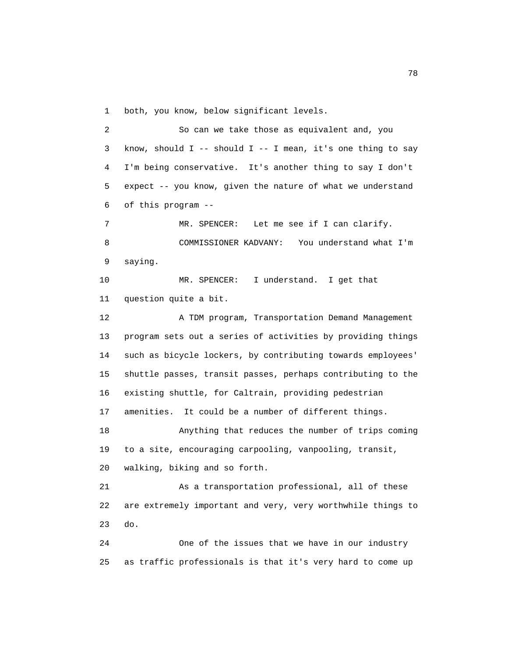1 both, you know, below significant levels.

 2 So can we take those as equivalent and, you 3 know, should I -- should I -- I mean, it's one thing to say 4 I'm being conservative. It's another thing to say I don't 5 expect -- you know, given the nature of what we understand 6 of this program -- 7 MR. SPENCER: Let me see if I can clarify. 8 COMMISSIONER KADVANY: You understand what I'm 9 saying. 10 MR. SPENCER: I understand. I get that 11 question quite a bit. 12 A TDM program, Transportation Demand Management 13 program sets out a series of activities by providing things 14 such as bicycle lockers, by contributing towards employees' 15 shuttle passes, transit passes, perhaps contributing to the 16 existing shuttle, for Caltrain, providing pedestrian 17 amenities. It could be a number of different things. 18 Anything that reduces the number of trips coming 19 to a site, encouraging carpooling, vanpooling, transit, 20 walking, biking and so forth. 21 As a transportation professional, all of these 22 are extremely important and very, very worthwhile things to 23 do. 24 One of the issues that we have in our industry

25 as traffic professionals is that it's very hard to come up

n and the state of the state of the state of the state of the state of the state of the state of the state of the state of the state of the state of the state of the state of the state of the state of the state of the stat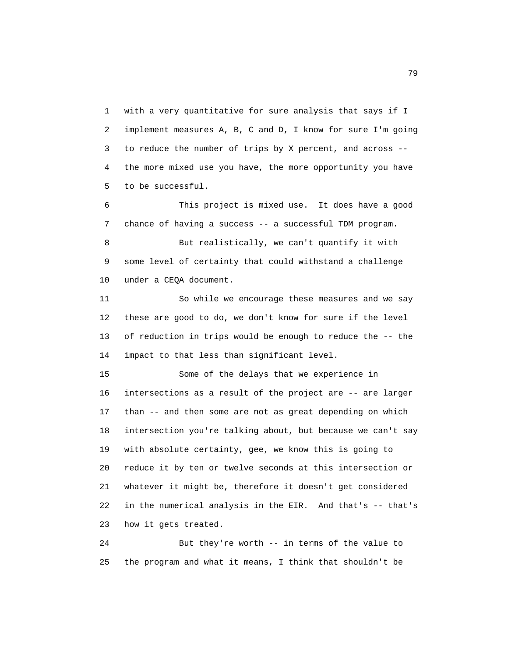1 with a very quantitative for sure analysis that says if I 2 implement measures A, B, C and D, I know for sure I'm going 3 to reduce the number of trips by X percent, and across -- 4 the more mixed use you have, the more opportunity you have 5 to be successful.

 6 This project is mixed use. It does have a good 7 chance of having a success -- a successful TDM program.

 8 But realistically, we can't quantify it with 9 some level of certainty that could withstand a challenge 10 under a CEQA document.

 11 So while we encourage these measures and we say 12 these are good to do, we don't know for sure if the level 13 of reduction in trips would be enough to reduce the -- the 14 impact to that less than significant level.

 15 Some of the delays that we experience in 16 intersections as a result of the project are -- are larger 17 than -- and then some are not as great depending on which 18 intersection you're talking about, but because we can't say 19 with absolute certainty, gee, we know this is going to 20 reduce it by ten or twelve seconds at this intersection or 21 whatever it might be, therefore it doesn't get considered 22 in the numerical analysis in the EIR. And that's -- that's 23 how it gets treated.

 24 But they're worth -- in terms of the value to 25 the program and what it means, I think that shouldn't be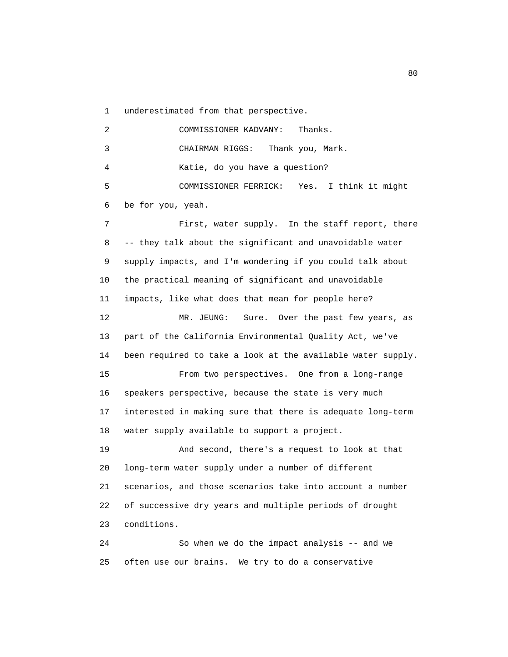1 underestimated from that perspective.

 2 COMMISSIONER KADVANY: Thanks. 3 CHAIRMAN RIGGS: Thank you, Mark. 4 Katie, do you have a question? 5 COMMISSIONER FERRICK: Yes. I think it might 6 be for you, yeah. 7 First, water supply. In the staff report, there 8 -- they talk about the significant and unavoidable water 9 supply impacts, and I'm wondering if you could talk about 10 the practical meaning of significant and unavoidable 11 impacts, like what does that mean for people here? 12 MR. JEUNG: Sure. Over the past few years, as 13 part of the California Environmental Quality Act, we've 14 been required to take a look at the available water supply. 15 From two perspectives. One from a long-range 16 speakers perspective, because the state is very much 17 interested in making sure that there is adequate long-term 18 water supply available to support a project. 19 And second, there's a request to look at that 20 long-term water supply under a number of different 21 scenarios, and those scenarios take into account a number 22 of successive dry years and multiple periods of drought 23 conditions. 24 So when we do the impact analysis -- and we

25 often use our brains. We try to do a conservative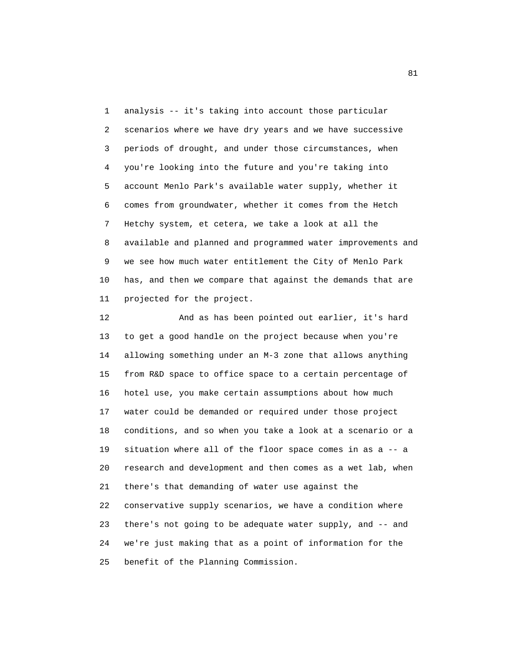1 analysis -- it's taking into account those particular 2 scenarios where we have dry years and we have successive 3 periods of drought, and under those circumstances, when 4 you're looking into the future and you're taking into 5 account Menlo Park's available water supply, whether it 6 comes from groundwater, whether it comes from the Hetch 7 Hetchy system, et cetera, we take a look at all the 8 available and planned and programmed water improvements and 9 we see how much water entitlement the City of Menlo Park 10 has, and then we compare that against the demands that are 11 projected for the project.

 12 And as has been pointed out earlier, it's hard 13 to get a good handle on the project because when you're 14 allowing something under an M-3 zone that allows anything 15 from R&D space to office space to a certain percentage of 16 hotel use, you make certain assumptions about how much 17 water could be demanded or required under those project 18 conditions, and so when you take a look at a scenario or a 19 situation where all of the floor space comes in as a -- a 20 research and development and then comes as a wet lab, when 21 there's that demanding of water use against the 22 conservative supply scenarios, we have a condition where 23 there's not going to be adequate water supply, and -- and 24 we're just making that as a point of information for the 25 benefit of the Planning Commission.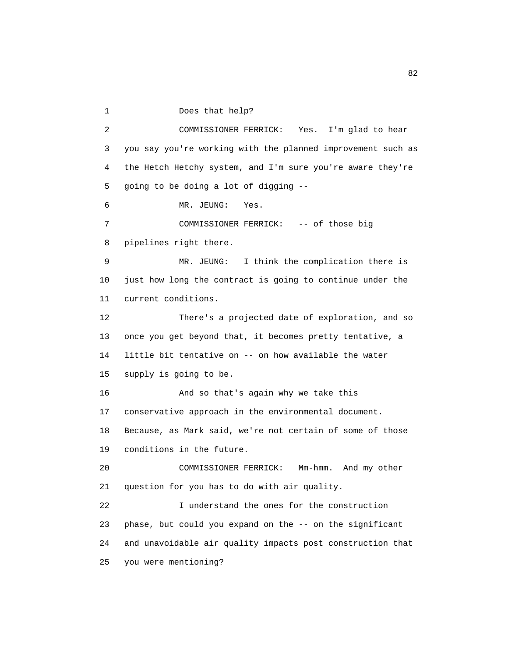1 Does that help?

 2 COMMISSIONER FERRICK: Yes. I'm glad to hear 3 you say you're working with the planned improvement such as 4 the Hetch Hetchy system, and I'm sure you're aware they're 5 going to be doing a lot of digging -- 6 MR. JEUNG: Yes. 7 COMMISSIONER FERRICK: -- of those big 8 pipelines right there. 9 MR. JEUNG: I think the complication there is 10 just how long the contract is going to continue under the 11 current conditions. 12 There's a projected date of exploration, and so 13 once you get beyond that, it becomes pretty tentative, a 14 little bit tentative on -- on how available the water 15 supply is going to be. 16 And so that's again why we take this 17 conservative approach in the environmental document. 18 Because, as Mark said, we're not certain of some of those 19 conditions in the future. 20 COMMISSIONER FERRICK: Mm-hmm. And my other 21 question for you has to do with air quality. 22 I understand the ones for the construction 23 phase, but could you expand on the -- on the significant 24 and unavoidable air quality impacts post construction that 25 you were mentioning?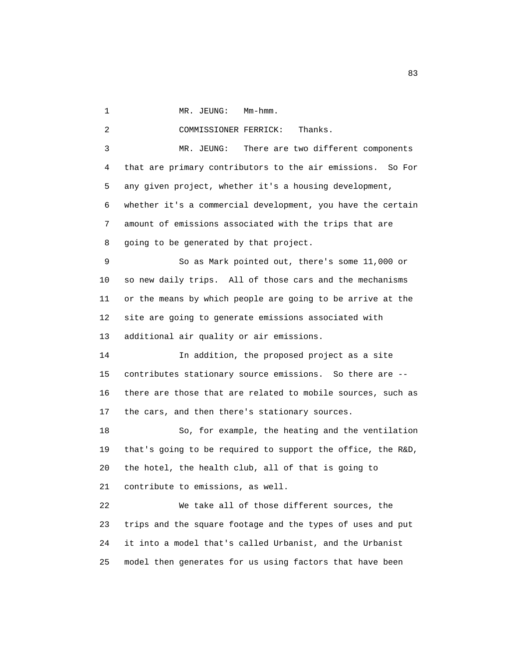1 MR. JEUNG: Mm-hmm.

2 COMMISSIONER FERRICK: Thanks.

 3 MR. JEUNG: There are two different components 4 that are primary contributors to the air emissions. So For 5 any given project, whether it's a housing development, 6 whether it's a commercial development, you have the certain 7 amount of emissions associated with the trips that are 8 going to be generated by that project.

 9 So as Mark pointed out, there's some 11,000 or 10 so new daily trips. All of those cars and the mechanisms 11 or the means by which people are going to be arrive at the 12 site are going to generate emissions associated with 13 additional air quality or air emissions.

 14 In addition, the proposed project as a site 15 contributes stationary source emissions. So there are -- 16 there are those that are related to mobile sources, such as 17 the cars, and then there's stationary sources.

 18 So, for example, the heating and the ventilation 19 that's going to be required to support the office, the R&D, 20 the hotel, the health club, all of that is going to 21 contribute to emissions, as well.

 22 We take all of those different sources, the 23 trips and the square footage and the types of uses and put 24 it into a model that's called Urbanist, and the Urbanist 25 model then generates for us using factors that have been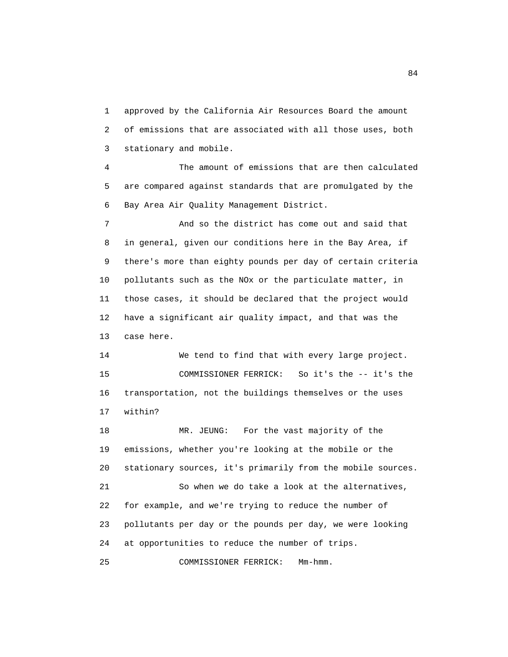1 approved by the California Air Resources Board the amount 2 of emissions that are associated with all those uses, both 3 stationary and mobile.

 4 The amount of emissions that are then calculated 5 are compared against standards that are promulgated by the 6 Bay Area Air Quality Management District.

 7 And so the district has come out and said that 8 in general, given our conditions here in the Bay Area, if 9 there's more than eighty pounds per day of certain criteria 10 pollutants such as the NOx or the particulate matter, in 11 those cases, it should be declared that the project would 12 have a significant air quality impact, and that was the 13 case here.

 14 We tend to find that with every large project. 15 COMMISSIONER FERRICK: So it's the -- it's the 16 transportation, not the buildings themselves or the uses 17 within?

18 MR. JEUNG: For the vast majority of the 19 emissions, whether you're looking at the mobile or the 20 stationary sources, it's primarily from the mobile sources. 21 So when we do take a look at the alternatives, 22 for example, and we're trying to reduce the number of 23 pollutants per day or the pounds per day, we were looking 24 at opportunities to reduce the number of trips. 25 COMMISSIONER FERRICK: Mm-hmm.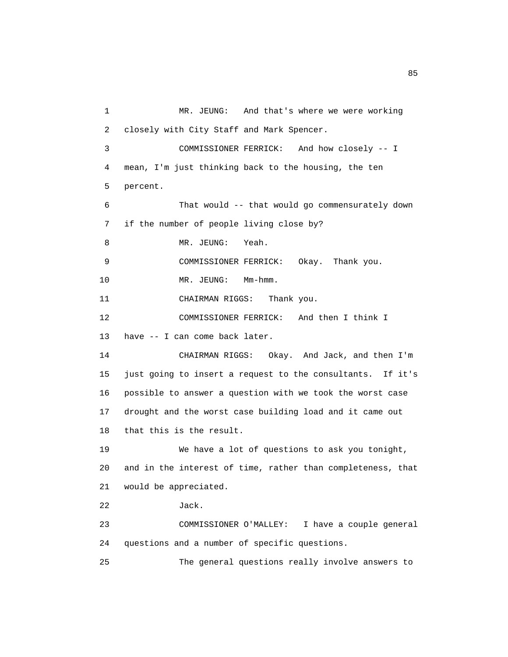1 MR. JEUNG: And that's where we were working 2 closely with City Staff and Mark Spencer. 3 COMMISSIONER FERRICK: And how closely -- I 4 mean, I'm just thinking back to the housing, the ten 5 percent. 6 That would -- that would go commensurately down 7 if the number of people living close by? 8 MR. JEUNG: Yeah. 9 COMMISSIONER FERRICK: Okay. Thank you. 10 MR. JEUNG: Mm-hmm. 11 CHAIRMAN RIGGS: Thank you. 12 COMMISSIONER FERRICK: And then I think I 13 have -- I can come back later. 14 CHAIRMAN RIGGS: Okay. And Jack, and then I'm 15 just going to insert a request to the consultants. If it's 16 possible to answer a question with we took the worst case 17 drought and the worst case building load and it came out 18 that this is the result. 19 We have a lot of questions to ask you tonight, 20 and in the interest of time, rather than completeness, that 21 would be appreciated. 22 Jack. 23 COMMISSIONER O'MALLEY: I have a couple general 24 questions and a number of specific questions. 25 The general questions really involve answers to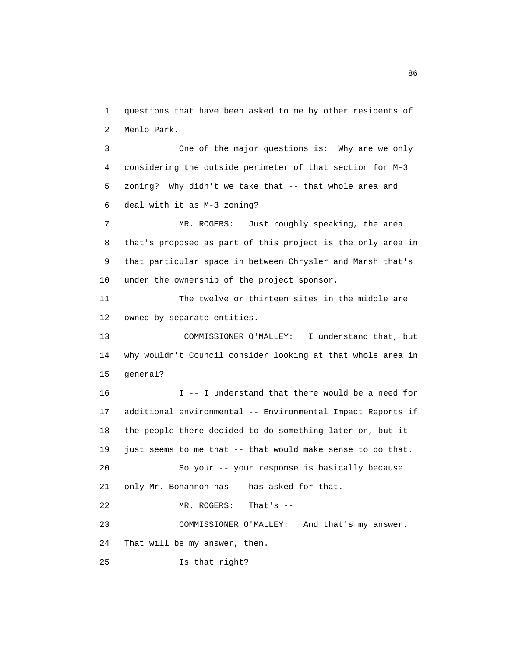1 questions that have been asked to me by other residents of 2 Menlo Park.

 3 One of the major questions is: Why are we only 4 considering the outside perimeter of that section for M-3 5 zoning? Why didn't we take that -- that whole area and 6 deal with it as M-3 zoning?

 7 MR. ROGERS: Just roughly speaking, the area 8 that's proposed as part of this project is the only area in 9 that particular space in between Chrysler and Marsh that's 10 under the ownership of the project sponsor.

 11 The twelve or thirteen sites in the middle are 12 owned by separate entities.

 13 COMMISSIONER O'MALLEY: I understand that, but 14 why wouldn't Council consider looking at that whole area in 15 general?

 16 I -- I understand that there would be a need for 17 additional environmental -- Environmental Impact Reports if 18 the people there decided to do something later on, but it 19 just seems to me that -- that would make sense to do that. 20 So your -- your response is basically because 21 only Mr. Bohannon has -- has asked for that. 22 MR. ROGERS: That's -- 23 COMMISSIONER O'MALLEY: And that's my answer. 24 That will be my answer, then. 25 Is that right?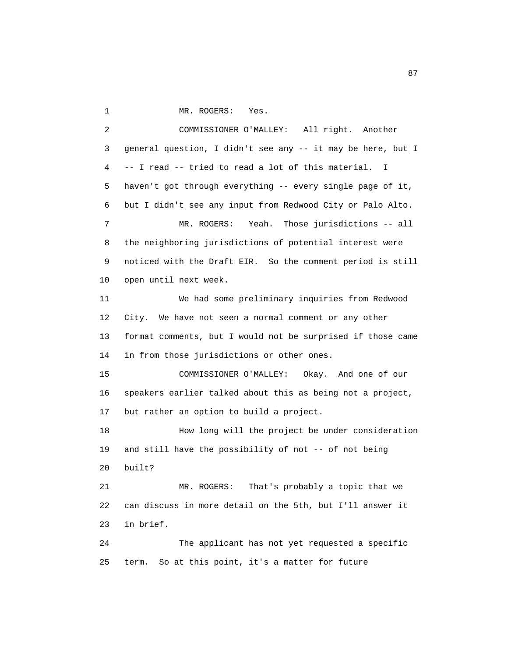1 MR. ROGERS: Yes.

 2 COMMISSIONER O'MALLEY: All right. Another 3 general question, I didn't see any -- it may be here, but I 4 -- I read -- tried to read a lot of this material. I 5 haven't got through everything -- every single page of it, 6 but I didn't see any input from Redwood City or Palo Alto. 7 MR. ROGERS: Yeah. Those jurisdictions -- all 8 the neighboring jurisdictions of potential interest were 9 noticed with the Draft EIR. So the comment period is still 10 open until next week. 11 We had some preliminary inquiries from Redwood 12 City. We have not seen a normal comment or any other 13 format comments, but I would not be surprised if those came 14 in from those jurisdictions or other ones. 15 COMMISSIONER O'MALLEY: Okay. And one of our 16 speakers earlier talked about this as being not a project, 17 but rather an option to build a project. 18 How long will the project be under consideration 19 and still have the possibility of not -- of not being 20 built? 21 MR. ROGERS: That's probably a topic that we 22 can discuss in more detail on the 5th, but I'll answer it 23 in brief. 24 The applicant has not yet requested a specific 25 term. So at this point, it's a matter for future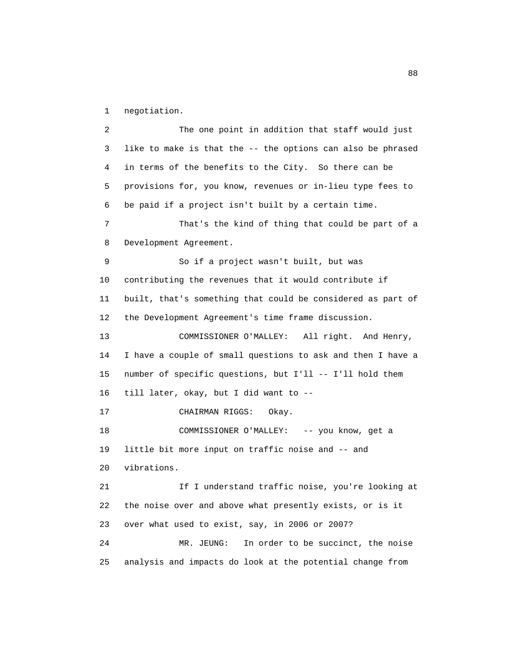1 negotiation.

 2 The one point in addition that staff would just 3 like to make is that the -- the options can also be phrased 4 in terms of the benefits to the City. So there can be 5 provisions for, you know, revenues or in-lieu type fees to 6 be paid if a project isn't built by a certain time. 7 That's the kind of thing that could be part of a 8 Development Agreement. 9 So if a project wasn't built, but was 10 contributing the revenues that it would contribute if 11 built, that's something that could be considered as part of 12 the Development Agreement's time frame discussion. 13 COMMISSIONER O'MALLEY: All right. And Henry, 14 I have a couple of small questions to ask and then I have a 15 number of specific questions, but I'll -- I'll hold them 16 till later, okay, but I did want to -- 17 CHAIRMAN RIGGS: Okay. 18 COMMISSIONER O'MALLEY: -- you know, get a 19 little bit more input on traffic noise and -- and 20 vibrations. 21 If I understand traffic noise, you're looking at 22 the noise over and above what presently exists, or is it 23 over what used to exist, say, in 2006 or 2007? 24 MR. JEUNG: In order to be succinct, the noise 25 analysis and impacts do look at the potential change from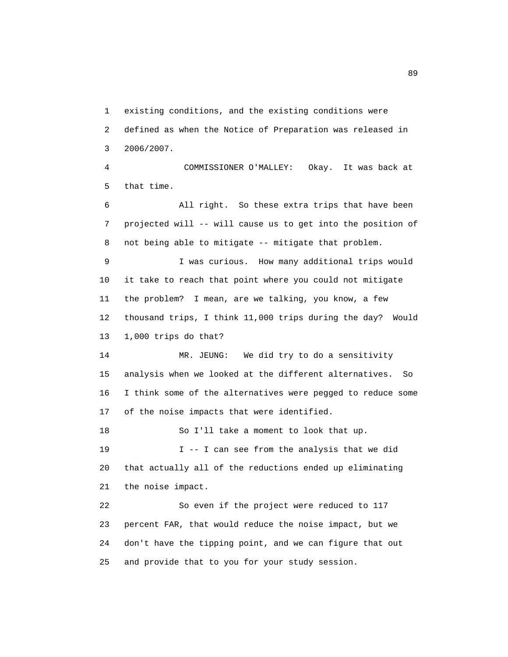1 existing conditions, and the existing conditions were 2 defined as when the Notice of Preparation was released in 3 2006/2007.

 4 COMMISSIONER O'MALLEY: Okay. It was back at 5 that time.

 6 All right. So these extra trips that have been 7 projected will -- will cause us to get into the position of 8 not being able to mitigate -- mitigate that problem.

 9 I was curious. How many additional trips would 10 it take to reach that point where you could not mitigate 11 the problem? I mean, are we talking, you know, a few 12 thousand trips, I think 11,000 trips during the day? Would 13 1,000 trips do that?

 14 MR. JEUNG: We did try to do a sensitivity 15 analysis when we looked at the different alternatives. So 16 I think some of the alternatives were pegged to reduce some 17 of the noise impacts that were identified.

 18 So I'll take a moment to look that up. 19 I -- I can see from the analysis that we did 20 that actually all of the reductions ended up eliminating 21 the noise impact.

 22 So even if the project were reduced to 117 23 percent FAR, that would reduce the noise impact, but we 24 don't have the tipping point, and we can figure that out 25 and provide that to you for your study session.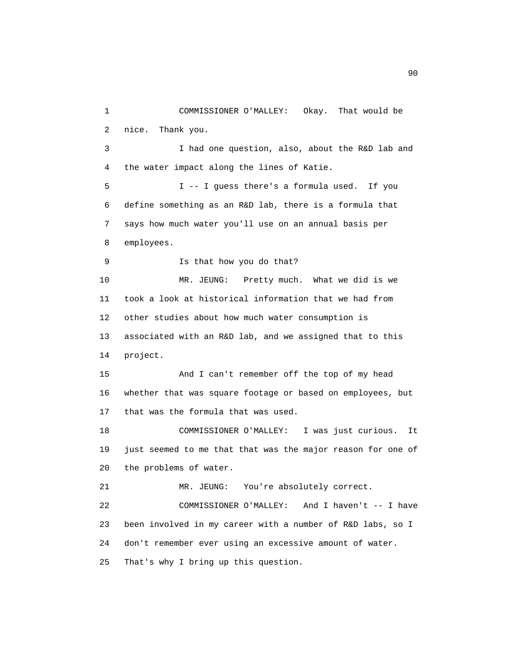1 COMMISSIONER O'MALLEY: Okay. That would be 2 nice. Thank you. 3 I had one question, also, about the R&D lab and 4 the water impact along the lines of Katie. 5 I -- I guess there's a formula used. If you 6 define something as an R&D lab, there is a formula that 7 says how much water you'll use on an annual basis per 8 employees. 9 Is that how you do that? 10 MR. JEUNG: Pretty much. What we did is we 11 took a look at historical information that we had from 12 other studies about how much water consumption is 13 associated with an R&D lab, and we assigned that to this 14 project. 15 And I can't remember off the top of my head 16 whether that was square footage or based on employees, but 17 that was the formula that was used. 18 COMMISSIONER O'MALLEY: I was just curious. It 19 just seemed to me that that was the major reason for one of 20 the problems of water. 21 MR. JEUNG: You're absolutely correct. 22 COMMISSIONER O'MALLEY: And I haven't -- I have 23 been involved in my career with a number of R&D labs, so I 24 don't remember ever using an excessive amount of water. 25 That's why I bring up this question.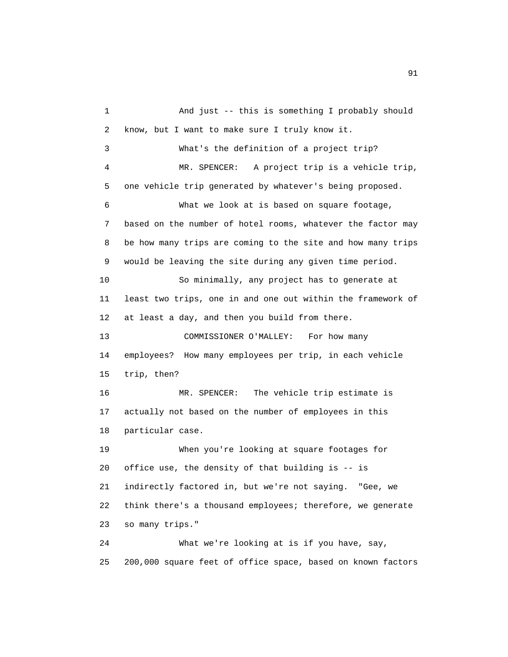1 And just -- this is something I probably should 2 know, but I want to make sure I truly know it. 3 What's the definition of a project trip? 4 MR. SPENCER: A project trip is a vehicle trip, 5 one vehicle trip generated by whatever's being proposed. 6 What we look at is based on square footage, 7 based on the number of hotel rooms, whatever the factor may 8 be how many trips are coming to the site and how many trips 9 would be leaving the site during any given time period. 10 So minimally, any project has to generate at 11 least two trips, one in and one out within the framework of 12 at least a day, and then you build from there. 13 COMMISSIONER O'MALLEY: For how many 14 employees? How many employees per trip, in each vehicle 15 trip, then? 16 MR. SPENCER: The vehicle trip estimate is 17 actually not based on the number of employees in this 18 particular case. 19 When you're looking at square footages for 20 office use, the density of that building is -- is 21 indirectly factored in, but we're not saying. "Gee, we 22 think there's a thousand employees; therefore, we generate 23 so many trips." 24 What we're looking at is if you have, say, 25 200,000 square feet of office space, based on known factors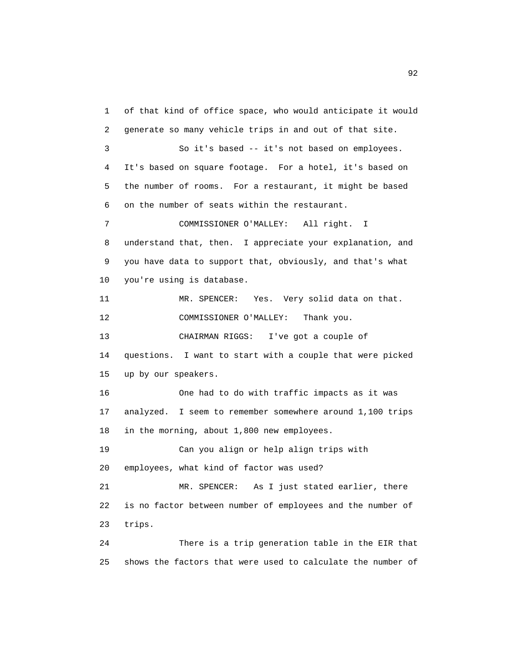1 of that kind of office space, who would anticipate it would 2 generate so many vehicle trips in and out of that site. 3 So it's based -- it's not based on employees. 4 It's based on square footage. For a hotel, it's based on 5 the number of rooms. For a restaurant, it might be based 6 on the number of seats within the restaurant. 7 COMMISSIONER O'MALLEY: All right. I 8 understand that, then. I appreciate your explanation, and 9 you have data to support that, obviously, and that's what 10 you're using is database. 11 MR. SPENCER: Yes. Very solid data on that. 12 COMMISSIONER O'MALLEY: Thank you. 13 CHAIRMAN RIGGS: I've got a couple of 14 questions. I want to start with a couple that were picked 15 up by our speakers. 16 One had to do with traffic impacts as it was 17 analyzed. I seem to remember somewhere around 1,100 trips 18 in the morning, about 1,800 new employees. 19 Can you align or help align trips with 20 employees, what kind of factor was used? 21 MR. SPENCER: As I just stated earlier, there 22 is no factor between number of employees and the number of 23 trips. 24 There is a trip generation table in the EIR that 25 shows the factors that were used to calculate the number of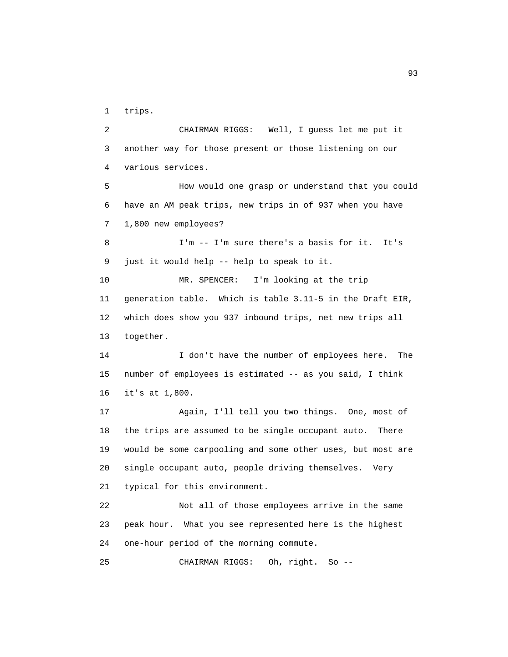1 trips.

 2 CHAIRMAN RIGGS: Well, I guess let me put it 3 another way for those present or those listening on our 4 various services. 5 How would one grasp or understand that you could 6 have an AM peak trips, new trips in of 937 when you have 7 1,800 new employees? 8 I'm -- I'm sure there's a basis for it. It's 9 just it would help -- help to speak to it. 10 MR. SPENCER: I'm looking at the trip 11 generation table. Which is table 3.11-5 in the Draft EIR, 12 which does show you 937 inbound trips, net new trips all 13 together. 14 I don't have the number of employees here. The 15 number of employees is estimated -- as you said, I think 16 it's at 1,800. 17 Again, I'll tell you two things. One, most of 18 the trips are assumed to be single occupant auto. There 19 would be some carpooling and some other uses, but most are 20 single occupant auto, people driving themselves. Very 21 typical for this environment. 22 Not all of those employees arrive in the same 23 peak hour. What you see represented here is the highest 24 one-hour period of the morning commute. 25 CHAIRMAN RIGGS: Oh, right. So --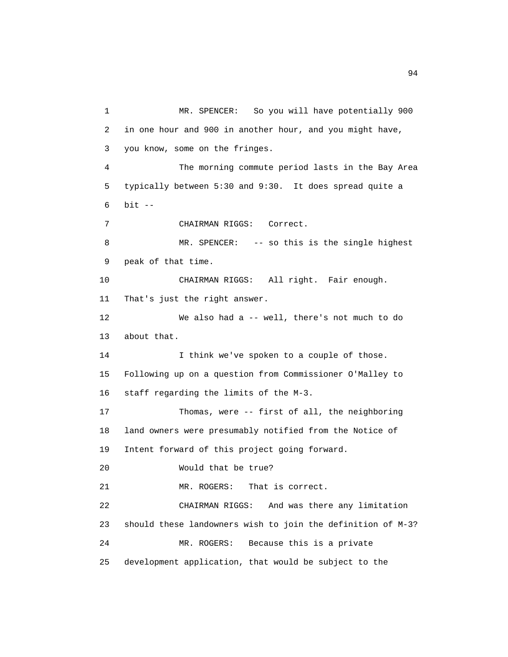1 MR. SPENCER: So you will have potentially 900 2 in one hour and 900 in another hour, and you might have, 3 you know, some on the fringes. 4 The morning commute period lasts in the Bay Area 5 typically between 5:30 and 9:30. It does spread quite a 6 bit -- 7 CHAIRMAN RIGGS: Correct. 8 MR. SPENCER: -- so this is the single highest 9 peak of that time. 10 CHAIRMAN RIGGS: All right. Fair enough. 11 That's just the right answer. 12 We also had a -- well, there's not much to do 13 about that. 14 I think we've spoken to a couple of those. 15 Following up on a question from Commissioner O'Malley to 16 staff regarding the limits of the M-3. 17 Thomas, were -- first of all, the neighboring 18 land owners were presumably notified from the Notice of 19 Intent forward of this project going forward. 20 Would that be true? 21 MR. ROGERS: That is correct. 22 CHAIRMAN RIGGS: And was there any limitation 23 should these landowners wish to join the definition of M-3? 24 MR. ROGERS: Because this is a private 25 development application, that would be subject to the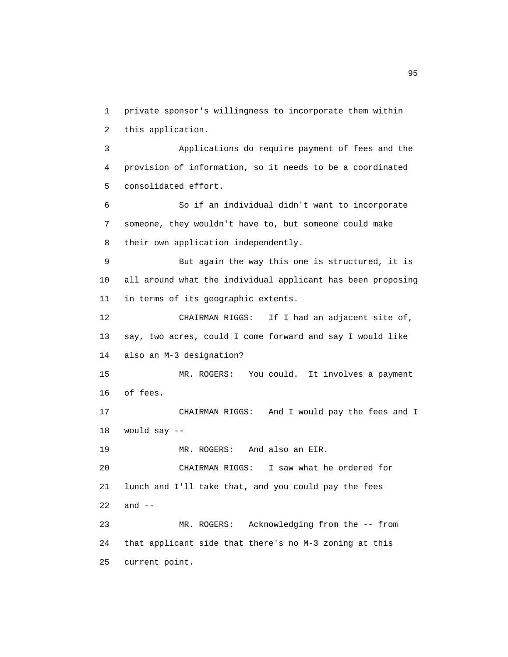1 private sponsor's willingness to incorporate them within 2 this application. 3 Applications do require payment of fees and the 4 provision of information, so it needs to be a coordinated 5 consolidated effort. 6 So if an individual didn't want to incorporate 7 someone, they wouldn't have to, but someone could make 8 their own application independently. 9 But again the way this one is structured, it is 10 all around what the individual applicant has been proposing 11 in terms of its geographic extents. 12 CHAIRMAN RIGGS: If I had an adjacent site of, 13 say, two acres, could I come forward and say I would like 14 also an M-3 designation? 15 MR. ROGERS: You could. It involves a payment 16 of fees. 17 CHAIRMAN RIGGS: And I would pay the fees and I 18 would say -- 19 MR. ROGERS: And also an EIR. 20 CHAIRMAN RIGGS: I saw what he ordered for 21 lunch and I'll take that, and you could pay the fees 22 and -- 23 MR. ROGERS: Acknowledging from the -- from 24 that applicant side that there's no M-3 zoning at this 25 current point.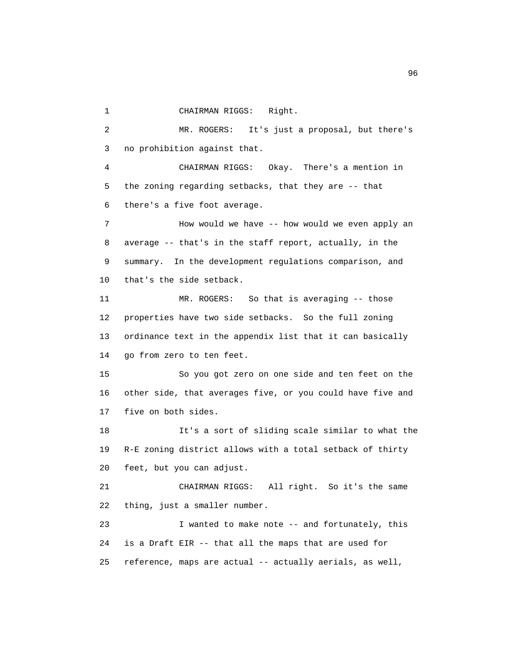1 CHAIRMAN RIGGS: Right.

 2 MR. ROGERS: It's just a proposal, but there's 3 no prohibition against that.

 4 CHAIRMAN RIGGS: Okay. There's a mention in 5 the zoning regarding setbacks, that they are -- that 6 there's a five foot average.

 7 How would we have -- how would we even apply an 8 average -- that's in the staff report, actually, in the 9 summary. In the development regulations comparison, and 10 that's the side setback.

 11 MR. ROGERS: So that is averaging -- those 12 properties have two side setbacks. So the full zoning 13 ordinance text in the appendix list that it can basically 14 go from zero to ten feet.

 15 So you got zero on one side and ten feet on the 16 other side, that averages five, or you could have five and 17 five on both sides.

 18 It's a sort of sliding scale similar to what the 19 R-E zoning district allows with a total setback of thirty 20 feet, but you can adjust.

 21 CHAIRMAN RIGGS: All right. So it's the same 22 thing, just a smaller number.

 23 I wanted to make note -- and fortunately, this 24 is a Draft EIR -- that all the maps that are used for 25 reference, maps are actual -- actually aerials, as well,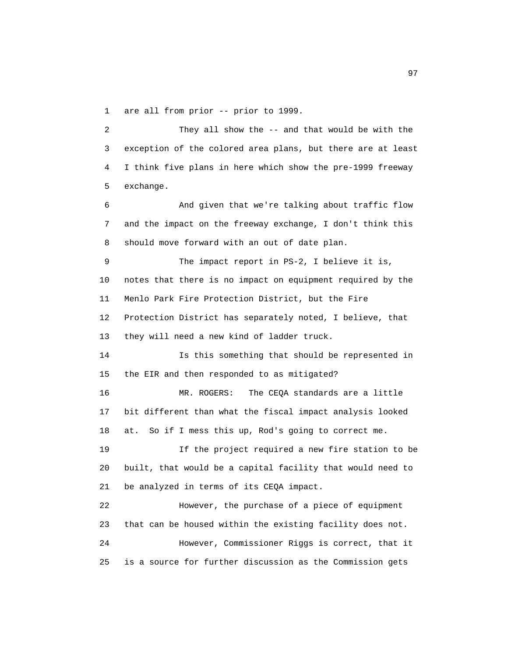1 are all from prior -- prior to 1999.

 2 They all show the -- and that would be with the 3 exception of the colored area plans, but there are at least 4 I think five plans in here which show the pre-1999 freeway 5 exchange.

 6 And given that we're talking about traffic flow 7 and the impact on the freeway exchange, I don't think this 8 should move forward with an out of date plan.

 9 The impact report in PS-2, I believe it is, 10 notes that there is no impact on equipment required by the 11 Menlo Park Fire Protection District, but the Fire 12 Protection District has separately noted, I believe, that 13 they will need a new kind of ladder truck.

 14 Is this something that should be represented in 15 the EIR and then responded to as mitigated?

 16 MR. ROGERS: The CEQA standards are a little 17 bit different than what the fiscal impact analysis looked 18 at. So if I mess this up, Rod's going to correct me.

 19 If the project required a new fire station to be 20 built, that would be a capital facility that would need to 21 be analyzed in terms of its CEQA impact.

 22 However, the purchase of a piece of equipment 23 that can be housed within the existing facility does not. 24 However, Commissioner Riggs is correct, that it 25 is a source for further discussion as the Commission gets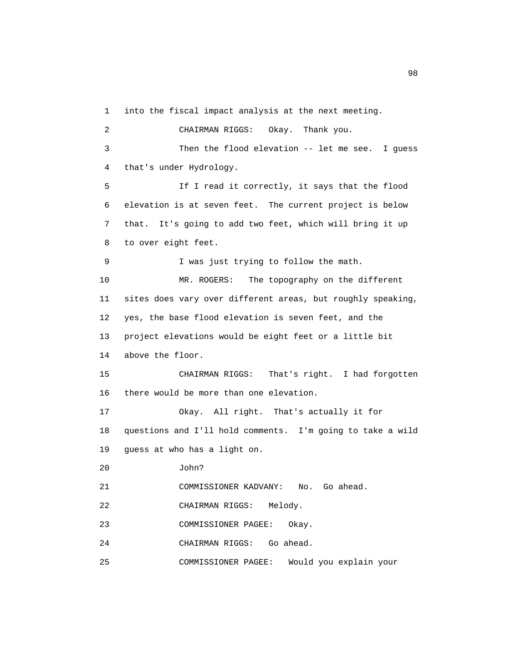1 into the fiscal impact analysis at the next meeting.

 2 CHAIRMAN RIGGS: Okay. Thank you. 3 Then the flood elevation -- let me see. I guess 4 that's under Hydrology. 5 If I read it correctly, it says that the flood 6 elevation is at seven feet. The current project is below 7 that. It's going to add two feet, which will bring it up 8 to over eight feet. 9 I was just trying to follow the math. 10 MR. ROGERS: The topography on the different 11 sites does vary over different areas, but roughly speaking, 12 yes, the base flood elevation is seven feet, and the 13 project elevations would be eight feet or a little bit 14 above the floor. 15 CHAIRMAN RIGGS: That's right. I had forgotten 16 there would be more than one elevation. 17 Okay. All right. That's actually it for 18 questions and I'll hold comments. I'm going to take a wild 19 guess at who has a light on. 20 John? 21 COMMISSIONER KADVANY: No. Go ahead. 22 CHAIRMAN RIGGS: Melody. 23 COMMISSIONER PAGEE: Okay. 24 CHAIRMAN RIGGS: Go ahead. 25 COMMISSIONER PAGEE: Would you explain your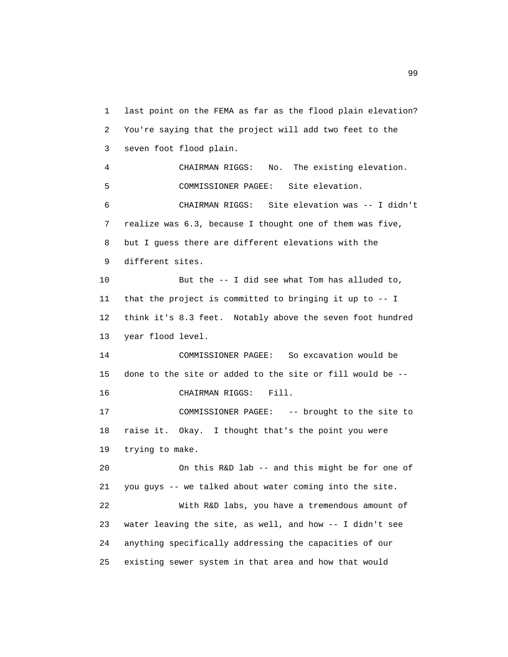1 last point on the FEMA as far as the flood plain elevation? 2 You're saying that the project will add two feet to the 3 seven foot flood plain. 4 CHAIRMAN RIGGS: No. The existing elevation. 5 COMMISSIONER PAGEE: Site elevation. 6 CHAIRMAN RIGGS: Site elevation was -- I didn't 7 realize was 6.3, because I thought one of them was five, 8 but I guess there are different elevations with the 9 different sites. 10 But the -- I did see what Tom has alluded to, 11 that the project is committed to bringing it up to -- I 12 think it's 8.3 feet. Notably above the seven foot hundred 13 year flood level. 14 COMMISSIONER PAGEE: So excavation would be 15 done to the site or added to the site or fill would be -- 16 CHAIRMAN RIGGS: Fill. 17 COMMISSIONER PAGEE: -- brought to the site to 18 raise it. Okay. I thought that's the point you were 19 trying to make. 20 On this R&D lab -- and this might be for one of 21 you guys -- we talked about water coming into the site. 22 With R&D labs, you have a tremendous amount of 23 water leaving the site, as well, and how -- I didn't see 24 anything specifically addressing the capacities of our 25 existing sewer system in that area and how that would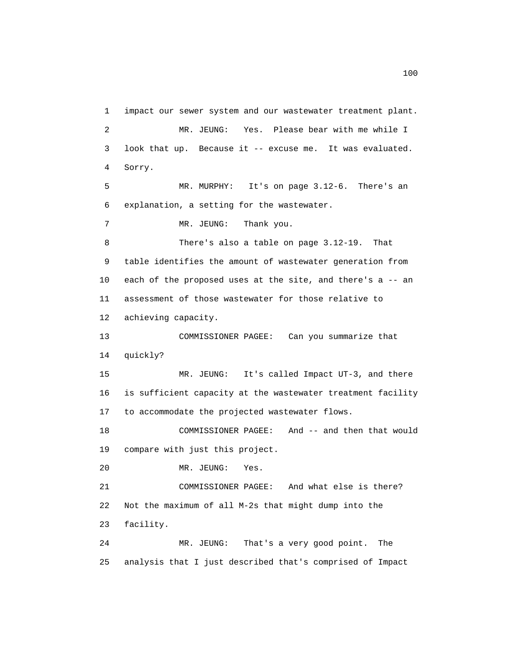1 impact our sewer system and our wastewater treatment plant. 2 MR. JEUNG: Yes. Please bear with me while I 3 look that up. Because it -- excuse me. It was evaluated. 4 Sorry. 5 MR. MURPHY: It's on page 3.12-6. There's an 6 explanation, a setting for the wastewater. 7 MR. JEUNG: Thank you. 8 There's also a table on page 3.12-19. That 9 table identifies the amount of wastewater generation from 10 each of the proposed uses at the site, and there's a -- an 11 assessment of those wastewater for those relative to 12 achieving capacity. 13 COMMISSIONER PAGEE: Can you summarize that 14 quickly? 15 MR. JEUNG: It's called Impact UT-3, and there 16 is sufficient capacity at the wastewater treatment facility 17 to accommodate the projected wastewater flows. 18 COMMISSIONER PAGEE: And -- and then that would 19 compare with just this project. 20 MR. JEUNG: Yes. 21 COMMISSIONER PAGEE: And what else is there? 22 Not the maximum of all M-2s that might dump into the 23 facility. 24 MR. JEUNG: That's a very good point. The 25 analysis that I just described that's comprised of Impact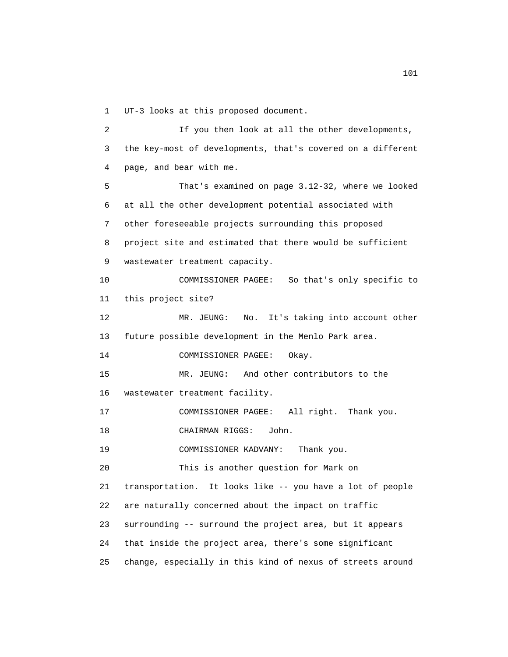1 UT-3 looks at this proposed document.

 2 If you then look at all the other developments, 3 the key-most of developments, that's covered on a different 4 page, and bear with me. 5 That's examined on page 3.12-32, where we looked 6 at all the other development potential associated with 7 other foreseeable projects surrounding this proposed 8 project site and estimated that there would be sufficient 9 wastewater treatment capacity. 10 COMMISSIONER PAGEE: So that's only specific to 11 this project site? 12 MR. JEUNG: No. It's taking into account other 13 future possible development in the Menlo Park area. 14 COMMISSIONER PAGEE: Okay. 15 MR. JEUNG: And other contributors to the 16 wastewater treatment facility. 17 COMMISSIONER PAGEE: All right. Thank you. 18 CHAIRMAN RIGGS: John. 19 COMMISSIONER KADVANY: Thank you. 20 This is another question for Mark on 21 transportation. It looks like -- you have a lot of people 22 are naturally concerned about the impact on traffic 23 surrounding -- surround the project area, but it appears 24 that inside the project area, there's some significant 25 change, especially in this kind of nexus of streets around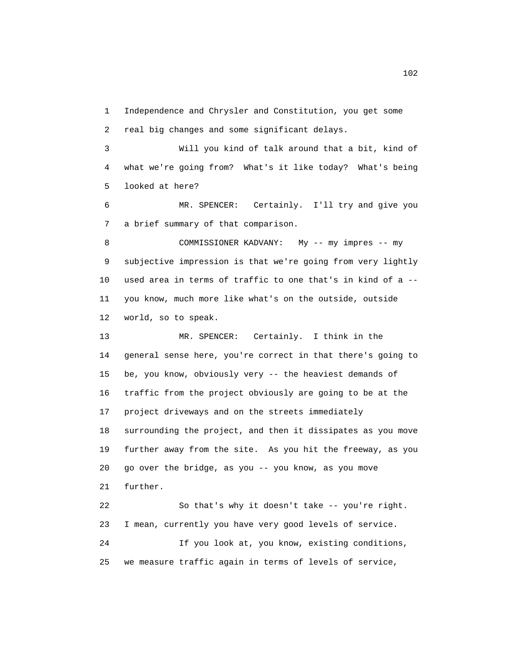1 Independence and Chrysler and Constitution, you get some 2 real big changes and some significant delays.

 3 Will you kind of talk around that a bit, kind of 4 what we're going from? What's it like today? What's being 5 looked at here?

 6 MR. SPENCER: Certainly. I'll try and give you 7 a brief summary of that comparison.

 8 COMMISSIONER KADVANY: My -- my impres -- my 9 subjective impression is that we're going from very lightly 10 used area in terms of traffic to one that's in kind of a -- 11 you know, much more like what's on the outside, outside 12 world, so to speak.

 13 MR. SPENCER: Certainly. I think in the 14 general sense here, you're correct in that there's going to 15 be, you know, obviously very -- the heaviest demands of 16 traffic from the project obviously are going to be at the 17 project driveways and on the streets immediately 18 surrounding the project, and then it dissipates as you move 19 further away from the site. As you hit the freeway, as you 20 go over the bridge, as you -- you know, as you move 21 further.

 22 So that's why it doesn't take -- you're right. 23 I mean, currently you have very good levels of service. 24 If you look at, you know, existing conditions, 25 we measure traffic again in terms of levels of service,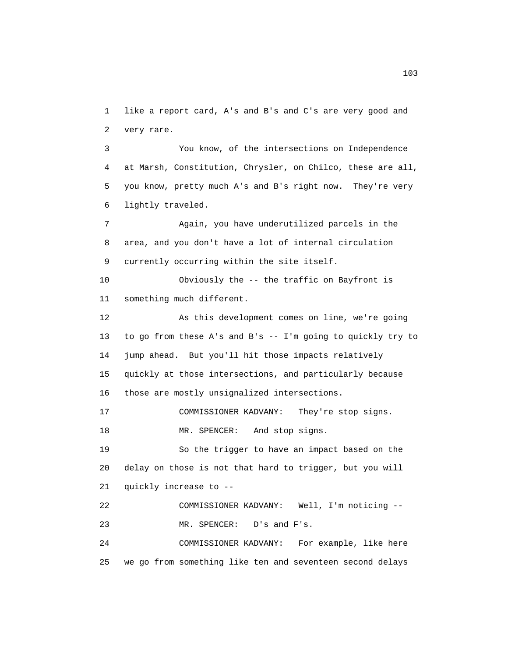1 like a report card, A's and B's and C's are very good and 2 very rare.

 3 You know, of the intersections on Independence 4 at Marsh, Constitution, Chrysler, on Chilco, these are all, 5 you know, pretty much A's and B's right now. They're very 6 lightly traveled.

 7 Again, you have underutilized parcels in the 8 area, and you don't have a lot of internal circulation 9 currently occurring within the site itself.

 10 Obviously the -- the traffic on Bayfront is 11 something much different.

 12 As this development comes on line, we're going 13 to go from these A's and B's -- I'm going to quickly try to 14 jump ahead. But you'll hit those impacts relatively 15 quickly at those intersections, and particularly because 16 those are mostly unsignalized intersections.

17 COMMISSIONER KADVANY: They're stop signs.

18 MR. SPENCER: And stop signs.

 19 So the trigger to have an impact based on the 20 delay on those is not that hard to trigger, but you will 21 quickly increase to --

 22 COMMISSIONER KADVANY: Well, I'm noticing -- 23 MR. SPENCER: D's and F's.

 24 COMMISSIONER KADVANY: For example, like here 25 we go from something like ten and seventeen second delays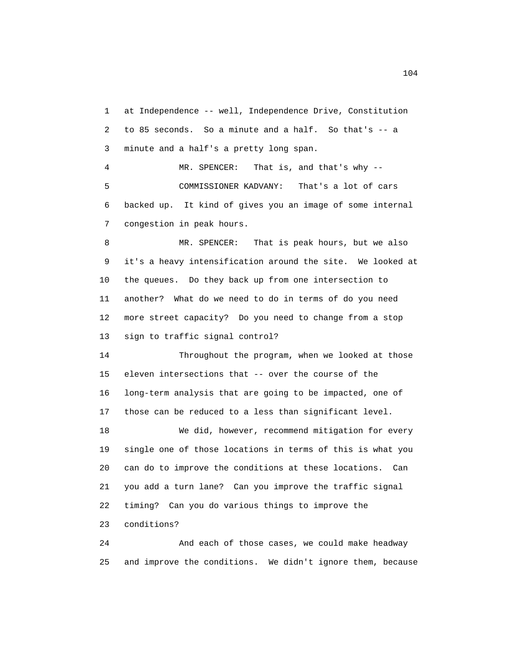1 at Independence -- well, Independence Drive, Constitution 2 to 85 seconds. So a minute and a half. So that's -- a 3 minute and a half's a pretty long span. 4 MR. SPENCER: That is, and that's why -- 5 COMMISSIONER KADVANY: That's a lot of cars

 6 backed up. It kind of gives you an image of some internal 7 congestion in peak hours.

 8 MR. SPENCER: That is peak hours, but we also 9 it's a heavy intensification around the site. We looked at 10 the queues. Do they back up from one intersection to 11 another? What do we need to do in terms of do you need 12 more street capacity? Do you need to change from a stop 13 sign to traffic signal control?

 14 Throughout the program, when we looked at those 15 eleven intersections that -- over the course of the 16 long-term analysis that are going to be impacted, one of 17 those can be reduced to a less than significant level.

 18 We did, however, recommend mitigation for every 19 single one of those locations in terms of this is what you 20 can do to improve the conditions at these locations. Can 21 you add a turn lane? Can you improve the traffic signal 22 timing? Can you do various things to improve the 23 conditions?

 24 And each of those cases, we could make headway 25 and improve the conditions. We didn't ignore them, because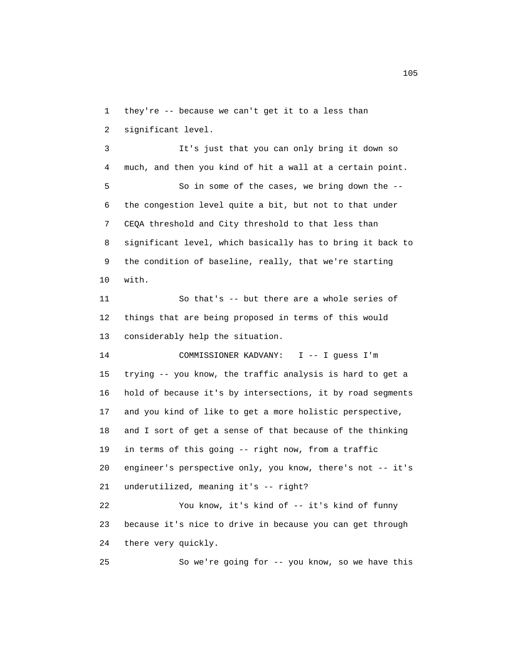1 they're -- because we can't get it to a less than 2 significant level.

 3 It's just that you can only bring it down so 4 much, and then you kind of hit a wall at a certain point. 5 So in some of the cases, we bring down the -- 6 the congestion level quite a bit, but not to that under 7 CEQA threshold and City threshold to that less than 8 significant level, which basically has to bring it back to 9 the condition of baseline, really, that we're starting 10 with.

 11 So that's -- but there are a whole series of 12 things that are being proposed in terms of this would 13 considerably help the situation.

 14 COMMISSIONER KADVANY: I -- I guess I'm 15 trying -- you know, the traffic analysis is hard to get a 16 hold of because it's by intersections, it by road segments 17 and you kind of like to get a more holistic perspective, 18 and I sort of get a sense of that because of the thinking 19 in terms of this going -- right now, from a traffic 20 engineer's perspective only, you know, there's not -- it's 21 underutilized, meaning it's -- right? 22 You know, it's kind of -- it's kind of funny 23 because it's nice to drive in because you can get through

24 there very quickly.

25 So we're going for -- you know, so we have this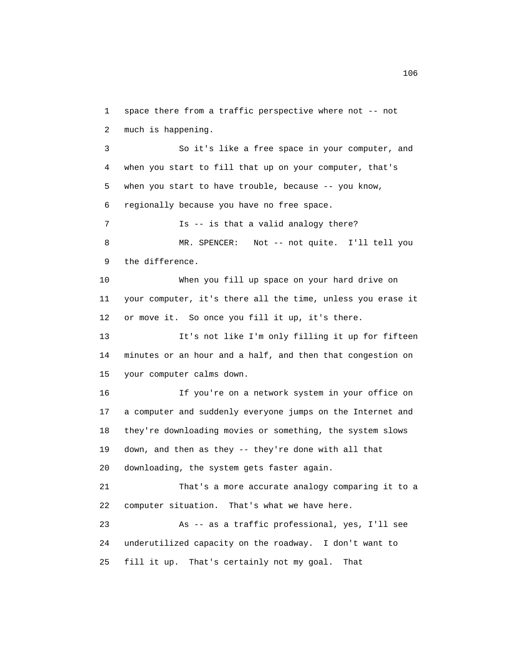1 space there from a traffic perspective where not -- not 2 much is happening.

 3 So it's like a free space in your computer, and 4 when you start to fill that up on your computer, that's 5 when you start to have trouble, because -- you know, 6 regionally because you have no free space.

7 **Is -- is that a valid analogy there?**  8 MR. SPENCER: Not -- not quite. I'll tell you 9 the difference.

 10 When you fill up space on your hard drive on 11 your computer, it's there all the time, unless you erase it 12 or move it. So once you fill it up, it's there.

 13 It's not like I'm only filling it up for fifteen 14 minutes or an hour and a half, and then that congestion on 15 your computer calms down.

 16 If you're on a network system in your office on 17 a computer and suddenly everyone jumps on the Internet and 18 they're downloading movies or something, the system slows 19 down, and then as they -- they're done with all that 20 downloading, the system gets faster again.

 21 That's a more accurate analogy comparing it to a 22 computer situation. That's what we have here.

 23 As -- as a traffic professional, yes, I'll see 24 underutilized capacity on the roadway. I don't want to 25 fill it up. That's certainly not my goal. That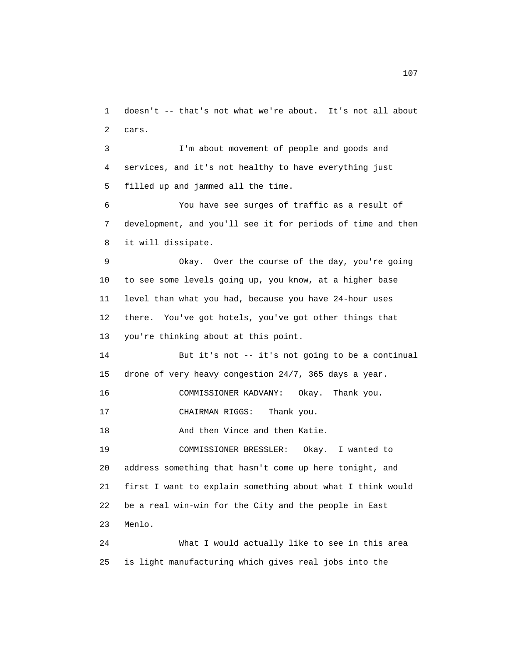1 doesn't -- that's not what we're about. It's not all about 2 cars.

 3 I'm about movement of people and goods and 4 services, and it's not healthy to have everything just 5 filled up and jammed all the time.

 6 You have see surges of traffic as a result of 7 development, and you'll see it for periods of time and then 8 it will dissipate.

 9 Okay. Over the course of the day, you're going 10 to see some levels going up, you know, at a higher base 11 level than what you had, because you have 24-hour uses 12 there. You've got hotels, you've got other things that 13 you're thinking about at this point.

 14 But it's not -- it's not going to be a continual 15 drone of very heavy congestion 24/7, 365 days a year.

16 COMMISSIONER KADVANY: Okay. Thank you.

17 CHAIRMAN RIGGS: Thank you.

18 And then Vince and then Katie.

 19 COMMISSIONER BRESSLER: Okay. I wanted to 20 address something that hasn't come up here tonight, and 21 first I want to explain something about what I think would 22 be a real win-win for the City and the people in East 23 Menlo.

 24 What I would actually like to see in this area 25 is light manufacturing which gives real jobs into the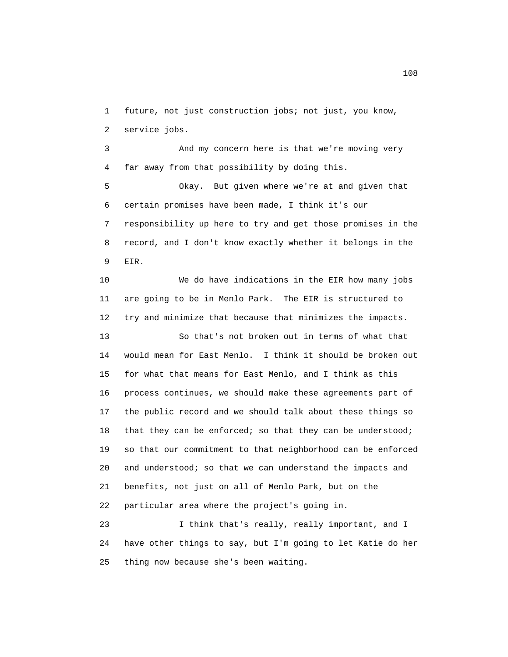1 future, not just construction jobs; not just, you know, 2 service jobs.

 3 And my concern here is that we're moving very 4 far away from that possibility by doing this.

 5 Okay. But given where we're at and given that 6 certain promises have been made, I think it's our 7 responsibility up here to try and get those promises in the 8 record, and I don't know exactly whether it belongs in the 9 EIR.

 10 We do have indications in the EIR how many jobs 11 are going to be in Menlo Park. The EIR is structured to 12 try and minimize that because that minimizes the impacts. 13 So that's not broken out in terms of what that 14 would mean for East Menlo. I think it should be broken out 15 for what that means for East Menlo, and I think as this 16 process continues, we should make these agreements part of 17 the public record and we should talk about these things so 18 that they can be enforced; so that they can be understood; 19 so that our commitment to that neighborhood can be enforced 20 and understood; so that we can understand the impacts and 21 benefits, not just on all of Menlo Park, but on the 22 particular area where the project's going in. 23 I think that's really, really important, and I

 24 have other things to say, but I'm going to let Katie do her 25 thing now because she's been waiting.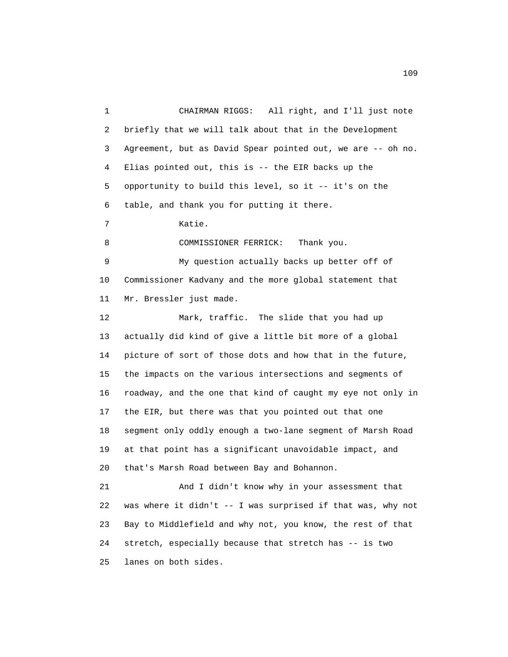1 CHAIRMAN RIGGS: All right, and I'll just note 2 briefly that we will talk about that in the Development 3 Agreement, but as David Spear pointed out, we are -- oh no. 4 Elias pointed out, this is -- the EIR backs up the 5 opportunity to build this level, so it -- it's on the 6 table, and thank you for putting it there. 7 Katie. 8 COMMISSIONER FERRICK: Thank you. 9 My question actually backs up better off of 10 Commissioner Kadvany and the more global statement that 11 Mr. Bressler just made. 12 Mark, traffic. The slide that you had up 13 actually did kind of give a little bit more of a global 14 picture of sort of those dots and how that in the future, 15 the impacts on the various intersections and segments of 16 roadway, and the one that kind of caught my eye not only in 17 the EIR, but there was that you pointed out that one 18 segment only oddly enough a two-lane segment of Marsh Road 19 at that point has a significant unavoidable impact, and 20 that's Marsh Road between Bay and Bohannon. 21 And I didn't know why in your assessment that 22 was where it didn't -- I was surprised if that was, why not 23 Bay to Middlefield and why not, you know, the rest of that 24 stretch, especially because that stretch has -- is two 25 lanes on both sides.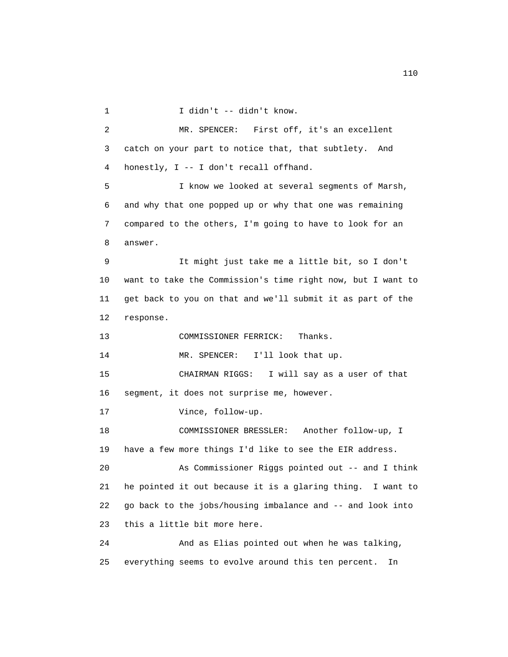1 I didn't -- didn't know.

 2 MR. SPENCER: First off, it's an excellent 3 catch on your part to notice that, that subtlety. And 4 honestly, I -- I don't recall offhand. 5 I know we looked at several segments of Marsh, 6 and why that one popped up or why that one was remaining 7 compared to the others, I'm going to have to look for an 8 answer. 9 It might just take me a little bit, so I don't 10 want to take the Commission's time right now, but I want to 11 get back to you on that and we'll submit it as part of the 12 response. 13 COMMISSIONER FERRICK: Thanks. 14 MR. SPENCER: I'll look that up. 15 CHAIRMAN RIGGS: I will say as a user of that 16 segment, it does not surprise me, however. 17 Vince, follow-up. 18 COMMISSIONER BRESSLER: Another follow-up, I 19 have a few more things I'd like to see the EIR address. 20 As Commissioner Riggs pointed out -- and I think 21 he pointed it out because it is a glaring thing. I want to 22 go back to the jobs/housing imbalance and -- and look into 23 this a little bit more here. 24 And as Elias pointed out when he was talking, 25 everything seems to evolve around this ten percent. In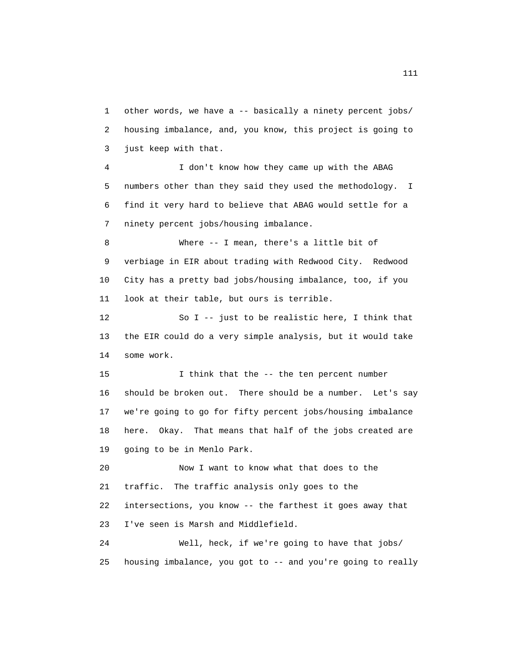1 other words, we have a -- basically a ninety percent jobs/ 2 housing imbalance, and, you know, this project is going to 3 just keep with that.

 4 I don't know how they came up with the ABAG 5 numbers other than they said they used the methodology. I 6 find it very hard to believe that ABAG would settle for a 7 ninety percent jobs/housing imbalance.

 8 Where -- I mean, there's a little bit of 9 verbiage in EIR about trading with Redwood City. Redwood 10 City has a pretty bad jobs/housing imbalance, too, if you 11 look at their table, but ours is terrible.

 12 So I -- just to be realistic here, I think that 13 the EIR could do a very simple analysis, but it would take 14 some work.

15 I think that the -- the ten percent number 16 should be broken out. There should be a number. Let's say 17 we're going to go for fifty percent jobs/housing imbalance 18 here. Okay. That means that half of the jobs created are 19 going to be in Menlo Park.

 20 Now I want to know what that does to the 21 traffic. The traffic analysis only goes to the 22 intersections, you know -- the farthest it goes away that 23 I've seen is Marsh and Middlefield.

 24 Well, heck, if we're going to have that jobs/ 25 housing imbalance, you got to -- and you're going to really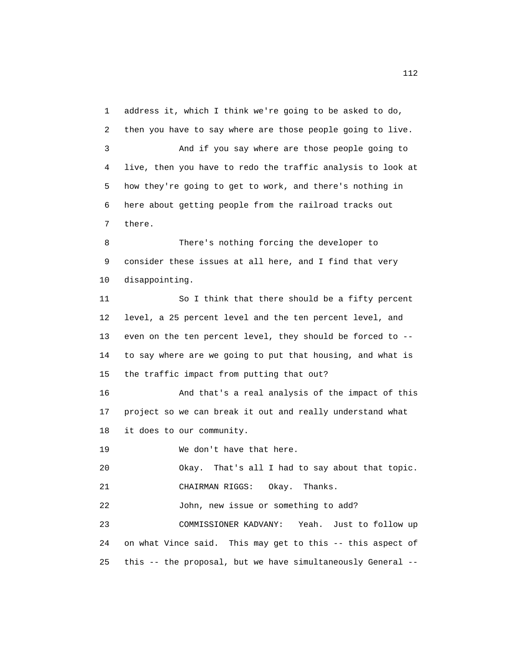1 address it, which I think we're going to be asked to do, 2 then you have to say where are those people going to live. 3 And if you say where are those people going to 4 live, then you have to redo the traffic analysis to look at 5 how they're going to get to work, and there's nothing in 6 here about getting people from the railroad tracks out 7 there. 8 There's nothing forcing the developer to 9 consider these issues at all here, and I find that very 10 disappointing. 11 So I think that there should be a fifty percent 12 level, a 25 percent level and the ten percent level, and 13 even on the ten percent level, they should be forced to -- 14 to say where are we going to put that housing, and what is 15 the traffic impact from putting that out? 16 And that's a real analysis of the impact of this 17 project so we can break it out and really understand what 18 it does to our community. 19 We don't have that here. 20 Okay. That's all I had to say about that topic. 21 CHAIRMAN RIGGS: Okay. Thanks. 22 John, new issue or something to add? 23 COMMISSIONER KADVANY: Yeah. Just to follow up 24 on what Vince said. This may get to this -- this aspect of 25 this -- the proposal, but we have simultaneously General --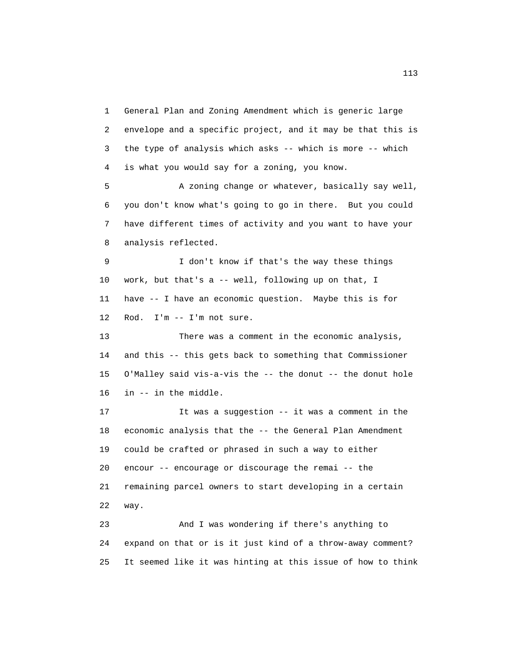1 General Plan and Zoning Amendment which is generic large 2 envelope and a specific project, and it may be that this is 3 the type of analysis which asks -- which is more -- which 4 is what you would say for a zoning, you know.

 5 A zoning change or whatever, basically say well, 6 you don't know what's going to go in there. But you could 7 have different times of activity and you want to have your 8 analysis reflected.

 9 I don't know if that's the way these things 10 work, but that's a -- well, following up on that, I 11 have -- I have an economic question. Maybe this is for 12 Rod. I'm -- I'm not sure.

 13 There was a comment in the economic analysis, 14 and this -- this gets back to something that Commissioner 15 O'Malley said vis-a-vis the -- the donut -- the donut hole 16 in -- in the middle.

 17 It was a suggestion -- it was a comment in the 18 economic analysis that the -- the General Plan Amendment 19 could be crafted or phrased in such a way to either 20 encour -- encourage or discourage the remai -- the 21 remaining parcel owners to start developing in a certain 22 way.

 23 And I was wondering if there's anything to 24 expand on that or is it just kind of a throw-away comment? 25 It seemed like it was hinting at this issue of how to think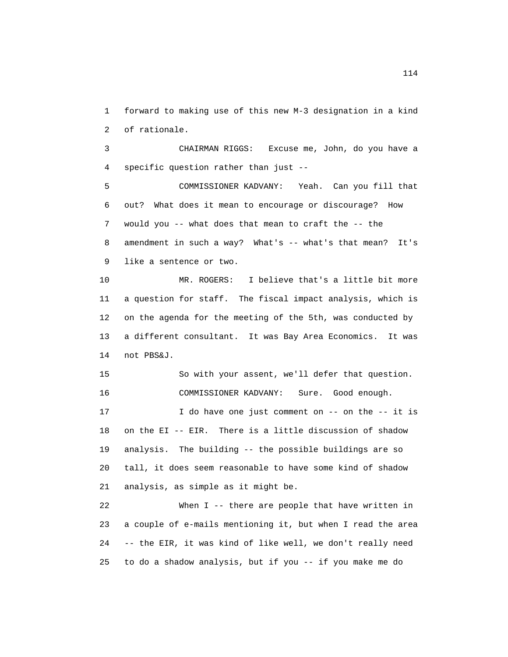1 forward to making use of this new M-3 designation in a kind 2 of rationale.

 3 CHAIRMAN RIGGS: Excuse me, John, do you have a 4 specific question rather than just --

 5 COMMISSIONER KADVANY: Yeah. Can you fill that 6 out? What does it mean to encourage or discourage? How 7 would you -- what does that mean to craft the -- the 8 amendment in such a way? What's -- what's that mean? It's 9 like a sentence or two.

 10 MR. ROGERS: I believe that's a little bit more 11 a question for staff. The fiscal impact analysis, which is 12 on the agenda for the meeting of the 5th, was conducted by 13 a different consultant. It was Bay Area Economics. It was 14 not PBS&J.

 15 So with your assent, we'll defer that question. 16 COMMISSIONER KADVANY: Sure. Good enough. 17 I do have one just comment on -- on the -- it is 18 on the EI -- EIR. There is a little discussion of shadow 19 analysis. The building -- the possible buildings are so 20 tall, it does seem reasonable to have some kind of shadow 21 analysis, as simple as it might be.

 22 When I -- there are people that have written in 23 a couple of e-mails mentioning it, but when I read the area 24 -- the EIR, it was kind of like well, we don't really need 25 to do a shadow analysis, but if you -- if you make me do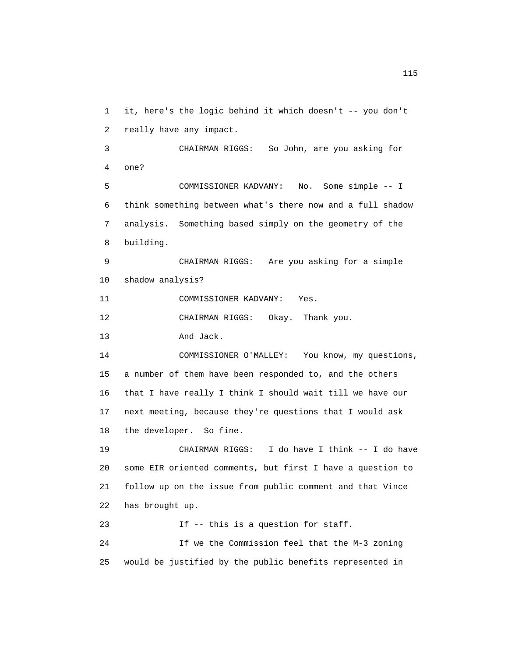1 it, here's the logic behind it which doesn't -- you don't 2 really have any impact.

 3 CHAIRMAN RIGGS: So John, are you asking for 4 one? 5 COMMISSIONER KADVANY: No. Some simple -- I 6 think something between what's there now and a full shadow 7 analysis. Something based simply on the geometry of the 8 building.

 9 CHAIRMAN RIGGS: Are you asking for a simple 10 shadow analysis?

11 COMMISSIONER KADVANY: Yes.

12 CHAIRMAN RIGGS: Okay. Thank you.

13 And Jack.

 14 COMMISSIONER O'MALLEY: You know, my questions, 15 a number of them have been responded to, and the others 16 that I have really I think I should wait till we have our 17 next meeting, because they're questions that I would ask 18 the developer. So fine.

 19 CHAIRMAN RIGGS: I do have I think -- I do have 20 some EIR oriented comments, but first I have a question to 21 follow up on the issue from public comment and that Vince 22 has brought up.

 23 If -- this is a question for staff. 24 If we the Commission feel that the M-3 zoning 25 would be justified by the public benefits represented in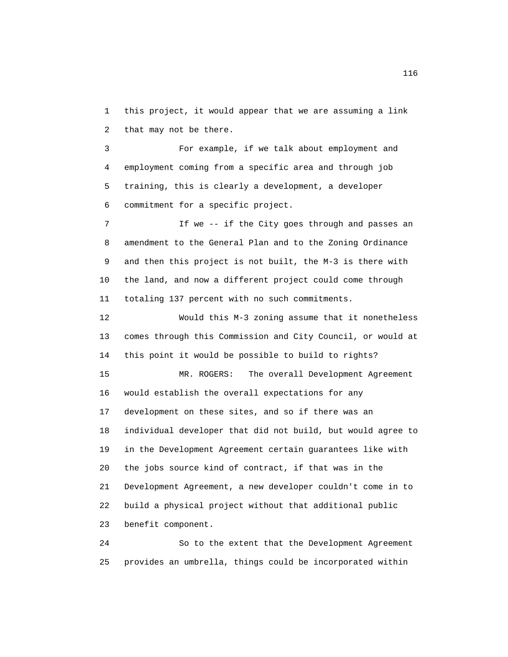1 this project, it would appear that we are assuming a link 2 that may not be there.

 3 For example, if we talk about employment and 4 employment coming from a specific area and through job 5 training, this is clearly a development, a developer 6 commitment for a specific project.

 7 If we -- if the City goes through and passes an 8 amendment to the General Plan and to the Zoning Ordinance 9 and then this project is not built, the M-3 is there with 10 the land, and now a different project could come through 11 totaling 137 percent with no such commitments.

 12 Would this M-3 zoning assume that it nonetheless 13 comes through this Commission and City Council, or would at 14 this point it would be possible to build to rights?

 15 MR. ROGERS: The overall Development Agreement 16 would establish the overall expectations for any 17 development on these sites, and so if there was an 18 individual developer that did not build, but would agree to 19 in the Development Agreement certain guarantees like with 20 the jobs source kind of contract, if that was in the 21 Development Agreement, a new developer couldn't come in to 22 build a physical project without that additional public 23 benefit component.

 24 So to the extent that the Development Agreement 25 provides an umbrella, things could be incorporated within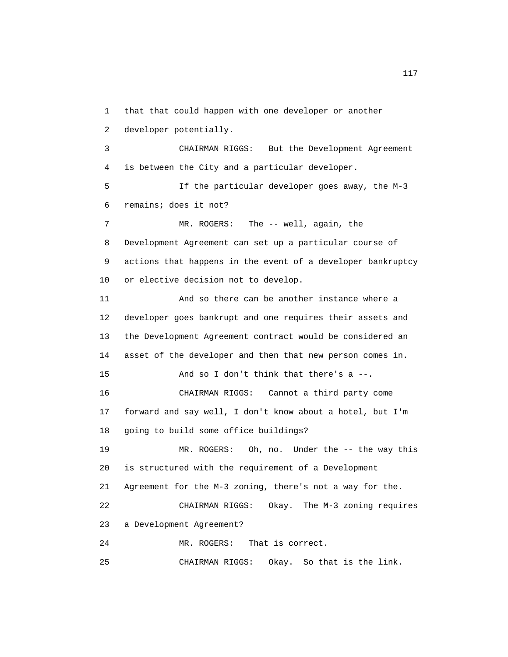1 that that could happen with one developer or another 2 developer potentially. 3 CHAIRMAN RIGGS: But the Development Agreement 4 is between the City and a particular developer. 5 If the particular developer goes away, the M-3 6 remains; does it not? 7 MR. ROGERS: The -- well, again, the 8 Development Agreement can set up a particular course of 9 actions that happens in the event of a developer bankruptcy 10 or elective decision not to develop. 11 And so there can be another instance where a 12 developer goes bankrupt and one requires their assets and 13 the Development Agreement contract would be considered an 14 asset of the developer and then that new person comes in. 15 And so I don't think that there's a --. 16 CHAIRMAN RIGGS: Cannot a third party come 17 forward and say well, I don't know about a hotel, but I'm 18 going to build some office buildings? 19 MR. ROGERS: Oh, no. Under the -- the way this 20 is structured with the requirement of a Development 21 Agreement for the M-3 zoning, there's not a way for the. 22 CHAIRMAN RIGGS: Okay. The M-3 zoning requires 23 a Development Agreement? 24 MR. ROGERS: That is correct. 25 CHAIRMAN RIGGS: Okay. So that is the link.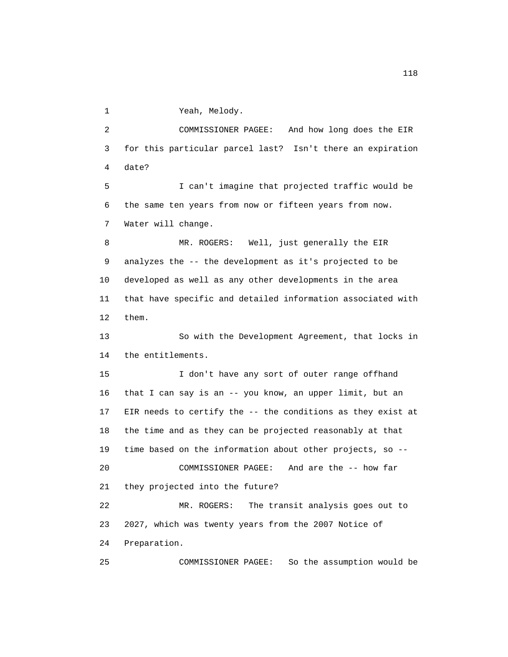1 Yeah, Melody.

 2 COMMISSIONER PAGEE: And how long does the EIR 3 for this particular parcel last? Isn't there an expiration 4 date? 5 I can't imagine that projected traffic would be 6 the same ten years from now or fifteen years from now. 7 Water will change. 8 MR. ROGERS: Well, just generally the EIR 9 analyzes the -- the development as it's projected to be 10 developed as well as any other developments in the area 11 that have specific and detailed information associated with 12 them. 13 So with the Development Agreement, that locks in 14 the entitlements. 15 I don't have any sort of outer range offhand 16 that I can say is an -- you know, an upper limit, but an 17 EIR needs to certify the -- the conditions as they exist at 18 the time and as they can be projected reasonably at that 19 time based on the information about other projects, so -- 20 COMMISSIONER PAGEE: And are the -- how far 21 they projected into the future? 22 MR. ROGERS: The transit analysis goes out to 23 2027, which was twenty years from the 2007 Notice of 24 Preparation. 25 COMMISSIONER PAGEE: So the assumption would be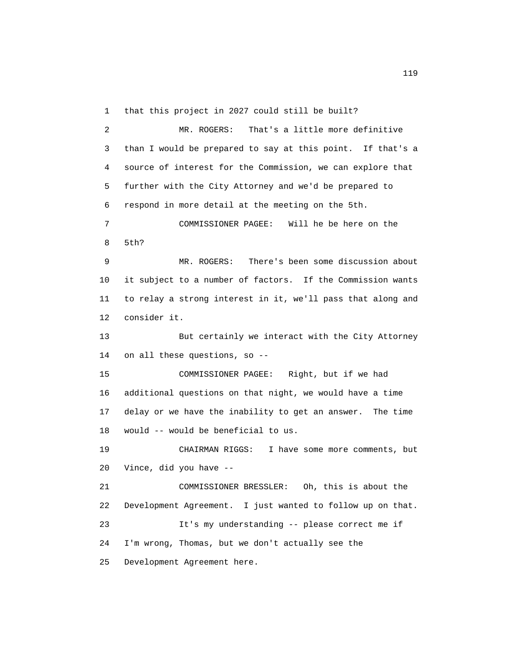1 that this project in 2027 could still be built?

 2 MR. ROGERS: That's a little more definitive 3 than I would be prepared to say at this point. If that's a 4 source of interest for the Commission, we can explore that 5 further with the City Attorney and we'd be prepared to 6 respond in more detail at the meeting on the 5th. 7 COMMISSIONER PAGEE: Will he be here on the 8 5th?

 9 MR. ROGERS: There's been some discussion about 10 it subject to a number of factors. If the Commission wants 11 to relay a strong interest in it, we'll pass that along and 12 consider it.

 13 But certainly we interact with the City Attorney 14 on all these questions, so --

 15 COMMISSIONER PAGEE: Right, but if we had 16 additional questions on that night, we would have a time 17 delay or we have the inability to get an answer. The time 18 would -- would be beneficial to us.

 19 CHAIRMAN RIGGS: I have some more comments, but 20 Vince, did you have --

 21 COMMISSIONER BRESSLER: Oh, this is about the 22 Development Agreement. I just wanted to follow up on that. 23 It's my understanding -- please correct me if 24 I'm wrong, Thomas, but we don't actually see the 25 Development Agreement here.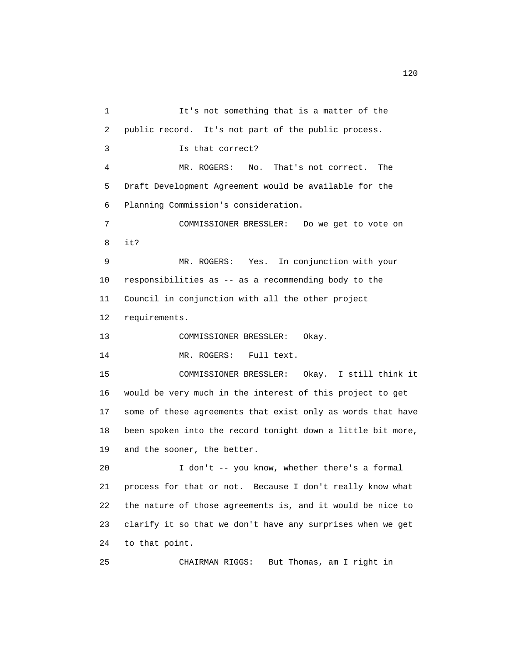1 It's not something that is a matter of the 2 public record. It's not part of the public process. 3 Is that correct? 4 MR. ROGERS: No. That's not correct. The 5 Draft Development Agreement would be available for the 6 Planning Commission's consideration. 7 COMMISSIONER BRESSLER: Do we get to vote on 8 it? 9 MR. ROGERS: Yes. In conjunction with your 10 responsibilities as -- as a recommending body to the 11 Council in conjunction with all the other project 12 requirements. 13 COMMISSIONER BRESSLER: Okay. 14 MR. ROGERS: Full text. 15 COMMISSIONER BRESSLER: Okay. I still think it 16 would be very much in the interest of this project to get 17 some of these agreements that exist only as words that have 18 been spoken into the record tonight down a little bit more, 19 and the sooner, the better. 20 I don't -- you know, whether there's a formal 21 process for that or not. Because I don't really know what 22 the nature of those agreements is, and it would be nice to 23 clarify it so that we don't have any surprises when we get 24 to that point. 25 CHAIRMAN RIGGS: But Thomas, am I right in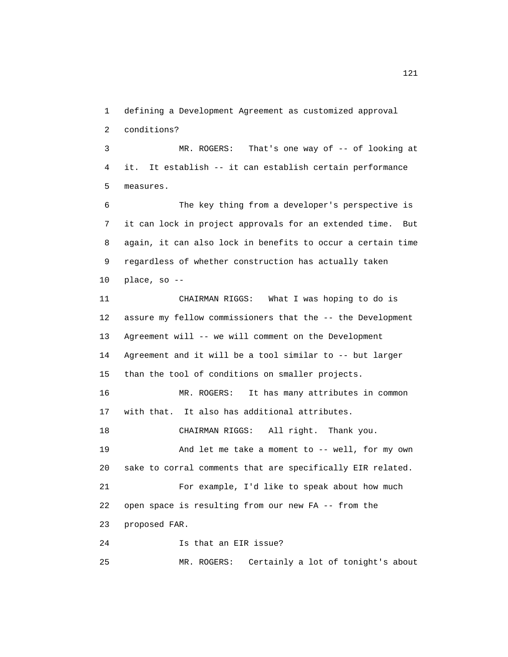1 defining a Development Agreement as customized approval 2 conditions?

 3 MR. ROGERS: That's one way of -- of looking at 4 it. It establish -- it can establish certain performance 5 measures.

 6 The key thing from a developer's perspective is 7 it can lock in project approvals for an extended time. But 8 again, it can also lock in benefits to occur a certain time 9 regardless of whether construction has actually taken 10 place, so --

 11 CHAIRMAN RIGGS: What I was hoping to do is 12 assure my fellow commissioners that the -- the Development 13 Agreement will -- we will comment on the Development 14 Agreement and it will be a tool similar to -- but larger 15 than the tool of conditions on smaller projects. 16 MR. ROGERS: It has many attributes in common 17 with that. It also has additional attributes. 18 CHAIRMAN RIGGS: All right. Thank you. 19 And let me take a moment to -- well, for my own 20 sake to corral comments that are specifically EIR related. 21 For example, I'd like to speak about how much 22 open space is resulting from our new FA -- from the 23 proposed FAR. 24 Is that an EIR issue?

25 MR. ROGERS: Certainly a lot of tonight's about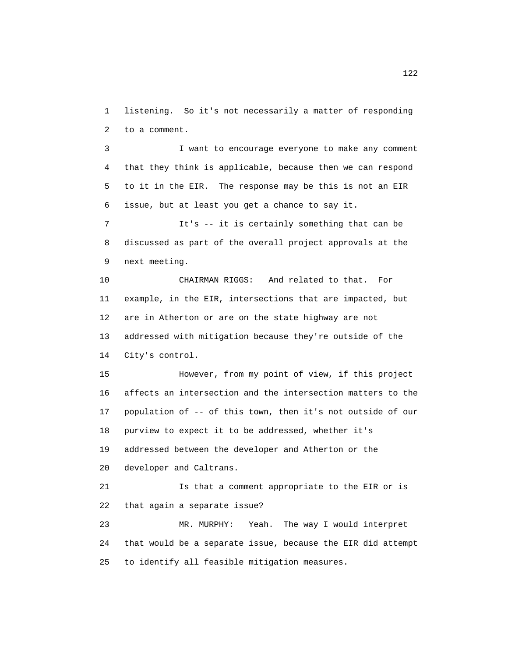1 listening. So it's not necessarily a matter of responding 2 to a comment.

 3 I want to encourage everyone to make any comment 4 that they think is applicable, because then we can respond 5 to it in the EIR. The response may be this is not an EIR 6 issue, but at least you get a chance to say it.

 7 It's -- it is certainly something that can be 8 discussed as part of the overall project approvals at the 9 next meeting.

 10 CHAIRMAN RIGGS: And related to that. For 11 example, in the EIR, intersections that are impacted, but 12 are in Atherton or are on the state highway are not 13 addressed with mitigation because they're outside of the 14 City's control.

 15 However, from my point of view, if this project 16 affects an intersection and the intersection matters to the 17 population of -- of this town, then it's not outside of our 18 purview to expect it to be addressed, whether it's 19 addressed between the developer and Atherton or the 20 developer and Caltrans.

 21 Is that a comment appropriate to the EIR or is 22 that again a separate issue?

 23 MR. MURPHY: Yeah. The way I would interpret 24 that would be a separate issue, because the EIR did attempt 25 to identify all feasible mitigation measures.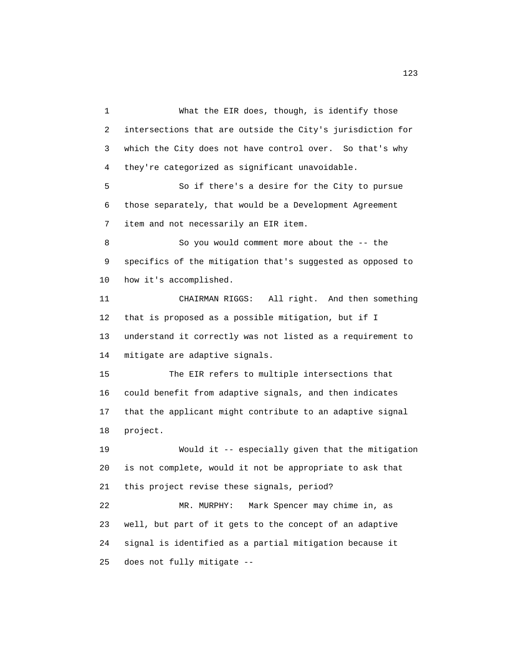1 What the EIR does, though, is identify those 2 intersections that are outside the City's jurisdiction for 3 which the City does not have control over. So that's why 4 they're categorized as significant unavoidable. 5 So if there's a desire for the City to pursue 6 those separately, that would be a Development Agreement 7 item and not necessarily an EIR item. 8 So you would comment more about the -- the 9 specifics of the mitigation that's suggested as opposed to 10 how it's accomplished. 11 CHAIRMAN RIGGS: All right. And then something 12 that is proposed as a possible mitigation, but if I 13 understand it correctly was not listed as a requirement to 14 mitigate are adaptive signals. 15 The EIR refers to multiple intersections that 16 could benefit from adaptive signals, and then indicates 17 that the applicant might contribute to an adaptive signal 18 project. 19 Would it -- especially given that the mitigation 20 is not complete, would it not be appropriate to ask that 21 this project revise these signals, period? 22 MR. MURPHY: Mark Spencer may chime in, as 23 well, but part of it gets to the concept of an adaptive 24 signal is identified as a partial mitigation because it 25 does not fully mitigate --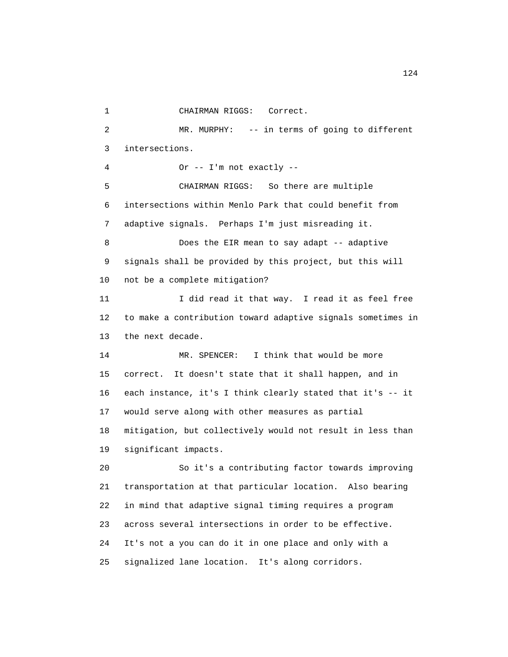1 CHAIRMAN RIGGS: Correct. 2 MR. MURPHY: -- in terms of going to different 3 intersections. 4 Or -- I'm not exactly -- 5 CHAIRMAN RIGGS: So there are multiple 6 intersections within Menlo Park that could benefit from 7 adaptive signals. Perhaps I'm just misreading it. 8 Does the EIR mean to say adapt -- adaptive 9 signals shall be provided by this project, but this will 10 not be a complete mitigation? 11 I did read it that way. I read it as feel free 12 to make a contribution toward adaptive signals sometimes in 13 the next decade. 14 MR. SPENCER: I think that would be more 15 correct. It doesn't state that it shall happen, and in 16 each instance, it's I think clearly stated that it's -- it 17 would serve along with other measures as partial 18 mitigation, but collectively would not result in less than 19 significant impacts. 20 So it's a contributing factor towards improving 21 transportation at that particular location. Also bearing 22 in mind that adaptive signal timing requires a program 23 across several intersections in order to be effective. 24 It's not a you can do it in one place and only with a 25 signalized lane location. It's along corridors.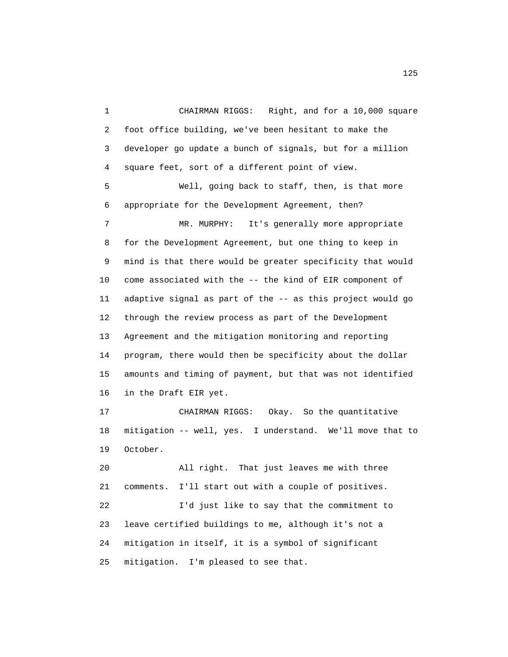1 CHAIRMAN RIGGS: Right, and for a 10,000 square 2 foot office building, we've been hesitant to make the 3 developer go update a bunch of signals, but for a million 4 square feet, sort of a different point of view. 5 Well, going back to staff, then, is that more 6 appropriate for the Development Agreement, then? 7 MR. MURPHY: It's generally more appropriate 8 for the Development Agreement, but one thing to keep in 9 mind is that there would be greater specificity that would 10 come associated with the -- the kind of EIR component of 11 adaptive signal as part of the -- as this project would go 12 through the review process as part of the Development 13 Agreement and the mitigation monitoring and reporting 14 program, there would then be specificity about the dollar 15 amounts and timing of payment, but that was not identified 16 in the Draft EIR yet. 17 CHAIRMAN RIGGS: Okay. So the quantitative 18 mitigation -- well, yes. I understand. We'll move that to 19 October. 20 All right. That just leaves me with three 21 comments. I'll start out with a couple of positives. 22 I'd just like to say that the commitment to 23 leave certified buildings to me, although it's not a

25 mitigation. I'm pleased to see that.

24 mitigation in itself, it is a symbol of significant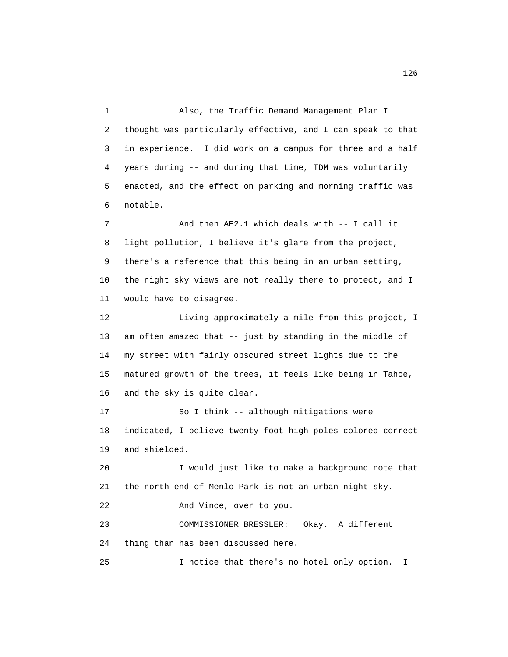1 Also, the Traffic Demand Management Plan I 2 thought was particularly effective, and I can speak to that 3 in experience. I did work on a campus for three and a half 4 years during -- and during that time, TDM was voluntarily 5 enacted, and the effect on parking and morning traffic was 6 notable.

 7 And then AE2.1 which deals with -- I call it 8 light pollution, I believe it's glare from the project, 9 there's a reference that this being in an urban setting, 10 the night sky views are not really there to protect, and I 11 would have to disagree.

 12 Living approximately a mile from this project, I 13 am often amazed that -- just by standing in the middle of 14 my street with fairly obscured street lights due to the 15 matured growth of the trees, it feels like being in Tahoe, 16 and the sky is quite clear.

 17 So I think -- although mitigations were 18 indicated, I believe twenty foot high poles colored correct 19 and shielded.

 20 I would just like to make a background note that 21 the north end of Menlo Park is not an urban night sky.

22 And Vince, over to you.

 23 COMMISSIONER BRESSLER: Okay. A different 24 thing than has been discussed here.

25 I notice that there's no hotel only option. I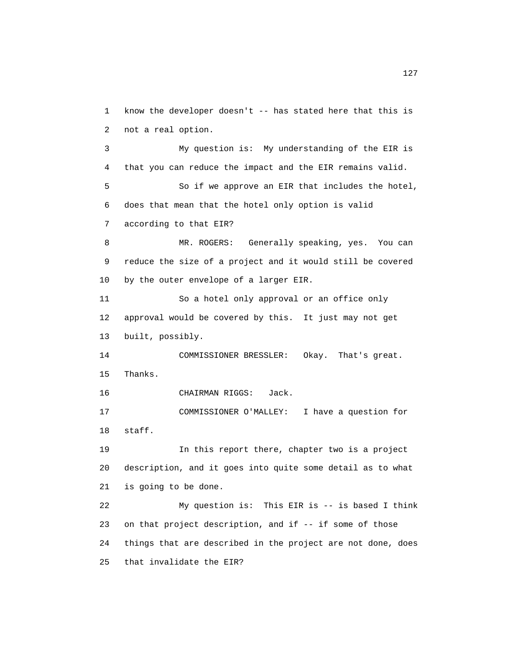1 know the developer doesn't -- has stated here that this is 2 not a real option. 3 My question is: My understanding of the EIR is 4 that you can reduce the impact and the EIR remains valid. 5 So if we approve an EIR that includes the hotel, 6 does that mean that the hotel only option is valid 7 according to that EIR? 8 MR. ROGERS: Generally speaking, yes. You can 9 reduce the size of a project and it would still be covered 10 by the outer envelope of a larger EIR. 11 So a hotel only approval or an office only 12 approval would be covered by this. It just may not get 13 built, possibly. 14 COMMISSIONER BRESSLER: Okay. That's great. 15 Thanks. 16 CHAIRMAN RIGGS: Jack. 17 COMMISSIONER O'MALLEY: I have a question for 18 staff. 19 In this report there, chapter two is a project 20 description, and it goes into quite some detail as to what 21 is going to be done. 22 My question is: This EIR is -- is based I think 23 on that project description, and if -- if some of those 24 things that are described in the project are not done, does 25 that invalidate the EIR?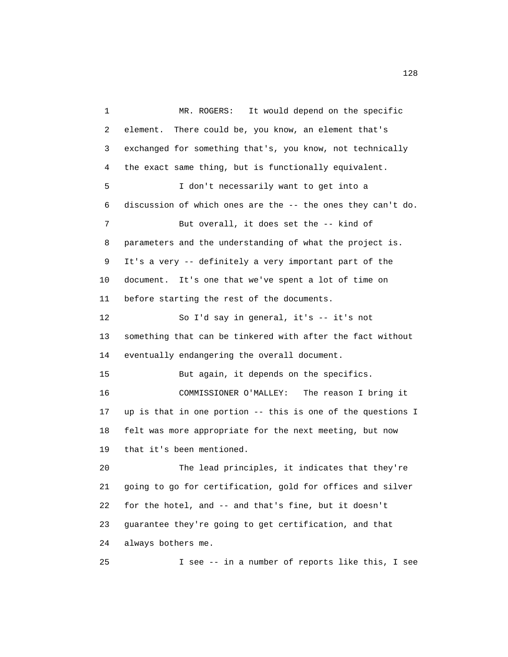1 MR. ROGERS: It would depend on the specific 2 element. There could be, you know, an element that's 3 exchanged for something that's, you know, not technically 4 the exact same thing, but is functionally equivalent. 5 I don't necessarily want to get into a 6 discussion of which ones are the -- the ones they can't do. 7 But overall, it does set the -- kind of 8 parameters and the understanding of what the project is. 9 It's a very -- definitely a very important part of the 10 document. It's one that we've spent a lot of time on 11 before starting the rest of the documents. 12 So I'd say in general, it's -- it's not 13 something that can be tinkered with after the fact without 14 eventually endangering the overall document. 15 But again, it depends on the specifics. 16 COMMISSIONER O'MALLEY: The reason I bring it 17 up is that in one portion -- this is one of the questions I 18 felt was more appropriate for the next meeting, but now 19 that it's been mentioned. 20 The lead principles, it indicates that they're 21 going to go for certification, gold for offices and silver 22 for the hotel, and -- and that's fine, but it doesn't 23 guarantee they're going to get certification, and that 24 always bothers me. 25 I see -- in a number of reports like this, I see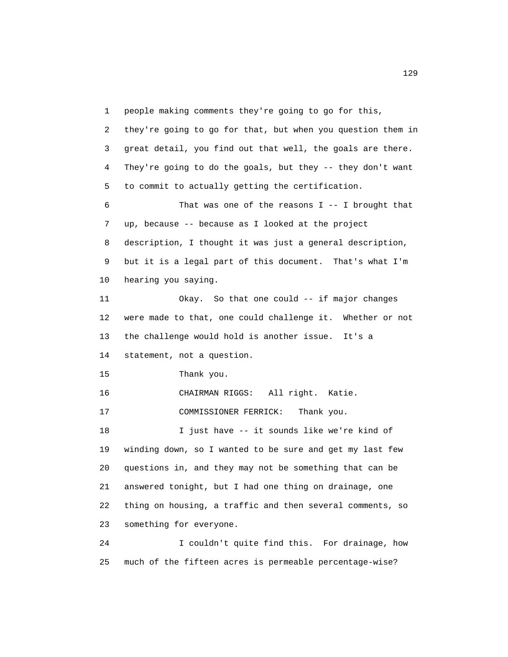1 people making comments they're going to go for this, 2 they're going to go for that, but when you question them in 3 great detail, you find out that well, the goals are there. 4 They're going to do the goals, but they -- they don't want 5 to commit to actually getting the certification. 6 That was one of the reasons I -- I brought that 7 up, because -- because as I looked at the project 8 description, I thought it was just a general description, 9 but it is a legal part of this document. That's what I'm 10 hearing you saying. 11 Okay. So that one could -- if major changes 12 were made to that, one could challenge it. Whether or not 13 the challenge would hold is another issue. It's a 14 statement, not a question. 15 Thank you. 16 CHAIRMAN RIGGS: All right. Katie. 17 COMMISSIONER FERRICK: Thank you. 18 I just have -- it sounds like we're kind of 19 winding down, so I wanted to be sure and get my last few 20 questions in, and they may not be something that can be 21 answered tonight, but I had one thing on drainage, one 22 thing on housing, a traffic and then several comments, so 23 something for everyone. 24 I couldn't quite find this. For drainage, how

25 much of the fifteen acres is permeable percentage-wise?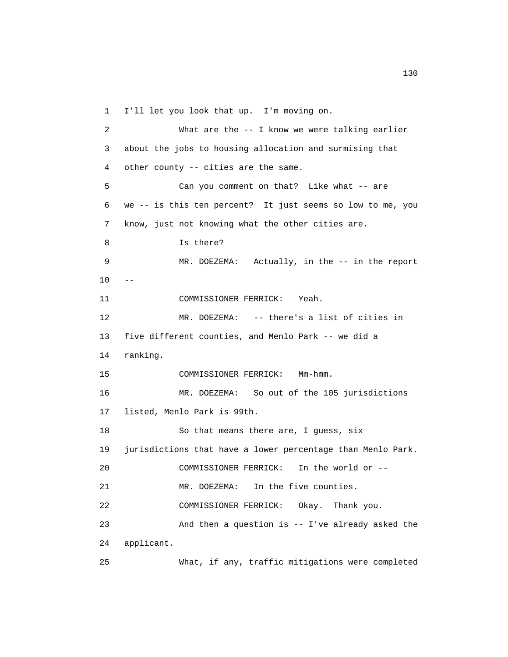1 I'll let you look that up. I'm moving on.

 2 What are the -- I know we were talking earlier 3 about the jobs to housing allocation and surmising that 4 other county -- cities are the same. 5 Can you comment on that? Like what -- are 6 we -- is this ten percent? It just seems so low to me, you 7 know, just not knowing what the other cities are. 8 Is there? 9 MR. DOEZEMA: Actually, in the -- in the report  $10 - -$  11 COMMISSIONER FERRICK: Yeah. 12 MR. DOEZEMA: -- there's a list of cities in 13 five different counties, and Menlo Park -- we did a 14 ranking. 15 COMMISSIONER FERRICK: Mm-hmm. 16 MR. DOEZEMA: So out of the 105 jurisdictions 17 listed, Menlo Park is 99th. 18 So that means there are, I guess, six 19 jurisdictions that have a lower percentage than Menlo Park. 20 COMMISSIONER FERRICK: In the world or -- 21 MR. DOEZEMA: In the five counties. 22 COMMISSIONER FERRICK: Okay. Thank you. 23 And then a question is -- I've already asked the 24 applicant. 25 What, if any, traffic mitigations were completed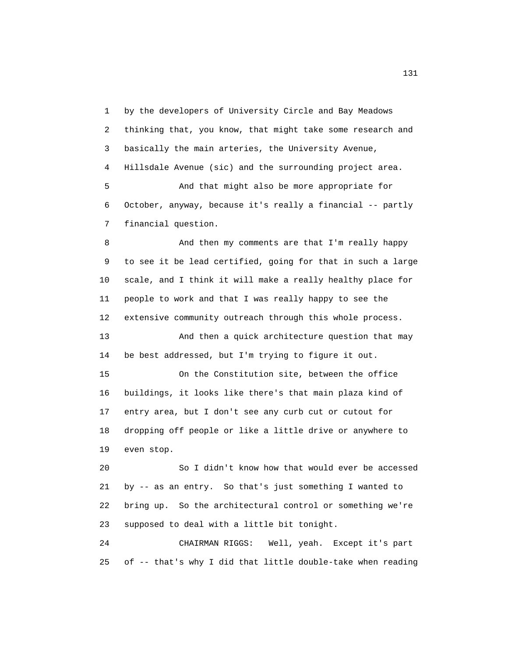1 by the developers of University Circle and Bay Meadows 2 thinking that, you know, that might take some research and 3 basically the main arteries, the University Avenue, 4 Hillsdale Avenue (sic) and the surrounding project area. 5 And that might also be more appropriate for 6 October, anyway, because it's really a financial -- partly 7 financial question.

 8 And then my comments are that I'm really happy 9 to see it be lead certified, going for that in such a large 10 scale, and I think it will make a really healthy place for 11 people to work and that I was really happy to see the 12 extensive community outreach through this whole process. 13 And then a quick architecture question that may 14 be best addressed, but I'm trying to figure it out. 15 On the Constitution site, between the office 16 buildings, it looks like there's that main plaza kind of 17 entry area, but I don't see any curb cut or cutout for 18 dropping off people or like a little drive or anywhere to 19 even stop.

 20 So I didn't know how that would ever be accessed 21 by -- as an entry. So that's just something I wanted to 22 bring up. So the architectural control or something we're 23 supposed to deal with a little bit tonight.

 24 CHAIRMAN RIGGS: Well, yeah. Except it's part 25 of -- that's why I did that little double-take when reading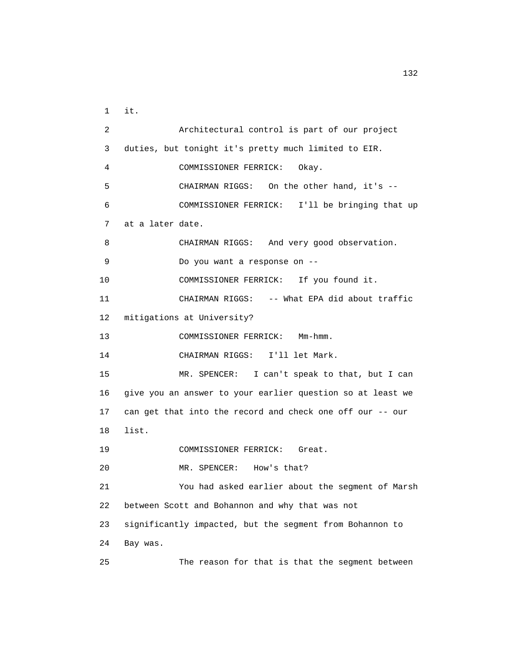1 it. 2 Architectural control is part of our project 3 duties, but tonight it's pretty much limited to EIR. 4 COMMISSIONER FERRICK: Okay. 5 CHAIRMAN RIGGS: On the other hand, it's -- 6 COMMISSIONER FERRICK: I'll be bringing that up 7 at a later date. 8 CHAIRMAN RIGGS: And very good observation. 9 Do you want a response on -- 10 COMMISSIONER FERRICK: If you found it. 11 CHAIRMAN RIGGS: -- What EPA did about traffic 12 mitigations at University? 13 COMMISSIONER FERRICK: Mm-hmm. 14 CHAIRMAN RIGGS: I'll let Mark. 15 MR. SPENCER: I can't speak to that, but I can 16 give you an answer to your earlier question so at least we 17 can get that into the record and check one off our -- our 18 list. 19 COMMISSIONER FERRICK: Great. 20 MR. SPENCER: How's that? 21 You had asked earlier about the segment of Marsh 22 between Scott and Bohannon and why that was not 23 significantly impacted, but the segment from Bohannon to 24 Bay was. 25 The reason for that is that the segment between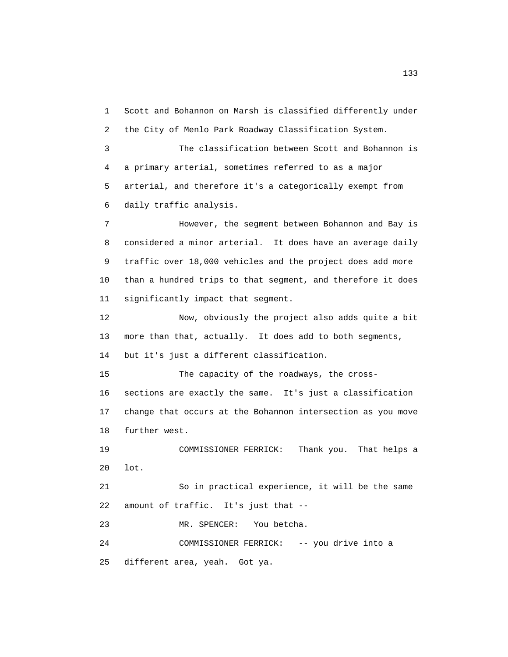1 Scott and Bohannon on Marsh is classified differently under 2 the City of Menlo Park Roadway Classification System.

 3 The classification between Scott and Bohannon is 4 a primary arterial, sometimes referred to as a major 5 arterial, and therefore it's a categorically exempt from 6 daily traffic analysis.

 7 However, the segment between Bohannon and Bay is 8 considered a minor arterial. It does have an average daily 9 traffic over 18,000 vehicles and the project does add more 10 than a hundred trips to that segment, and therefore it does 11 significantly impact that segment.

 12 Now, obviously the project also adds quite a bit 13 more than that, actually. It does add to both segments, 14 but it's just a different classification.

 15 The capacity of the roadways, the cross- 16 sections are exactly the same. It's just a classification 17 change that occurs at the Bohannon intersection as you move 18 further west.

 19 COMMISSIONER FERRICK: Thank you. That helps a 20 lot.

 21 So in practical experience, it will be the same 22 amount of traffic. It's just that --

23 MR. SPENCER: You betcha.

 24 COMMISSIONER FERRICK: -- you drive into a 25 different area, yeah. Got ya.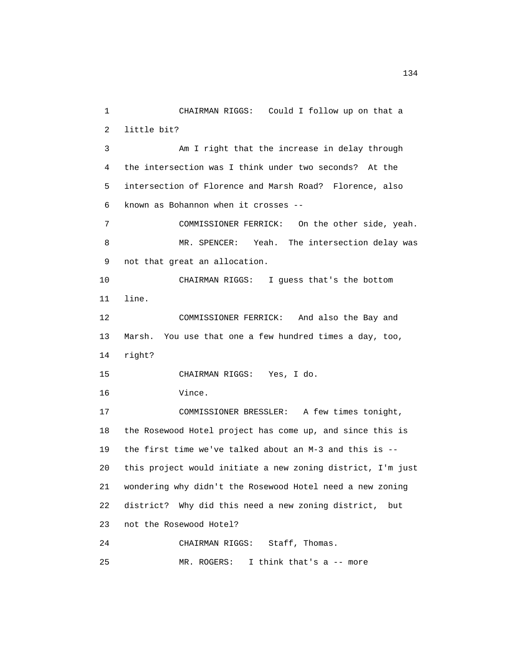1 CHAIRMAN RIGGS: Could I follow up on that a 2 little bit? 3 Am I right that the increase in delay through 4 the intersection was I think under two seconds? At the 5 intersection of Florence and Marsh Road? Florence, also 6 known as Bohannon when it crosses -- 7 COMMISSIONER FERRICK: On the other side, yeah. 8 MR. SPENCER: Yeah. The intersection delay was 9 not that great an allocation. 10 CHAIRMAN RIGGS: I guess that's the bottom 11 line. 12 COMMISSIONER FERRICK: And also the Bay and 13 Marsh. You use that one a few hundred times a day, too, 14 right? 15 CHAIRMAN RIGGS: Yes, I do. 16 Vince. 17 COMMISSIONER BRESSLER: A few times tonight, 18 the Rosewood Hotel project has come up, and since this is 19 the first time we've talked about an M-3 and this is -- 20 this project would initiate a new zoning district, I'm just 21 wondering why didn't the Rosewood Hotel need a new zoning 22 district? Why did this need a new zoning district, but 23 not the Rosewood Hotel? 24 CHAIRMAN RIGGS: Staff, Thomas. 25 MR. ROGERS: I think that's a -- more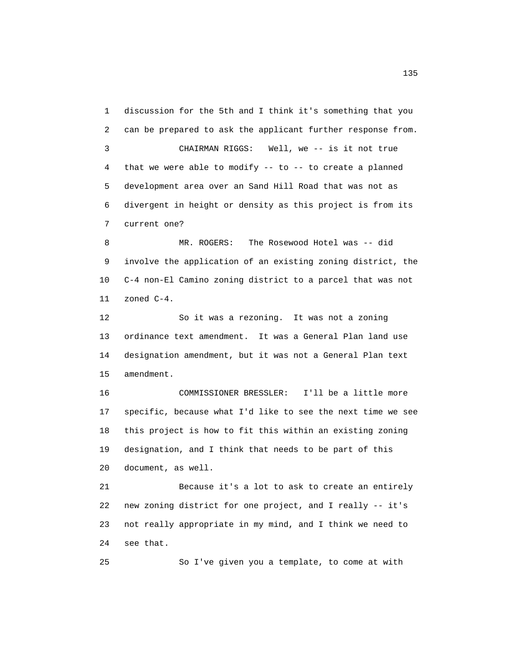1 discussion for the 5th and I think it's something that you 2 can be prepared to ask the applicant further response from. 3 CHAIRMAN RIGGS: Well, we -- is it not true 4 that we were able to modify -- to -- to create a planned 5 development area over an Sand Hill Road that was not as 6 divergent in height or density as this project is from its 7 current one? 8 MR. ROGERS: The Rosewood Hotel was -- did

 9 involve the application of an existing zoning district, the 10 C-4 non-El Camino zoning district to a parcel that was not 11 zoned C-4.

 12 So it was a rezoning. It was not a zoning 13 ordinance text amendment. It was a General Plan land use 14 designation amendment, but it was not a General Plan text 15 amendment.

 16 COMMISSIONER BRESSLER: I'll be a little more 17 specific, because what I'd like to see the next time we see 18 this project is how to fit this within an existing zoning 19 designation, and I think that needs to be part of this 20 document, as well.

 21 Because it's a lot to ask to create an entirely 22 new zoning district for one project, and I really -- it's 23 not really appropriate in my mind, and I think we need to 24 see that.

25 So I've given you a template, to come at with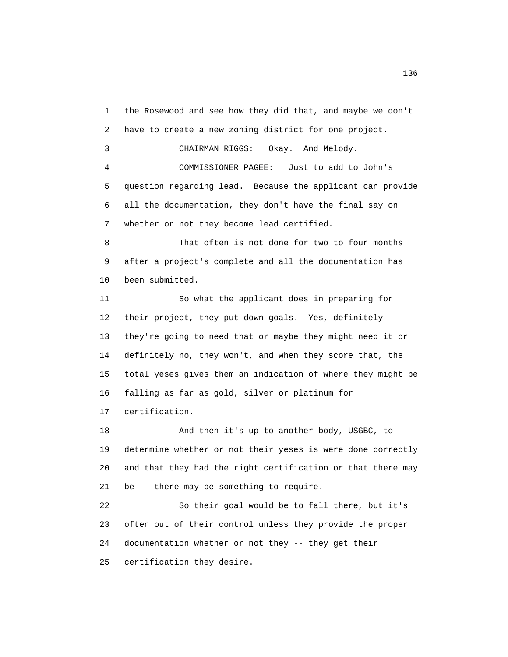1 the Rosewood and see how they did that, and maybe we don't 2 have to create a new zoning district for one project.

3 CHAIRMAN RIGGS: Okay. And Melody.

 4 COMMISSIONER PAGEE: Just to add to John's 5 question regarding lead. Because the applicant can provide 6 all the documentation, they don't have the final say on 7 whether or not they become lead certified.

 8 That often is not done for two to four months 9 after a project's complete and all the documentation has 10 been submitted.

 11 So what the applicant does in preparing for 12 their project, they put down goals. Yes, definitely 13 they're going to need that or maybe they might need it or 14 definitely no, they won't, and when they score that, the 15 total yeses gives them an indication of where they might be 16 falling as far as gold, silver or platinum for 17 certification.

 18 And then it's up to another body, USGBC, to 19 determine whether or not their yeses is were done correctly 20 and that they had the right certification or that there may 21 be -- there may be something to require.

 22 So their goal would be to fall there, but it's 23 often out of their control unless they provide the proper 24 documentation whether or not they -- they get their 25 certification they desire.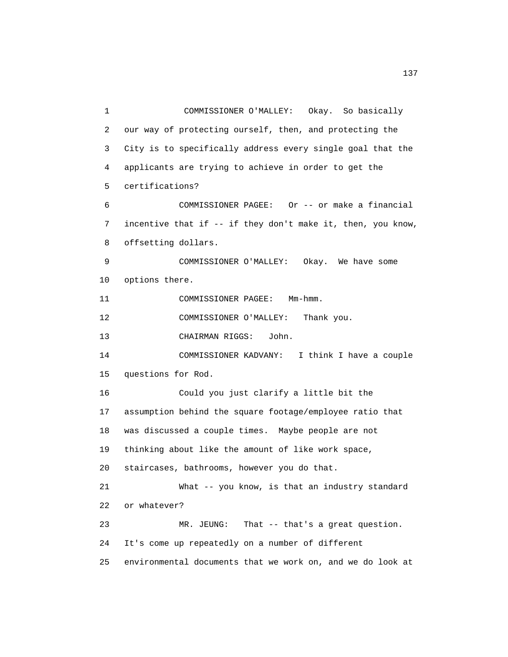1 COMMISSIONER O'MALLEY: Okay. So basically 2 our way of protecting ourself, then, and protecting the 3 City is to specifically address every single goal that the 4 applicants are trying to achieve in order to get the 5 certifications? 6 COMMISSIONER PAGEE: Or -- or make a financial 7 incentive that if -- if they don't make it, then, you know, 8 offsetting dollars. 9 COMMISSIONER O'MALLEY: Okay. We have some 10 options there. 11 COMMISSIONER PAGEE: Mm-hmm. 12 COMMISSIONER O'MALLEY: Thank you. 13 CHAIRMAN RIGGS: John. 14 COMMISSIONER KADVANY: I think I have a couple 15 questions for Rod. 16 Could you just clarify a little bit the 17 assumption behind the square footage/employee ratio that 18 was discussed a couple times. Maybe people are not 19 thinking about like the amount of like work space, 20 staircases, bathrooms, however you do that. 21 What -- you know, is that an industry standard 22 or whatever? 23 MR. JEUNG: That -- that's a great question. 24 It's come up repeatedly on a number of different 25 environmental documents that we work on, and we do look at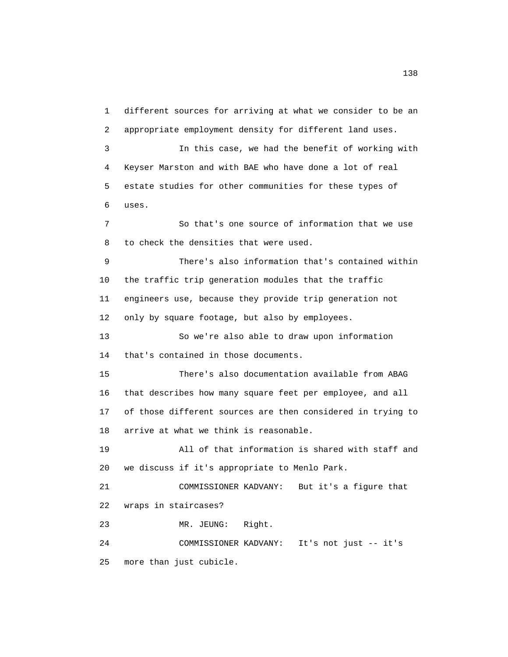1 different sources for arriving at what we consider to be an 2 appropriate employment density for different land uses.

 3 In this case, we had the benefit of working with 4 Keyser Marston and with BAE who have done a lot of real 5 estate studies for other communities for these types of 6 uses.

 7 So that's one source of information that we use 8 to check the densities that were used.

 9 There's also information that's contained within 10 the traffic trip generation modules that the traffic 11 engineers use, because they provide trip generation not 12 only by square footage, but also by employees.

 13 So we're also able to draw upon information 14 that's contained in those documents.

 15 There's also documentation available from ABAG 16 that describes how many square feet per employee, and all 17 of those different sources are then considered in trying to 18 arrive at what we think is reasonable.

 19 All of that information is shared with staff and 20 we discuss if it's appropriate to Menlo Park.

 21 COMMISSIONER KADVANY: But it's a figure that 22 wraps in staircases?

23 MR. JEUNG: Right.

 24 COMMISSIONER KADVANY: It's not just -- it's 25 more than just cubicle.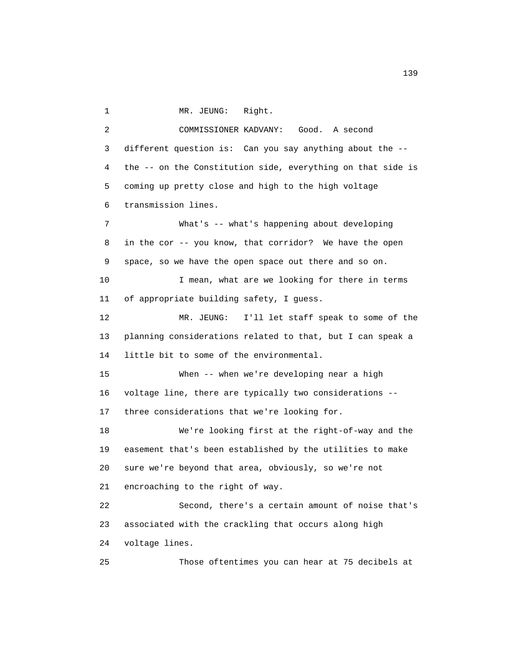1 MR. JEUNG: Right.

 2 COMMISSIONER KADVANY: Good. A second 3 different question is: Can you say anything about the -- 4 the -- on the Constitution side, everything on that side is 5 coming up pretty close and high to the high voltage 6 transmission lines. 7 What's -- what's happening about developing 8 in the cor -- you know, that corridor? We have the open 9 space, so we have the open space out there and so on. 10 I mean, what are we looking for there in terms 11 of appropriate building safety, I guess. 12 MR. JEUNG: I'll let staff speak to some of the 13 planning considerations related to that, but I can speak a 14 little bit to some of the environmental. 15 When -- when we're developing near a high 16 voltage line, there are typically two considerations -- 17 three considerations that we're looking for. 18 We're looking first at the right-of-way and the 19 easement that's been established by the utilities to make 20 sure we're beyond that area, obviously, so we're not 21 encroaching to the right of way. 22 Second, there's a certain amount of noise that's 23 associated with the crackling that occurs along high 24 voltage lines. 25 Those oftentimes you can hear at 75 decibels at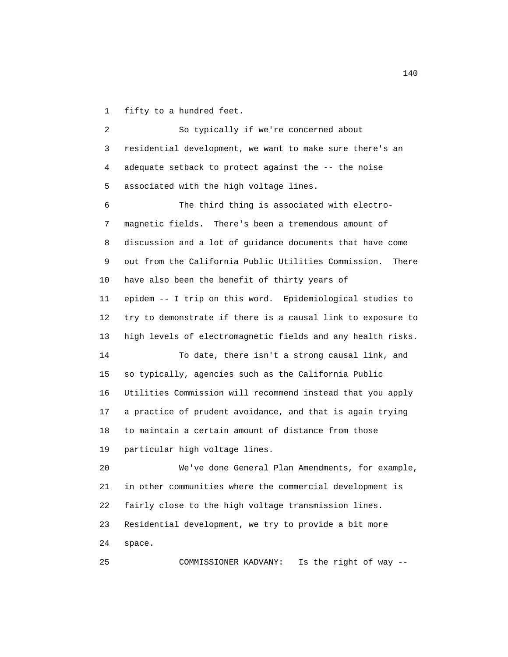1 fifty to a hundred feet.

 2 So typically if we're concerned about 3 residential development, we want to make sure there's an 4 adequate setback to protect against the -- the noise 5 associated with the high voltage lines. 6 The third thing is associated with electro- 7 magnetic fields. There's been a tremendous amount of 8 discussion and a lot of guidance documents that have come 9 out from the California Public Utilities Commission. There 10 have also been the benefit of thirty years of 11 epidem -- I trip on this word. Epidemiological studies to 12 try to demonstrate if there is a causal link to exposure to 13 high levels of electromagnetic fields and any health risks. 14 To date, there isn't a strong causal link, and 15 so typically, agencies such as the California Public 16 Utilities Commission will recommend instead that you apply 17 a practice of prudent avoidance, and that is again trying 18 to maintain a certain amount of distance from those 19 particular high voltage lines. 20 We've done General Plan Amendments, for example, 21 in other communities where the commercial development is 22 fairly close to the high voltage transmission lines. 23 Residential development, we try to provide a bit more 24 space.

25 COMMISSIONER KADVANY: Is the right of way --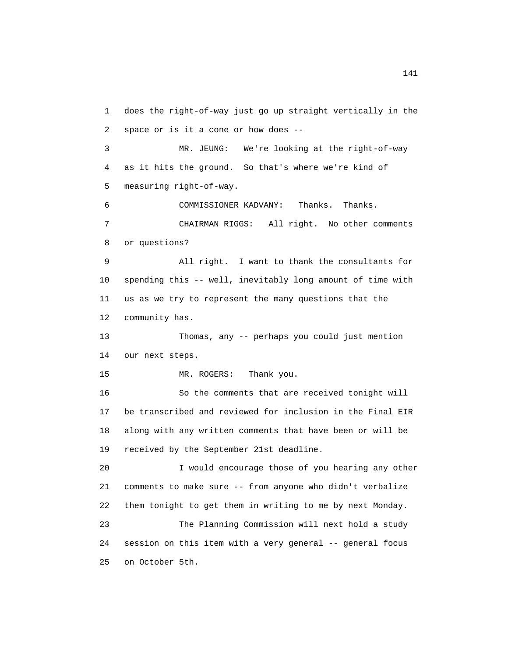1 does the right-of-way just go up straight vertically in the 2 space or is it a cone or how does -- 3 MR. JEUNG: We're looking at the right-of-way 4 as it hits the ground. So that's where we're kind of 5 measuring right-of-way. 6 COMMISSIONER KADVANY: Thanks. Thanks. 7 CHAIRMAN RIGGS: All right. No other comments 8 or questions? 9 All right. I want to thank the consultants for 10 spending this -- well, inevitably long amount of time with 11 us as we try to represent the many questions that the 12 community has. 13 Thomas, any -- perhaps you could just mention 14 our next steps. 15 MR. ROGERS: Thank you. 16 So the comments that are received tonight will 17 be transcribed and reviewed for inclusion in the Final EIR 18 along with any written comments that have been or will be 19 received by the September 21st deadline. 20 I would encourage those of you hearing any other 21 comments to make sure -- from anyone who didn't verbalize 22 them tonight to get them in writing to me by next Monday. 23 The Planning Commission will next hold a study 24 session on this item with a very general -- general focus 25 on October 5th.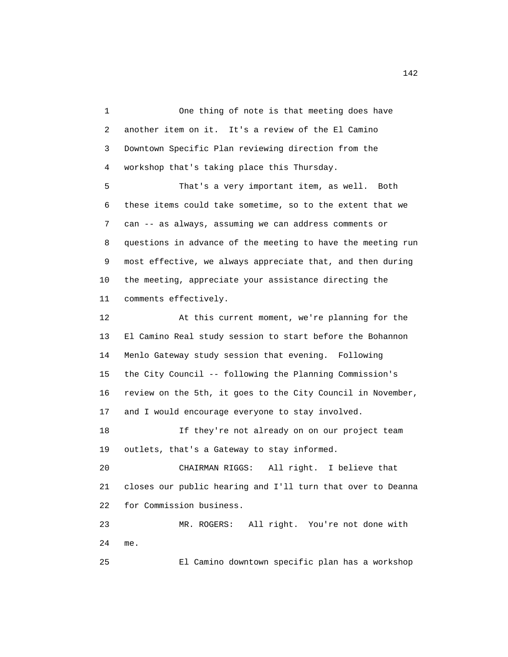1 One thing of note is that meeting does have 2 another item on it. It's a review of the El Camino 3 Downtown Specific Plan reviewing direction from the 4 workshop that's taking place this Thursday.

 5 That's a very important item, as well. Both 6 these items could take sometime, so to the extent that we 7 can -- as always, assuming we can address comments or 8 questions in advance of the meeting to have the meeting run 9 most effective, we always appreciate that, and then during 10 the meeting, appreciate your assistance directing the 11 comments effectively.

 12 At this current moment, we're planning for the 13 El Camino Real study session to start before the Bohannon 14 Menlo Gateway study session that evening. Following 15 the City Council -- following the Planning Commission's 16 review on the 5th, it goes to the City Council in November, 17 and I would encourage everyone to stay involved. 18 If they're not already on on our project team

19 outlets, that's a Gateway to stay informed.

 20 CHAIRMAN RIGGS: All right. I believe that 21 closes our public hearing and I'll turn that over to Deanna 22 for Commission business.

 23 MR. ROGERS: All right. You're not done with 24 me.

25 El Camino downtown specific plan has a workshop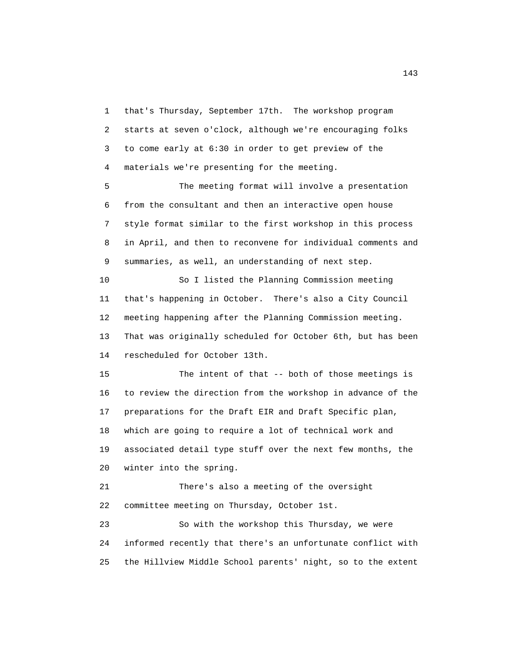1 that's Thursday, September 17th. The workshop program 2 starts at seven o'clock, although we're encouraging folks 3 to come early at 6:30 in order to get preview of the 4 materials we're presenting for the meeting.

 5 The meeting format will involve a presentation 6 from the consultant and then an interactive open house 7 style format similar to the first workshop in this process 8 in April, and then to reconvene for individual comments and 9 summaries, as well, an understanding of next step.

 10 So I listed the Planning Commission meeting 11 that's happening in October. There's also a City Council 12 meeting happening after the Planning Commission meeting. 13 That was originally scheduled for October 6th, but has been 14 rescheduled for October 13th.

 15 The intent of that -- both of those meetings is 16 to review the direction from the workshop in advance of the 17 preparations for the Draft EIR and Draft Specific plan, 18 which are going to require a lot of technical work and 19 associated detail type stuff over the next few months, the 20 winter into the spring.

 21 There's also a meeting of the oversight 22 committee meeting on Thursday, October 1st.

 23 So with the workshop this Thursday, we were 24 informed recently that there's an unfortunate conflict with 25 the Hillview Middle School parents' night, so to the extent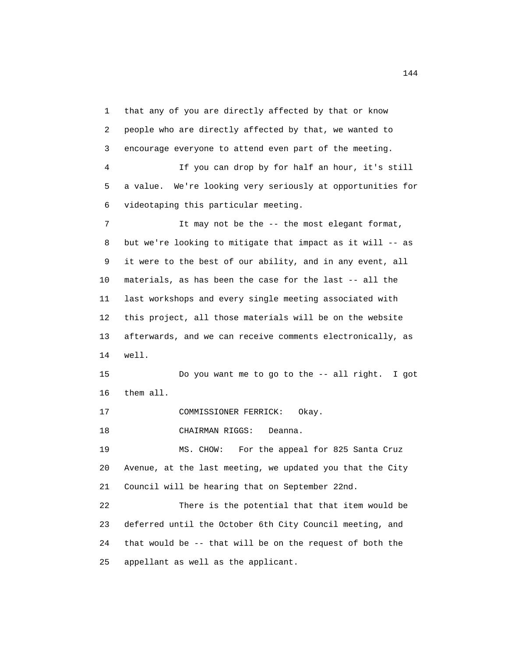1 that any of you are directly affected by that or know 2 people who are directly affected by that, we wanted to 3 encourage everyone to attend even part of the meeting. 4 If you can drop by for half an hour, it's still 5 a value. We're looking very seriously at opportunities for 6 videotaping this particular meeting. 7 It may not be the -- the most elegant format, 8 but we're looking to mitigate that impact as it will -- as 9 it were to the best of our ability, and in any event, all 10 materials, as has been the case for the last -- all the 11 last workshops and every single meeting associated with 12 this project, all those materials will be on the website 13 afterwards, and we can receive comments electronically, as 14 well. 15 Do you want me to go to the -- all right. I got 16 them all. 17 COMMISSIONER FERRICK: Okay. 18 CHAIRMAN RIGGS: Deanna. 19 MS. CHOW: For the appeal for 825 Santa Cruz 20 Avenue, at the last meeting, we updated you that the City 21 Council will be hearing that on September 22nd. 22 There is the potential that that item would be 23 deferred until the October 6th City Council meeting, and 24 that would be -- that will be on the request of both the 25 appellant as well as the applicant.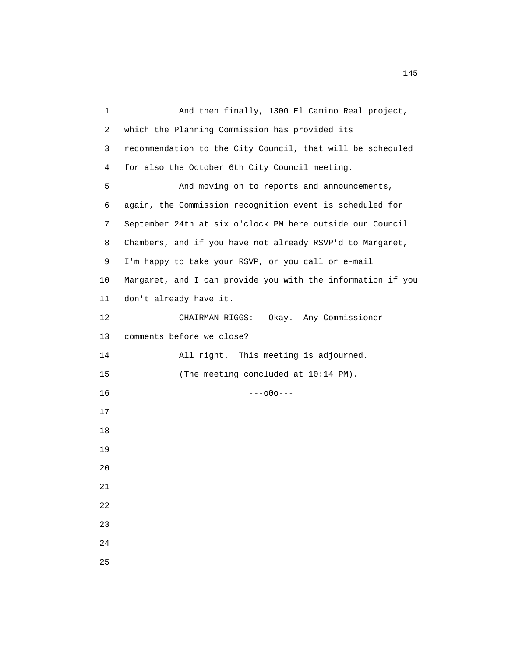1 And then finally, 1300 El Camino Real project, 2 which the Planning Commission has provided its 3 recommendation to the City Council, that will be scheduled 4 for also the October 6th City Council meeting. 5 And moving on to reports and announcements, 6 again, the Commission recognition event is scheduled for 7 September 24th at six o'clock PM here outside our Council 8 Chambers, and if you have not already RSVP'd to Margaret, 9 I'm happy to take your RSVP, or you call or e-mail 10 Margaret, and I can provide you with the information if you 11 don't already have it. 12 CHAIRMAN RIGGS: Okay. Any Commissioner 13 comments before we close? 14 All right. This meeting is adjourned. 15 (The meeting concluded at  $10:14$  PM). 16 ---o0o--- 17 18 19 20 21 22 23 24 25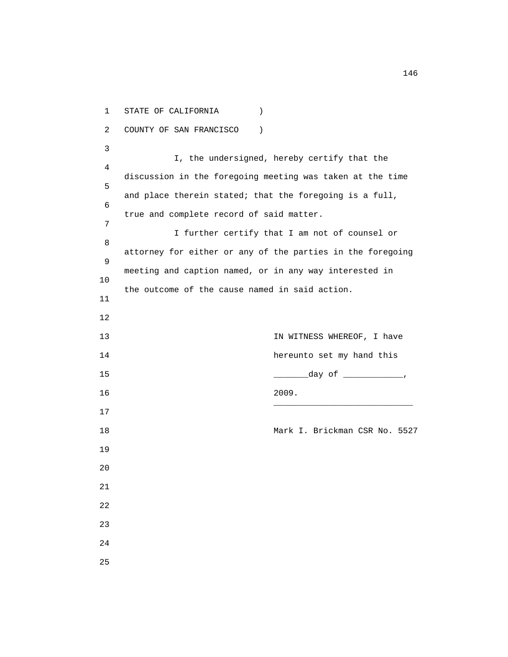1 STATE OF CALIFORNIA ) 2 COUNTY OF SAN FRANCISCO ) 3 I, the undersigned, hereby certify that the 4 discussion in the foregoing meeting was taken at the time 5 and place therein stated; that the foregoing is a full, 6 true and complete record of said matter.<br>7 7 I further certify that I am not of counsel or 8 attorney for either or any of the parties in the foregoing 9 meeting and caption named, or in any way interested in 10 the outcome of the cause named in said action. 11 12 13 13 IN WITNESS WHEREOF, I have 14 hereunto set my hand this 15 \_\_\_\_\_\_\_day of \_\_\_\_\_\_\_\_\_\_\_\_, 16 2009.  $\overline{\phantom{a}}$  , and the state of the state of the state of the state of the state of the state of the state of the state of the state of the state of the state of the state of the state of the state of the state of the stat 17 18 Mark I. Brickman CSR No. 5527 19 20 21 22 23 24 25